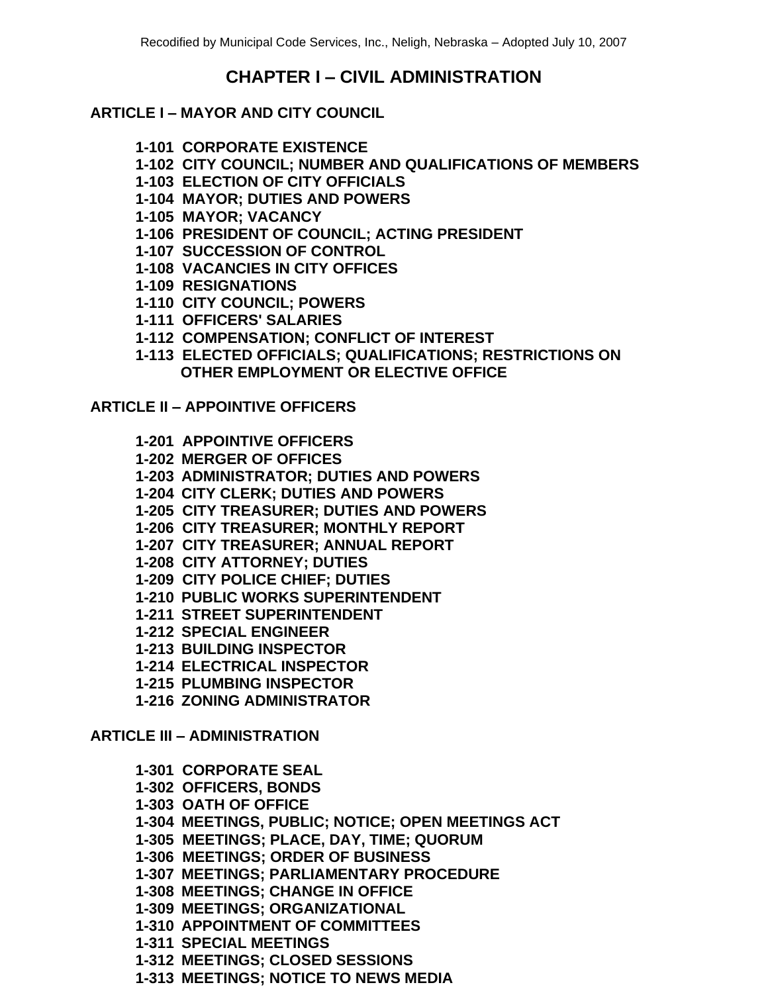# **CHAPTER I – CIVIL ADMINISTRATION**

### **ARTICLE I – MAYOR AND CITY COUNCIL**

- **1-101 CORPORATE EXISTENCE**
- **1-102 CITY COUNCIL; NUMBER AND QUALIFICATIONS OF MEMBERS**
- **1-103 ELECTION OF CITY OFFICIALS**
- **1-104 MAYOR; DUTIES AND POWERS**
- **1-105 MAYOR; VACANCY**
- **1-106 PRESIDENT OF COUNCIL; ACTING PRESIDENT**
- **1-107 SUCCESSION OF CONTROL**
- **1-108 VACANCIES IN CITY OFFICES**
- **1-109 RESIGNATIONS**
- **1-110 CITY COUNCIL; POWERS**
- **1-111 OFFICERS' SALARIES**
- **1-112 COMPENSATION; CONFLICT OF INTEREST**
- **1-113 ELECTED OFFICIALS; QUALIFICATIONS; RESTRICTIONS ON OTHER EMPLOYMENT OR ELECTIVE OFFICE**

# **ARTICLE II – APPOINTIVE OFFICERS**

- **1-201 APPOINTIVE OFFICERS**
- **1-202 MERGER OF OFFICES**
- **1-203 ADMINISTRATOR; DUTIES AND POWERS**
- **1-204 CITY CLERK; DUTIES AND POWERS**
- **1-205 CITY TREASURER; DUTIES AND POWERS**
- **1-206 CITY TREASURER; MONTHLY REPORT**
- **1-207 CITY TREASURER; ANNUAL REPORT**
- **1-208 CITY ATTORNEY; DUTIES**
- **1-209 CITY POLICE CHIEF; DUTIES**
- **1-210 PUBLIC WORKS SUPERINTENDENT**
- **1-211 STREET SUPERINTENDENT**
- **1-212 SPECIAL ENGINEER**
- **1-213 BUILDING INSPECTOR**
- **1-214 ELECTRICAL INSPECTOR**
- **1-215 PLUMBING INSPECTOR**
- **1-216 ZONING ADMINISTRATOR**

#### **ARTICLE III – ADMINISTRATION**

- **1-301 CORPORATE SEAL**
- **1-302 OFFICERS, BONDS**
- **1-303 OATH OF OFFICE**
- **1-304 MEETINGS, PUBLIC; NOTICE; OPEN MEETINGS ACT**
- **1-305 MEETINGS; PLACE, DAY, TIME; QUORUM**
- **1-306 MEETINGS; ORDER OF BUSINESS**
- **1-307 MEETINGS; PARLIAMENTARY PROCEDURE**
- **1-308 MEETINGS; CHANGE IN OFFICE**
- **1-309 MEETINGS; ORGANIZATIONAL**
- **1-310 APPOINTMENT OF COMMITTEES**
- **1-311 SPECIAL MEETINGS**
- **1-312 MEETINGS; CLOSED SESSIONS**
- **1-313 MEETINGS; NOTICE TO NEWS MEDIA**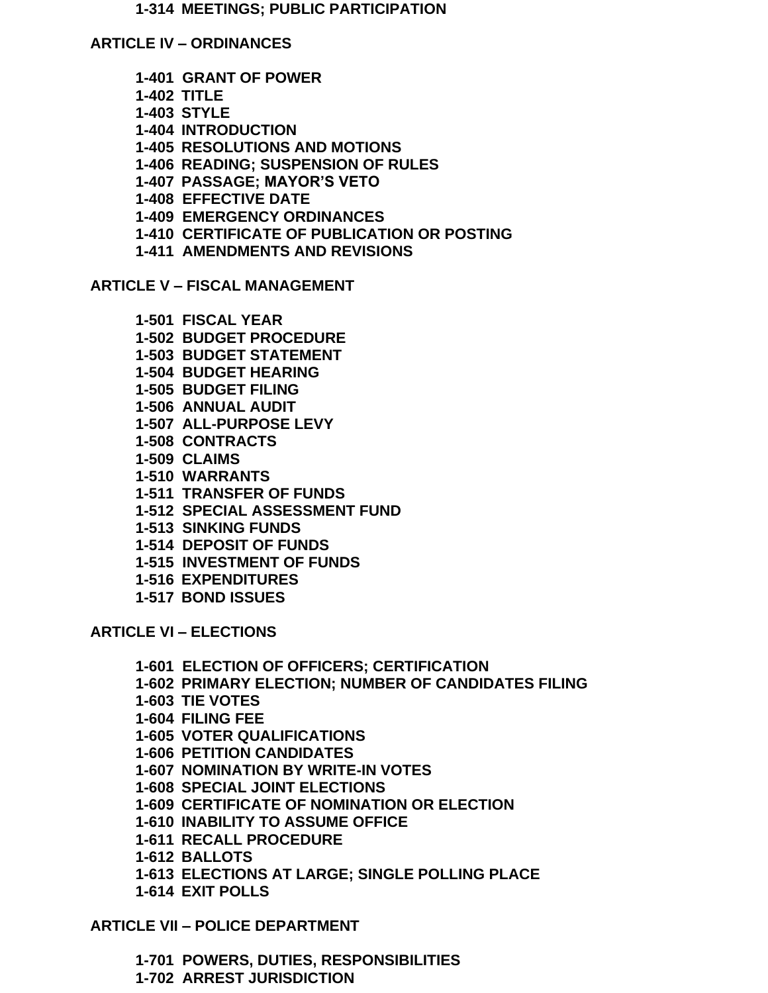**1-314 MEETINGS; PUBLIC PARTICIPATION**

**ARTICLE IV – ORDINANCES**

- **1-401 GRANT OF POWER**
- **1-402 TITLE**
- **1-403 STYLE**
- **1-404 INTRODUCTION**
- **1-405 RESOLUTIONS AND MOTIONS**
- **1-406 READING; SUSPENSION OF RULES**
- **1-407 PASSAGE; MAYOR'S VETO**
- **1-408 EFFECTIVE DATE**
- **1-409 EMERGENCY ORDINANCES**
- **1-410 CERTIFICATE OF PUBLICATION OR POSTING**
- **1-411 AMENDMENTS AND REVISIONS**

**ARTICLE V – FISCAL MANAGEMENT**

- **1-501 FISCAL YEAR**
- **1-502 BUDGET PROCEDURE**
- **1-503 BUDGET STATEMENT**
- **1-504 BUDGET HEARING**
- **1-505 BUDGET FILING**
- **1-506 ANNUAL AUDIT**
- **1-507 ALL-PURPOSE LEVY**
- **1-508 CONTRACTS**
- **1-509 CLAIMS**
- **1-510 WARRANTS**
- **1-511 TRANSFER OF FUNDS**
- **1-512 SPECIAL ASSESSMENT FUND**
- **1-513 SINKING FUNDS**
- **1-514 DEPOSIT OF FUNDS**
- **1-515 INVESTMENT OF FUNDS**
- **1-516 EXPENDITURES**
- **1-517 BOND ISSUES**

**ARTICLE VI – ELECTIONS**

**1-601 ELECTION OF OFFICERS; CERTIFICATION 1-602 PRIMARY ELECTION; NUMBER OF CANDIDATES FILING 1-603 TIE VOTES 1-604 FILING FEE 1-605 VOTER QUALIFICATIONS 1-606 PETITION CANDIDATES 1-607 NOMINATION BY WRITE-IN VOTES 1-608 SPECIAL JOINT ELECTIONS 1-609 CERTIFICATE OF NOMINATION OR ELECTION 1-610 INABILITY TO ASSUME OFFICE 1-611 RECALL PROCEDURE 1-612 BALLOTS 1-613 ELECTIONS AT LARGE; SINGLE POLLING PLACE 1-614 EXIT POLLS**

# **ARTICLE VII – POLICE DEPARTMENT**

**1-701 POWERS, DUTIES, RESPONSIBILITIES 1-702 ARREST JURISDICTION**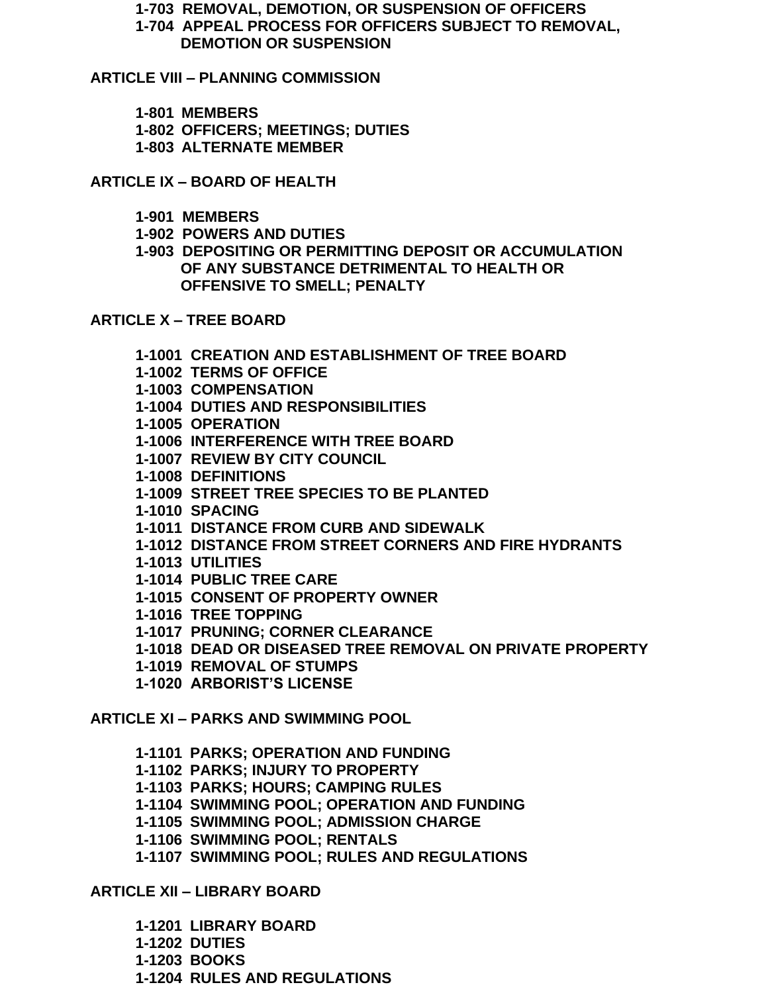**1-703 REMOVAL, DEMOTION, OR SUSPENSION OF OFFICERS**

**1-704 APPEAL PROCESS FOR OFFICERS SUBJECT TO REMOVAL, DEMOTION OR SUSPENSION**

**ARTICLE VIII – PLANNING COMMISSION**

- **1-801 MEMBERS**
- **1-802 OFFICERS; MEETINGS; DUTIES**
- **1-803 ALTERNATE MEMBER**

**ARTICLE IX – BOARD OF HEALTH**

- **1-901 MEMBERS**
- **1-902 POWERS AND DUTIES**
- **1-903 DEPOSITING OR PERMITTING DEPOSIT OR ACCUMULATION OF ANY SUBSTANCE DETRIMENTAL TO HEALTH OR OFFENSIVE TO SMELL; PENALTY**

#### **ARTICLE X – TREE BOARD**

- **1-1001 CREATION AND ESTABLISHMENT OF TREE BOARD**
- **1-1002 TERMS OF OFFICE**
- **1-1003 COMPENSATION**
- **1-1004 DUTIES AND RESPONSIBILITIES**
- **1-1005 OPERATION**
- **1-1006 INTERFERENCE WITH TREE BOARD**
- **1-1007 REVIEW BY CITY COUNCIL**
- **1-1008 DEFINITIONS**
- **1-1009 STREET TREE SPECIES TO BE PLANTED**
- **1-1010 SPACING**
- **1-1011 DISTANCE FROM CURB AND SIDEWALK**
- **1-1012 DISTANCE FROM STREET CORNERS AND FIRE HYDRANTS**
- **1-1013 UTILITIES**
- **1-1014 PUBLIC TREE CARE**
- **1-1015 CONSENT OF PROPERTY OWNER**
- **1-1016 TREE TOPPING**
- **1-1017 PRUNING; CORNER CLEARANCE**
- **1-1018 DEAD OR DISEASED TREE REMOVAL ON PRIVATE PROPERTY**
- **1-1019 REMOVAL OF STUMPS**
- **1-1020 ARBORIST'S LICENSE**

**ARTICLE XI – PARKS AND SWIMMING POOL**

- **1-1101 PARKS; OPERATION AND FUNDING**
- **1-1102 PARKS; INJURY TO PROPERTY**
- **1-1103 PARKS; HOURS; CAMPING RULES**
- **1-1104 SWIMMING POOL; OPERATION AND FUNDING**
- **1-1105 SWIMMING POOL; ADMISSION CHARGE**
- **1-1106 SWIMMING POOL; RENTALS**
- **1-1107 SWIMMING POOL; RULES AND REGULATIONS**

# **ARTICLE XII – LIBRARY BOARD**

- **1-1201 LIBRARY BOARD**
- **1-1202 DUTIES**
- **1-1203 BOOKS**
- **1-1204 RULES AND REGULATIONS**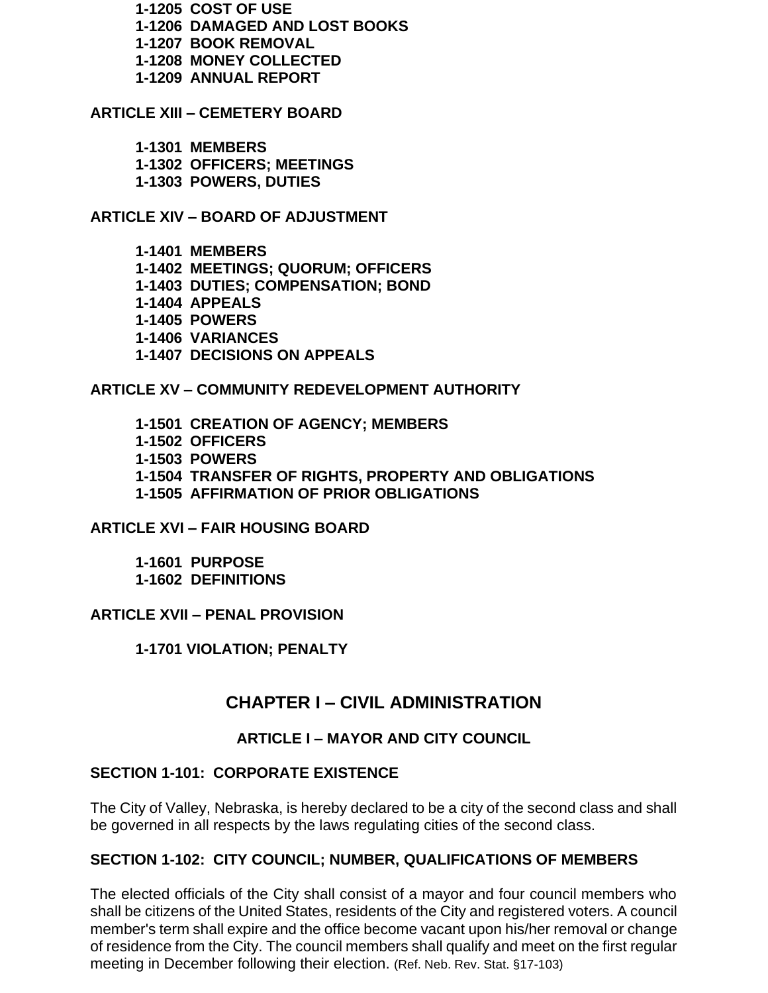**1-1205 COST OF USE**

- **1-1206 DAMAGED AND LOST BOOKS**
- **1-1207 BOOK REMOVAL**
- **1-1208 MONEY COLLECTED**
- **1-1209 ANNUAL REPORT**

### **ARTICLE XIII – CEMETERY BOARD**

- **1-1301 MEMBERS**
- **1-1302 OFFICERS; MEETINGS**
- **1-1303 POWERS, DUTIES**

#### **ARTICLE XIV – BOARD OF ADJUSTMENT**

- **1-1401 MEMBERS**
- **1-1402 MEETINGS; QUORUM; OFFICERS**
- **1-1403 DUTIES; COMPENSATION; BOND**
- **1-1404 APPEALS**
- **1-1405 POWERS**
- **1-1406 VARIANCES**
- **1-1407 DECISIONS ON APPEALS**

#### **ARTICLE XV – COMMUNITY REDEVELOPMENT AUTHORITY**

**1-1501 CREATION OF AGENCY; MEMBERS 1-1502 OFFICERS 1-1503 POWERS 1-1504 TRANSFER OF RIGHTS, PROPERTY AND OBLIGATIONS 1-1505 AFFIRMATION OF PRIOR OBLIGATIONS**

#### **ARTICLE XVI – FAIR HOUSING BOARD**

**1-1601 PURPOSE 1-1602 DEFINITIONS**

#### **ARTICLE XVII – PENAL PROVISION**

**1-1701 VIOLATION; PENALTY**

# **CHAPTER I – CIVIL ADMINISTRATION**

#### **ARTICLE I – MAYOR AND CITY COUNCIL**

#### **SECTION 1-101: CORPORATE EXISTENCE**

The City of Valley, Nebraska, is hereby declared to be a city of the second class and shall be governed in all respects by the laws regulating cities of the second class.

#### **SECTION 1-102: CITY COUNCIL; NUMBER, QUALIFICATIONS OF MEMBERS**

The elected officials of the City shall consist of a mayor and four council members who shall be citizens of the United States, residents of the City and registered voters. A council member's term shall expire and the office become vacant upon his/her removal or change of residence from the City. The council members shall qualify and meet on the first regular meeting in December following their election. (Ref. Neb. Rev. Stat. §17-103)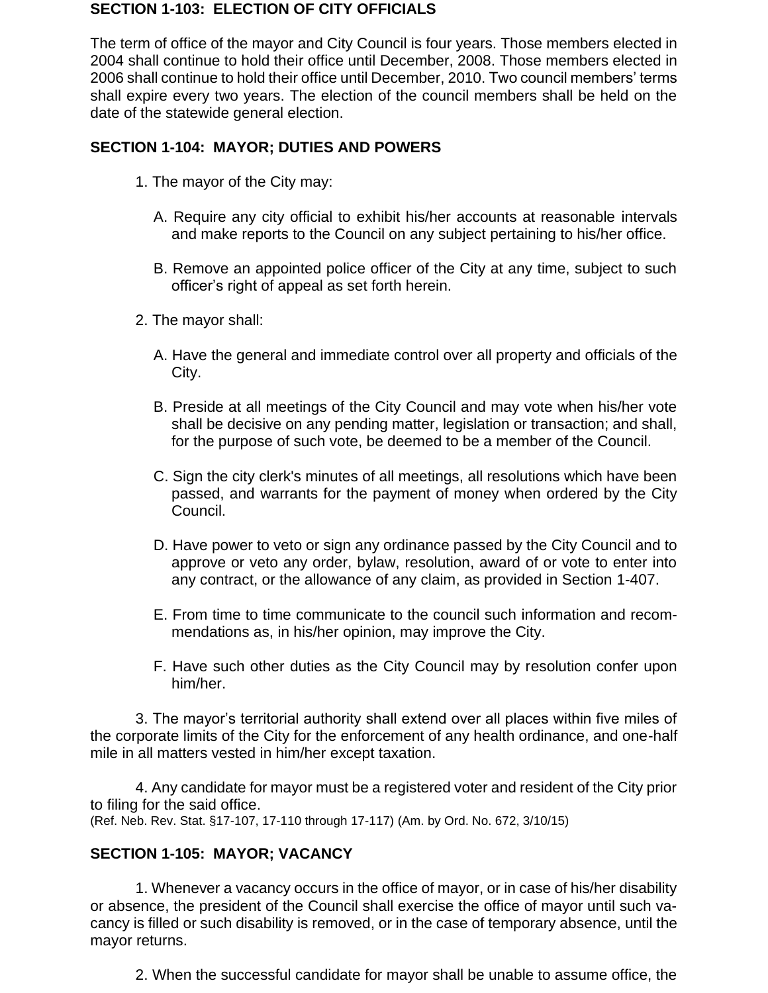#### **SECTION 1-103: ELECTION OF CITY OFFICIALS**

The term of office of the mayor and City Council is four years. Those members elected in 2004 shall continue to hold their office until December, 2008. Those members elected in 2006 shall continue to hold their office until December, 2010. Two council members' terms shall expire every two years. The election of the council members shall be held on the date of the statewide general election.

#### **SECTION 1-104: MAYOR; DUTIES AND POWERS**

- 1. The mayor of the City may:
	- A. Require any city official to exhibit his/her accounts at reasonable intervals and make reports to the Council on any subject pertaining to his/her office.
	- B. Remove an appointed police officer of the City at any time, subject to such officer's right of appeal as set forth herein.
- 2. The mayor shall:
	- A. Have the general and immediate control over all property and officials of the City.
	- B. Preside at all meetings of the City Council and may vote when his/her vote shall be decisive on any pending matter, legislation or transaction; and shall, for the purpose of such vote, be deemed to be a member of the Council.
	- C. Sign the city clerk's minutes of all meetings, all resolutions which have been passed, and warrants for the payment of money when ordered by the City Council.
	- D. Have power to veto or sign any ordinance passed by the City Council and to approve or veto any order, bylaw, resolution, award of or vote to enter into any contract, or the allowance of any claim, as provided in Section 1-407.
	- E. From time to time communicate to the council such information and recommendations as, in his/her opinion, may improve the City.
	- F. Have such other duties as the City Council may by resolution confer upon him/her.

3. The mayor's territorial authority shall extend over all places within five miles of the corporate limits of the City for the enforcement of any health ordinance, and one-half mile in all matters vested in him/her except taxation.

4. Any candidate for mayor must be a registered voter and resident of the City prior to filing for the said office. (Ref. Neb. Rev. Stat. §17-107, 17-110 through 17-117) (Am. by Ord. No. 672, 3/10/15)

#### **SECTION 1-105: MAYOR; VACANCY**

1. Whenever a vacancy occurs in the office of mayor, or in case of his/her disability or absence, the president of the Council shall exercise the office of mayor until such vacancy is filled or such disability is removed, or in the case of temporary absence, until the mayor returns.

2. When the successful candidate for mayor shall be unable to assume office, the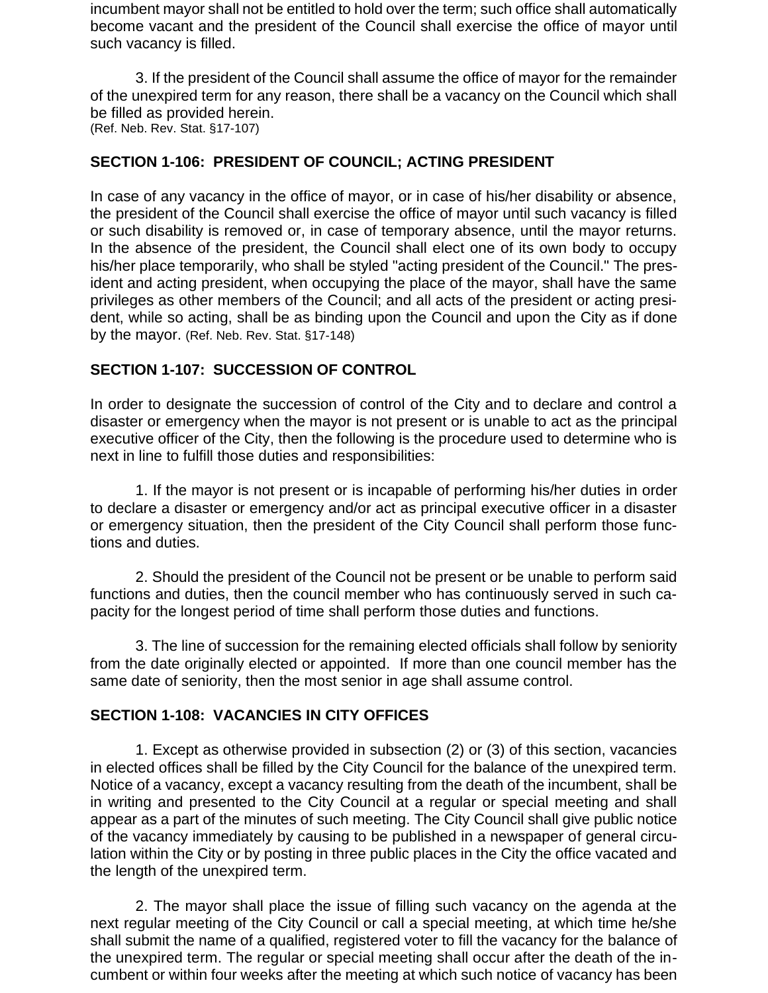incumbent mayor shall not be entitled to hold over the term; such office shall automatically become vacant and the president of the Council shall exercise the office of mayor until such vacancy is filled.

3. If the president of the Council shall assume the office of mayor for the remainder of the unexpired term for any reason, there shall be a vacancy on the Council which shall be filled as provided herein. (Ref. Neb. Rev. Stat. §17-107)

### **SECTION 1-106: PRESIDENT OF COUNCIL; ACTING PRESIDENT**

In case of any vacancy in the office of mayor, or in case of his/her disability or absence, the president of the Council shall exercise the office of mayor until such vacancy is filled or such disability is removed or, in case of temporary absence, until the mayor returns. In the absence of the president, the Council shall elect one of its own body to occupy his/her place temporarily, who shall be styled "acting president of the Council." The president and acting president, when occupying the place of the mayor, shall have the same privileges as other members of the Council; and all acts of the president or acting president, while so acting, shall be as binding upon the Council and upon the City as if done by the mayor. (Ref. Neb. Rev. Stat. §17-148)

#### **SECTION 1-107: SUCCESSION OF CONTROL**

In order to designate the succession of control of the City and to declare and control a disaster or emergency when the mayor is not present or is unable to act as the principal executive officer of the City, then the following is the procedure used to determine who is next in line to fulfill those duties and responsibilities:

1. If the mayor is not present or is incapable of performing his/her duties in order to declare a disaster or emergency and/or act as principal executive officer in a disaster or emergency situation, then the president of the City Council shall perform those functions and duties.

2. Should the president of the Council not be present or be unable to perform said functions and duties, then the council member who has continuously served in such capacity for the longest period of time shall perform those duties and functions.

3. The line of succession for the remaining elected officials shall follow by seniority from the date originally elected or appointed. If more than one council member has the same date of seniority, then the most senior in age shall assume control.

#### **SECTION 1-108: VACANCIES IN CITY OFFICES**

1. Except as otherwise provided in subsection (2) or (3) of this section, vacancies in elected offices shall be filled by the City Council for the balance of the unexpired term. Notice of a vacancy, except a vacancy resulting from the death of the incumbent, shall be in writing and presented to the City Council at a regular or special meeting and shall appear as a part of the minutes of such meeting. The City Council shall give public notice of the vacancy immediately by causing to be published in a newspaper of general circulation within the City or by posting in three public places in the City the office vacated and the length of the unexpired term.

2. The mayor shall place the issue of filling such vacancy on the agenda at the next regular meeting of the City Council or call a special meeting, at which time he/she shall submit the name of a qualified, registered voter to fill the vacancy for the balance of the unexpired term. The regular or special meeting shall occur after the death of the incumbent or within four weeks after the meeting at which such notice of vacancy has been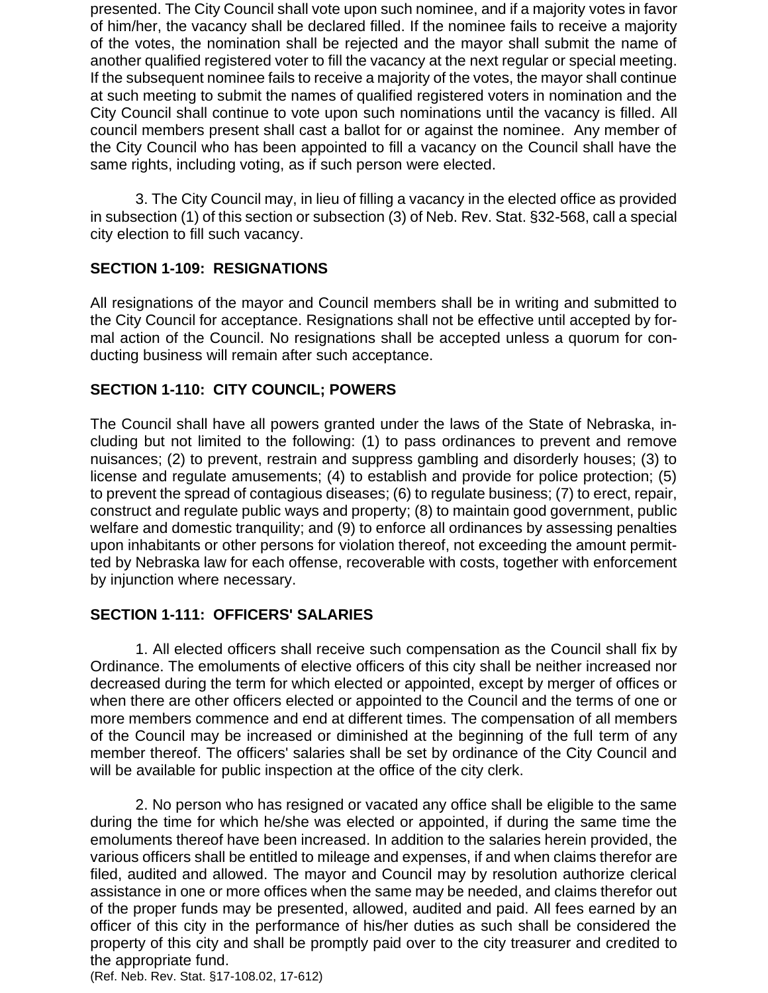presented. The City Council shall vote upon such nominee, and if a majority votes in favor of him/her, the vacancy shall be declared filled. If the nominee fails to receive a majority of the votes, the nomination shall be rejected and the mayor shall submit the name of another qualified registered voter to fill the vacancy at the next regular or special meeting. If the subsequent nominee fails to receive a majority of the votes, the mayor shall continue at such meeting to submit the names of qualified registered voters in nomination and the City Council shall continue to vote upon such nominations until the vacancy is filled. All council members present shall cast a ballot for or against the nominee. Any member of the City Council who has been appointed to fill a vacancy on the Council shall have the same rights, including voting, as if such person were elected.

3. The City Council may, in lieu of filling a vacancy in the elected office as provided in subsection (1) of this section or subsection (3) of Neb. Rev. Stat. §32-568, call a special city election to fill such vacancy.

# **SECTION 1-109: RESIGNATIONS**

All resignations of the mayor and Council members shall be in writing and submitted to the City Council for acceptance. Resignations shall not be effective until accepted by formal action of the Council. No resignations shall be accepted unless a quorum for conducting business will remain after such acceptance.

### **SECTION 1-110: CITY COUNCIL; POWERS**

The Council shall have all powers granted under the laws of the State of Nebraska, including but not limited to the following: (1) to pass ordinances to prevent and remove nuisances; (2) to prevent, restrain and suppress gambling and disorderly houses; (3) to license and regulate amusements; (4) to establish and provide for police protection; (5) to prevent the spread of contagious diseases; (6) to regulate business; (7) to erect, repair, construct and regulate public ways and property; (8) to maintain good government, public welfare and domestic tranquility; and (9) to enforce all ordinances by assessing penalties upon inhabitants or other persons for violation thereof, not exceeding the amount permitted by Nebraska law for each offense, recoverable with costs, together with enforcement by injunction where necessary.

#### **SECTION 1-111: OFFICERS' SALARIES**

1. All elected officers shall receive such compensation as the Council shall fix by Ordinance. The emoluments of elective officers of this city shall be neither increased nor decreased during the term for which elected or appointed, except by merger of offices or when there are other officers elected or appointed to the Council and the terms of one or more members commence and end at different times. The compensation of all members of the Council may be increased or diminished at the beginning of the full term of any member thereof. The officers' salaries shall be set by ordinance of the City Council and will be available for public inspection at the office of the city clerk.

2. No person who has resigned or vacated any office shall be eligible to the same during the time for which he/she was elected or appointed, if during the same time the emoluments thereof have been increased. In addition to the salaries herein provided, the various officers shall be entitled to mileage and expenses, if and when claims therefor are filed, audited and allowed. The mayor and Council may by resolution authorize clerical assistance in one or more offices when the same may be needed, and claims therefor out of the proper funds may be presented, allowed, audited and paid. All fees earned by an officer of this city in the performance of his/her duties as such shall be considered the property of this city and shall be promptly paid over to the city treasurer and credited to the appropriate fund.

(Ref. Neb. Rev. Stat. §17-108.02, 17-612)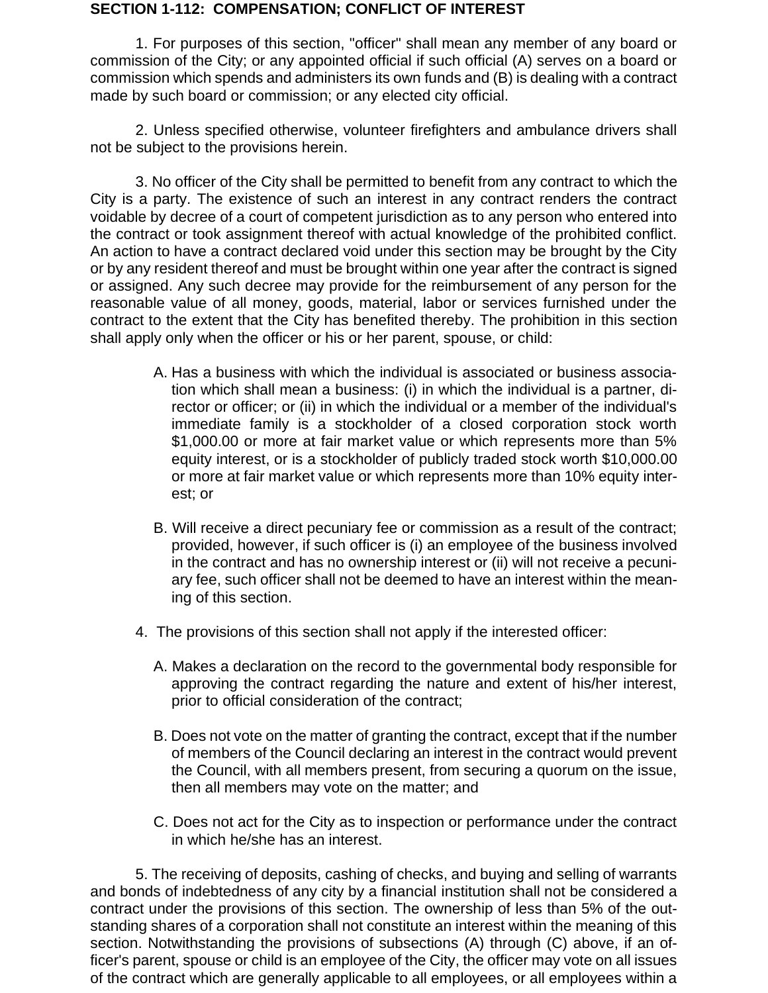#### **SECTION 1-112: COMPENSATION; CONFLICT OF INTEREST**

1. For purposes of this section, "officer" shall mean any member of any board or commission of the City; or any appointed official if such official (A) serves on a board or commission which spends and administers its own funds and (B) is dealing with a contract made by such board or commission; or any elected city official.

2. Unless specified otherwise, volunteer firefighters and ambulance drivers shall not be subject to the provisions herein.

3. No officer of the City shall be permitted to benefit from any contract to which the City is a party. The existence of such an interest in any contract renders the contract voidable by decree of a court of competent jurisdiction as to any person who entered into the contract or took assignment thereof with actual knowledge of the prohibited conflict. An action to have a contract declared void under this section may be brought by the City or by any resident thereof and must be brought within one year after the contract is signed or assigned. Any such decree may provide for the reimbursement of any person for the reasonable value of all money, goods, material, labor or services furnished under the contract to the extent that the City has benefited thereby. The prohibition in this section shall apply only when the officer or his or her parent, spouse, or child:

- A. Has a business with which the individual is associated or business association which shall mean a business: (i) in which the individual is a partner, director or officer; or (ii) in which the individual or a member of the individual's immediate family is a stockholder of a closed corporation stock worth \$1,000.00 or more at fair market value or which represents more than 5% equity interest, or is a stockholder of publicly traded stock worth \$10,000.00 or more at fair market value or which represents more than 10% equity interest; or
- B. Will receive a direct pecuniary fee or commission as a result of the contract; provided, however, if such officer is (i) an employee of the business involved in the contract and has no ownership interest or (ii) will not receive a pecuniary fee, such officer shall not be deemed to have an interest within the meaning of this section.
- 4. The provisions of this section shall not apply if the interested officer:
	- A. Makes a declaration on the record to the governmental body responsible for approving the contract regarding the nature and extent of his/her interest, prior to official consideration of the contract;
	- B. Does not vote on the matter of granting the contract, except that if the number of members of the Council declaring an interest in the contract would prevent the Council, with all members present, from securing a quorum on the issue, then all members may vote on the matter; and
	- C. Does not act for the City as to inspection or performance under the contract in which he/she has an interest.

5. The receiving of deposits, cashing of checks, and buying and selling of warrants and bonds of indebtedness of any city by a financial institution shall not be considered a contract under the provisions of this section. The ownership of less than 5% of the outstanding shares of a corporation shall not constitute an interest within the meaning of this section. Notwithstanding the provisions of subsections (A) through (C) above, if an officer's parent, spouse or child is an employee of the City, the officer may vote on all issues of the contract which are generally applicable to all employees, or all employees within a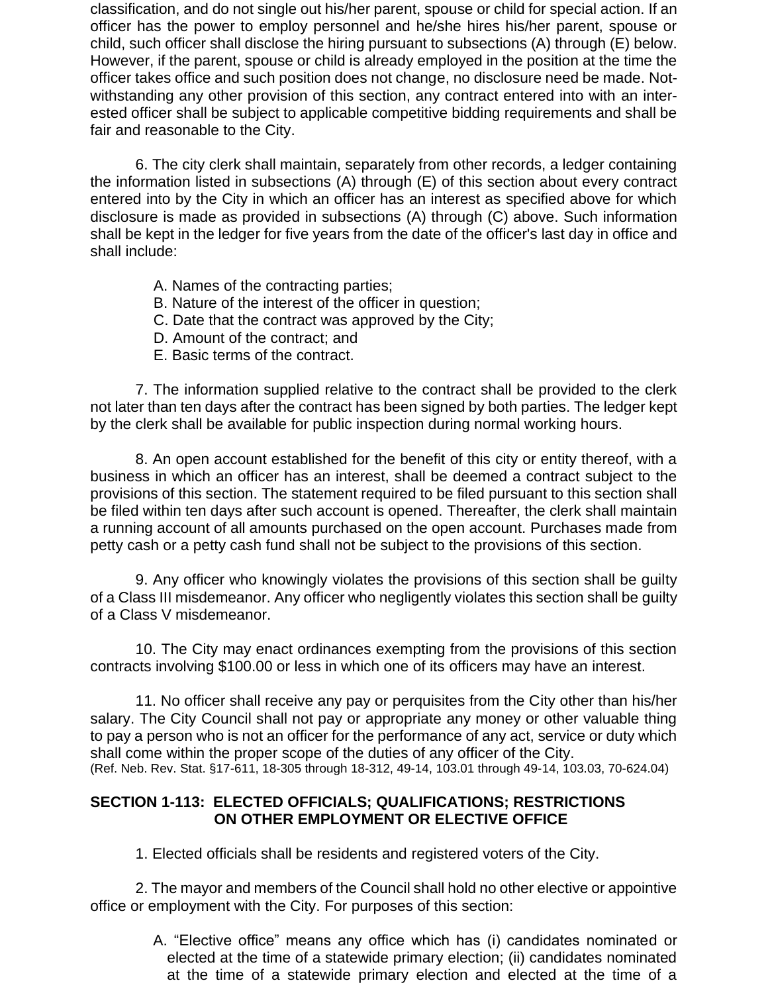classification, and do not single out his/her parent, spouse or child for special action. If an officer has the power to employ personnel and he/she hires his/her parent, spouse or child, such officer shall disclose the hiring pursuant to subsections (A) through (E) below. However, if the parent, spouse or child is already employed in the position at the time the officer takes office and such position does not change, no disclosure need be made. Notwithstanding any other provision of this section, any contract entered into with an interested officer shall be subject to applicable competitive bidding requirements and shall be fair and reasonable to the City.

6. The city clerk shall maintain, separately from other records, a ledger containing the information listed in subsections (A) through (E) of this section about every contract entered into by the City in which an officer has an interest as specified above for which disclosure is made as provided in subsections (A) through (C) above. Such information shall be kept in the ledger for five years from the date of the officer's last day in office and shall include:

- A. Names of the contracting parties;
- B. Nature of the interest of the officer in question;
- C. Date that the contract was approved by the City;
- D. Amount of the contract; and
- E. Basic terms of the contract.

7. The information supplied relative to the contract shall be provided to the clerk not later than ten days after the contract has been signed by both parties. The ledger kept by the clerk shall be available for public inspection during normal working hours.

8. An open account established for the benefit of this city or entity thereof, with a business in which an officer has an interest, shall be deemed a contract subject to the provisions of this section. The statement required to be filed pursuant to this section shall be filed within ten days after such account is opened. Thereafter, the clerk shall maintain a running account of all amounts purchased on the open account. Purchases made from petty cash or a petty cash fund shall not be subject to the provisions of this section.

9. Any officer who knowingly violates the provisions of this section shall be guilty of a Class III misdemeanor. Any officer who negligently violates this section shall be guilty of a Class V misdemeanor.

10. The City may enact ordinances exempting from the provisions of this section contracts involving \$100.00 or less in which one of its officers may have an interest.

11. No officer shall receive any pay or perquisites from the City other than his/her salary. The City Council shall not pay or appropriate any money or other valuable thing to pay a person who is not an officer for the performance of any act, service or duty which shall come within the proper scope of the duties of any officer of the City. (Ref. Neb. Rev. Stat. §17-611, 18-305 through 18-312, 49-14, 103.01 through 49-14, 103.03, 70-624.04)

# **SECTION 1-113: ELECTED OFFICIALS; QUALIFICATIONS; RESTRICTIONS ON OTHER EMPLOYMENT OR ELECTIVE OFFICE**

1. Elected officials shall be residents and registered voters of the City.

2. The mayor and members of the Council shall hold no other elective or appointive office or employment with the City. For purposes of this section:

> A. "Elective office" means any office which has (i) candidates nominated or elected at the time of a statewide primary election; (ii) candidates nominated at the time of a statewide primary election and elected at the time of a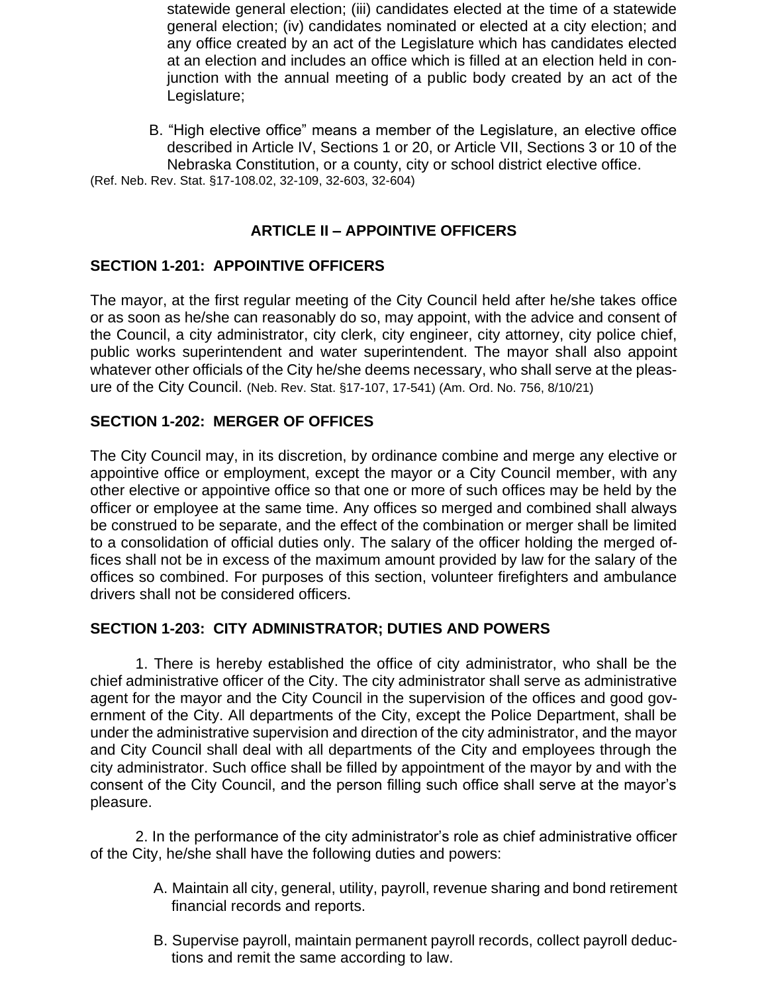statewide general election; (iii) candidates elected at the time of a statewide general election; (iv) candidates nominated or elected at a city election; and any office created by an act of the Legislature which has candidates elected at an election and includes an office which is filled at an election held in conjunction with the annual meeting of a public body created by an act of the Legislature;

B. "High elective office" means a member of the Legislature, an elective office described in Article IV, Sections 1 or 20, or Article VII, Sections 3 or 10 of the Nebraska Constitution, or a county, city or school district elective office. (Ref. Neb. Rev. Stat. §17-108.02, 32-109, 32-603, 32-604)

# **ARTICLE II – APPOINTIVE OFFICERS**

# **SECTION 1-201: APPOINTIVE OFFICERS**

The mayor, at the first regular meeting of the City Council held after he/she takes office or as soon as he/she can reasonably do so, may appoint, with the advice and consent of the Council, a city administrator, city clerk, city engineer, city attorney, city police chief, public works superintendent and water superintendent. The mayor shall also appoint whatever other officials of the City he/she deems necessary, who shall serve at the pleasure of the City Council. (Neb. Rev. Stat. §17-107, 17-541) (Am. Ord. No. 756, 8/10/21)

# **SECTION 1-202: MERGER OF OFFICES**

The City Council may, in its discretion, by ordinance combine and merge any elective or appointive office or employment, except the mayor or a City Council member, with any other elective or appointive office so that one or more of such offices may be held by the officer or employee at the same time. Any offices so merged and combined shall always be construed to be separate, and the effect of the combination or merger shall be limited to a consolidation of official duties only. The salary of the officer holding the merged offices shall not be in excess of the maximum amount provided by law for the salary of the offices so combined. For purposes of this section, volunteer firefighters and ambulance drivers shall not be considered officers.

# **SECTION 1-203: CITY ADMINISTRATOR; DUTIES AND POWERS**

1. There is hereby established the office of city administrator, who shall be the chief administrative officer of the City. The city administrator shall serve as administrative agent for the mayor and the City Council in the supervision of the offices and good government of the City. All departments of the City, except the Police Department, shall be under the administrative supervision and direction of the city administrator, and the mayor and City Council shall deal with all departments of the City and employees through the city administrator. Such office shall be filled by appointment of the mayor by and with the consent of the City Council, and the person filling such office shall serve at the mayor's pleasure.

2. In the performance of the city administrator's role as chief administrative officer of the City, he/she shall have the following duties and powers:

- A. Maintain all city, general, utility, payroll, revenue sharing and bond retirement financial records and reports.
- B. Supervise payroll, maintain permanent payroll records, collect payroll deductions and remit the same according to law.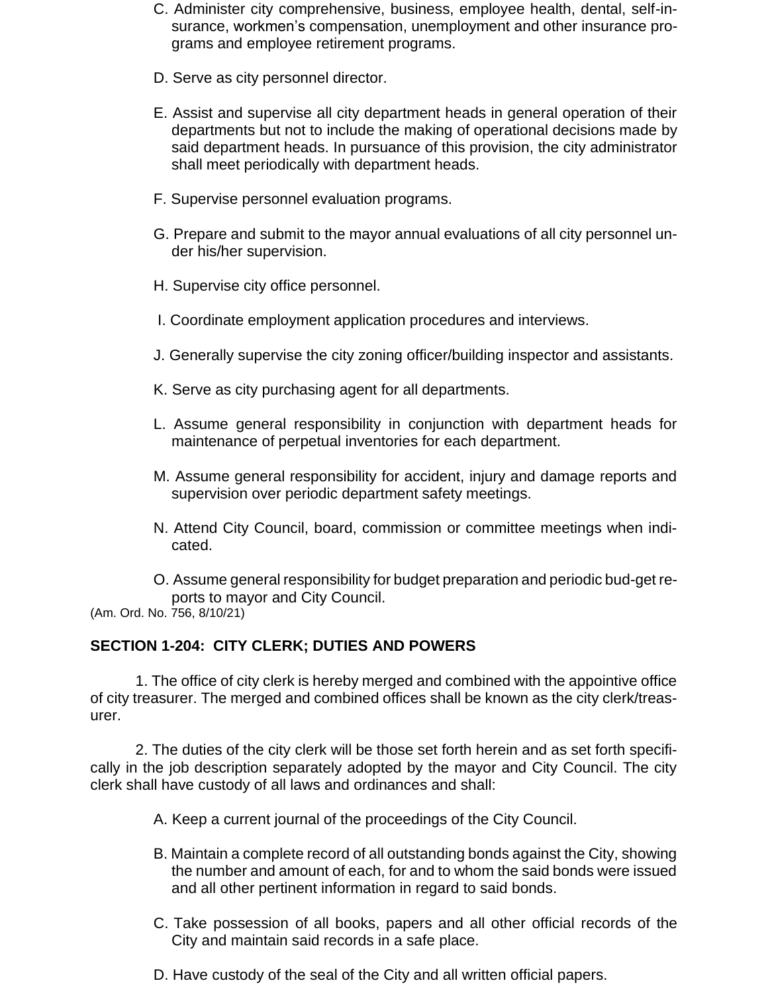- C. Administer city comprehensive, business, employee health, dental, self-insurance, workmen's compensation, unemployment and other insurance programs and employee retirement programs.
- D. Serve as city personnel director.
- E. Assist and supervise all city department heads in general operation of their departments but not to include the making of operational decisions made by said department heads. In pursuance of this provision, the city administrator shall meet periodically with department heads.
- F. Supervise personnel evaluation programs.
- G. Prepare and submit to the mayor annual evaluations of all city personnel under his/her supervision.
- H. Supervise city office personnel.
- I. Coordinate employment application procedures and interviews.
- J. Generally supervise the city zoning officer/building inspector and assistants.
- K. Serve as city purchasing agent for all departments.
- L. Assume general responsibility in conjunction with department heads for maintenance of perpetual inventories for each department.
- M. Assume general responsibility for accident, injury and damage reports and supervision over periodic department safety meetings.
- N. Attend City Council, board, commission or committee meetings when indicated.
- O. Assume general responsibility for budget preparation and periodic bud-get reports to mayor and City Council.

(Am. Ord. No. 756, 8/10/21)

#### **SECTION 1-204: CITY CLERK; DUTIES AND POWERS**

1. The office of city clerk is hereby merged and combined with the appointive office of city treasurer. The merged and combined offices shall be known as the city clerk/treasurer.

2. The duties of the city clerk will be those set forth herein and as set forth specifically in the job description separately adopted by the mayor and City Council. The city clerk shall have custody of all laws and ordinances and shall:

A. Keep a current journal of the proceedings of the City Council.

- B. Maintain a complete record of all outstanding bonds against the City, showing the number and amount of each, for and to whom the said bonds were issued and all other pertinent information in regard to said bonds.
- C. Take possession of all books, papers and all other official records of the City and maintain said records in a safe place.
- D. Have custody of the seal of the City and all written official papers.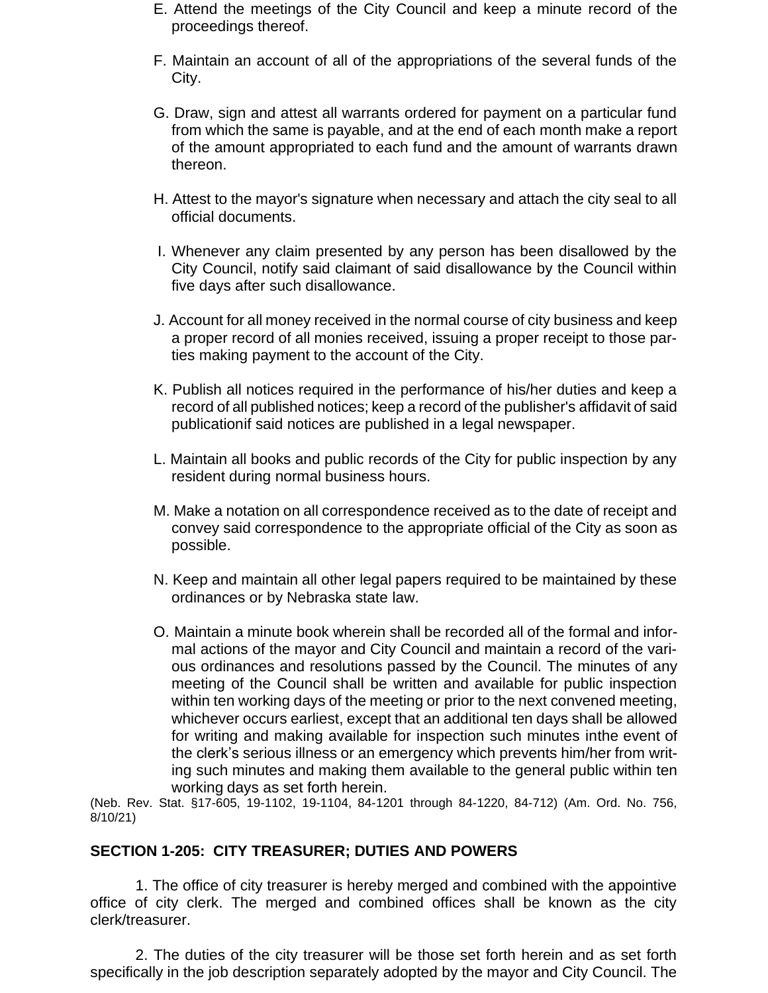- E. Attend the meetings of the City Council and keep a minute record of the proceedings thereof.
- F. Maintain an account of all of the appropriations of the several funds of the City.
- G. Draw, sign and attest all warrants ordered for payment on a particular fund from which the same is payable, and at the end of each month make a report of the amount appropriated to each fund and the amount of warrants drawn thereon.
- H. Attest to the mayor's signature when necessary and attach the city seal to all official documents.
- I. Whenever any claim presented by any person has been disallowed by the City Council, notify said claimant of said disallowance by the Council within five days after such disallowance.
- J. Account for all money received in the normal course of city business and keep a proper record of all monies received, issuing a proper receipt to those parties making payment to the account of the City.
- K. Publish all notices required in the performance of his/her duties and keep a record of all published notices; keep a record of the publisher's affidavit of said publicationif said notices are published in a legal newspaper.
- L. Maintain all books and public records of the City for public inspection by any resident during normal business hours.
- M. Make a notation on all correspondence received as to the date of receipt and convey said correspondence to the appropriate official of the City as soon as possible.
- N. Keep and maintain all other legal papers required to be maintained by these ordinances or by Nebraska state law.
- O. Maintain a minute book wherein shall be recorded all of the formal and informal actions of the mayor and City Council and maintain a record of the various ordinances and resolutions passed by the Council. The minutes of any meeting of the Council shall be written and available for public inspection within ten working days of the meeting or prior to the next convened meeting, whichever occurs earliest, except that an additional ten days shall be allowed for writing and making available for inspection such minutes inthe event of the clerk's serious illness or an emergency which prevents him/her from writing such minutes and making them available to the general public within ten working days as set forth herein.

(Neb. Rev. Stat. §17-605, 19-1102, 19-1104, 84-1201 through 84-1220, 84-712) (Am. Ord. No. 756, 8/10/21)

#### **SECTION 1-205: CITY TREASURER; DUTIES AND POWERS**

1. The office of city treasurer is hereby merged and combined with the appointive office of city clerk. The merged and combined offices shall be known as the city clerk/treasurer.

2. The duties of the city treasurer will be those set forth herein and as set forth specifically in the job description separately adopted by the mayor and City Council. The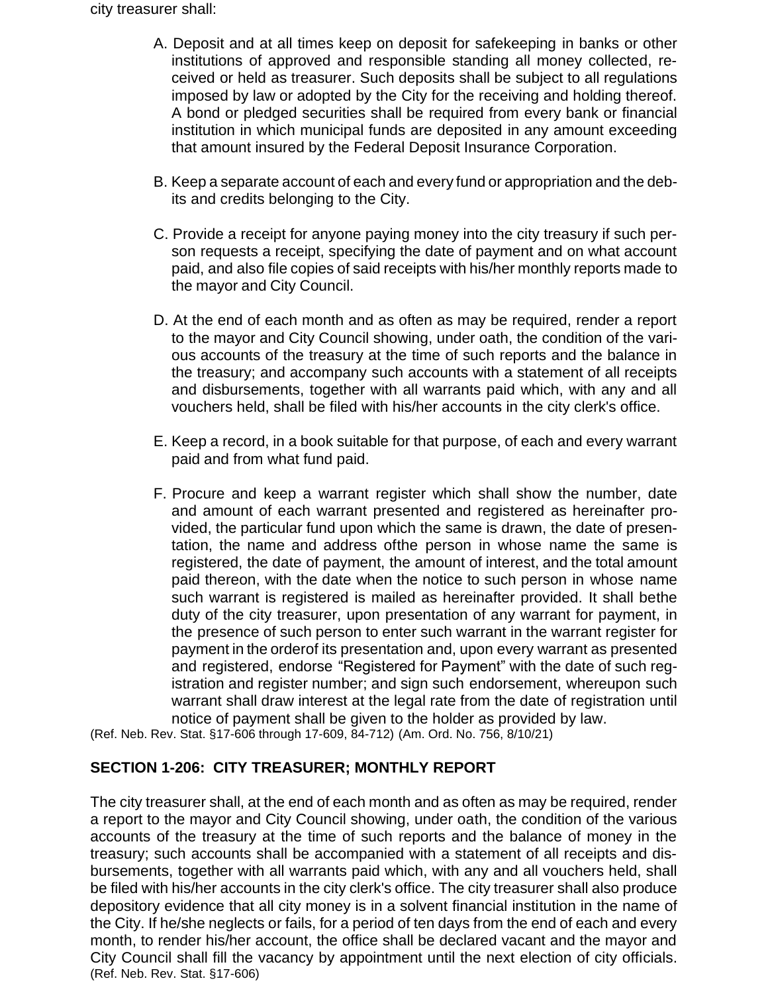city treasurer shall:

- A. Deposit and at all times keep on deposit for safekeeping in banks or other institutions of approved and responsible standing all money collected, received or held as treasurer. Such deposits shall be subject to all regulations imposed by law or adopted by the City for the receiving and holding thereof. A bond or pledged securities shall be required from every bank or financial institution in which municipal funds are deposited in any amount exceeding that amount insured by the Federal Deposit Insurance Corporation.
- B. Keep a separate account of each and every fund or appropriation and the debits and credits belonging to the City.
- C. Provide a receipt for anyone paying money into the city treasury if such person requests a receipt, specifying the date of payment and on what account paid, and also file copies of said receipts with his/her monthly reports made to the mayor and City Council.
- D. At the end of each month and as often as may be required, render a report to the mayor and City Council showing, under oath, the condition of the various accounts of the treasury at the time of such reports and the balance in the treasury; and accompany such accounts with a statement of all receipts and disbursements, together with all warrants paid which, with any and all vouchers held, shall be filed with his/her accounts in the city clerk's office.
- E. Keep a record, in a book suitable for that purpose, of each and every warrant paid and from what fund paid.
- F. Procure and keep a warrant register which shall show the number, date and amount of each warrant presented and registered as hereinafter provided, the particular fund upon which the same is drawn, the date of presentation, the name and address ofthe person in whose name the same is registered, the date of payment, the amount of interest, and the total amount paid thereon, with the date when the notice to such person in whose name such warrant is registered is mailed as hereinafter provided. It shall bethe duty of the city treasurer, upon presentation of any warrant for payment, in the presence of such person to enter such warrant in the warrant register for payment in the orderof its presentation and, upon every warrant as presented and registered, endorse "Registered for Payment" with the date of such registration and register number; and sign such endorsement, whereupon such warrant shall draw interest at the legal rate from the date of registration until notice of payment shall be given to the holder as provided by law.

(Ref. Neb. Rev. Stat. §17-606 through 17-609, 84-712) (Am. Ord. No. 756, 8/10/21)

# **SECTION 1-206: CITY TREASURER; MONTHLY REPORT**

The city treasurer shall, at the end of each month and as often as may be required, render a report to the mayor and City Council showing, under oath, the condition of the various accounts of the treasury at the time of such reports and the balance of money in the treasury; such accounts shall be accompanied with a statement of all receipts and disbursements, together with all warrants paid which, with any and all vouchers held, shall be filed with his/her accounts in the city clerk's office. The city treasurer shall also produce depository evidence that all city money is in a solvent financial institution in the name of the City. If he/she neglects or fails, for a period of ten days from the end of each and every month, to render his/her account, the office shall be declared vacant and the mayor and City Council shall fill the vacancy by appointment until the next election of city officials. (Ref. Neb. Rev. Stat. §17-606)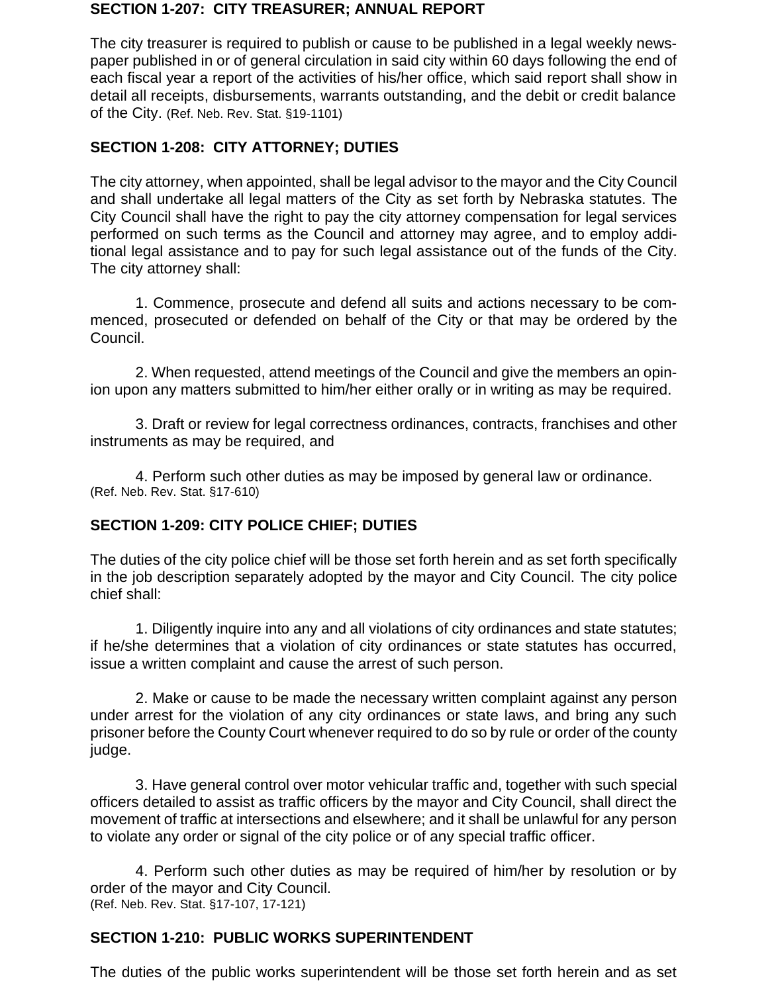#### **SECTION 1-207: CITY TREASURER; ANNUAL REPORT**

The city treasurer is required to publish or cause to be published in a legal weekly newspaper published in or of general circulation in said city within 60 days following the end of each fiscal year a report of the activities of his/her office, which said report shall show in detail all receipts, disbursements, warrants outstanding, and the debit or credit balance of the City. (Ref. Neb. Rev. Stat. §19-1101)

#### **SECTION 1-208: CITY ATTORNEY; DUTIES**

The city attorney, when appointed, shall be legal advisor to the mayor and the City Council and shall undertake all legal matters of the City as set forth by Nebraska statutes. The City Council shall have the right to pay the city attorney compensation for legal services performed on such terms as the Council and attorney may agree, and to employ additional legal assistance and to pay for such legal assistance out of the funds of the City. The city attorney shall:

1. Commence, prosecute and defend all suits and actions necessary to be commenced, prosecuted or defended on behalf of the City or that may be ordered by the Council.

2. When requested, attend meetings of the Council and give the members an opinion upon any matters submitted to him/her either orally or in writing as may be required.

3. Draft or review for legal correctness ordinances, contracts, franchises and other instruments as may be required, and

4. Perform such other duties as may be imposed by general law or ordinance. (Ref. Neb. Rev. Stat. §17-610)

#### **SECTION 1-209: CITY POLICE CHIEF; DUTIES**

The duties of the city police chief will be those set forth herein and as set forth specifically in the job description separately adopted by the mayor and City Council. The city police chief shall:

1. Diligently inquire into any and all violations of city ordinances and state statutes; if he/she determines that a violation of city ordinances or state statutes has occurred, issue a written complaint and cause the arrest of such person.

2. Make or cause to be made the necessary written complaint against any person under arrest for the violation of any city ordinances or state laws, and bring any such prisoner before the County Court whenever required to do so by rule or order of the county judge.

3. Have general control over motor vehicular traffic and, together with such special officers detailed to assist as traffic officers by the mayor and City Council, shall direct the movement of traffic at intersections and elsewhere; and it shall be unlawful for any person to violate any order or signal of the city police or of any special traffic officer.

4. Perform such other duties as may be required of him/her by resolution or by order of the mayor and City Council. (Ref. Neb. Rev. Stat. §17-107, 17-121)

#### **SECTION 1-210: PUBLIC WORKS SUPERINTENDENT**

The duties of the public works superintendent will be those set forth herein and as set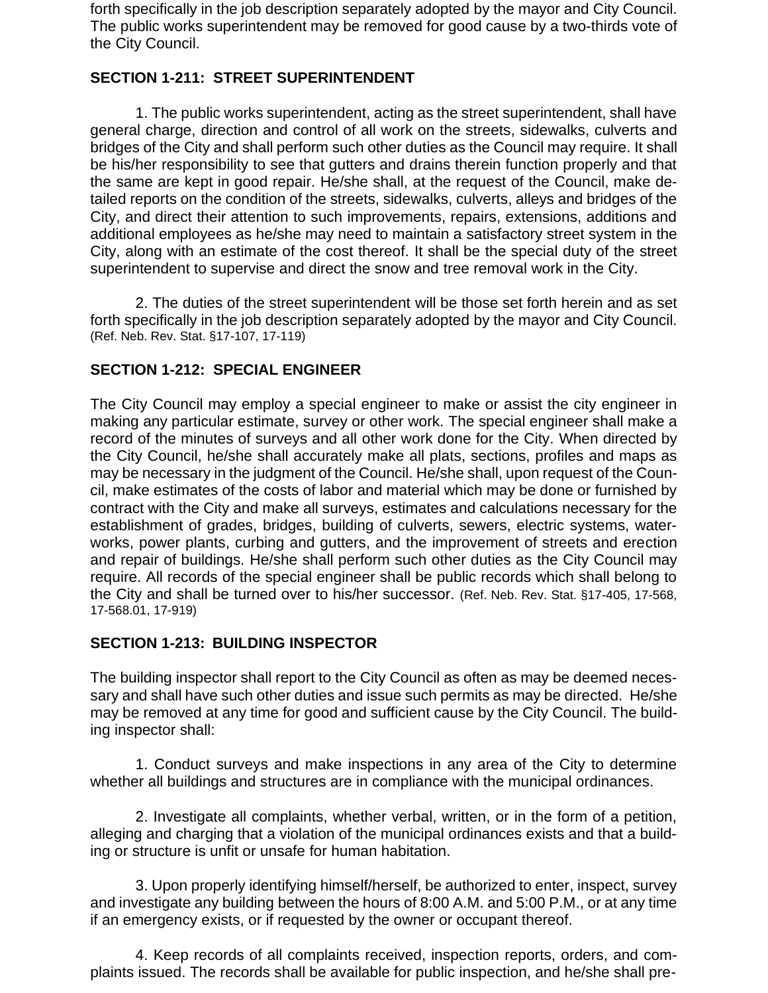forth specifically in the job description separately adopted by the mayor and City Council. The public works superintendent may be removed for good cause by a two-thirds vote of the City Council.

### **SECTION 1-211: STREET SUPERINTENDENT**

1. The public works superintendent, acting as the street superintendent, shall have general charge, direction and control of all work on the streets, sidewalks, culverts and bridges of the City and shall perform such other duties as the Council may require. It shall be his/her responsibility to see that gutters and drains therein function properly and that the same are kept in good repair. He/she shall, at the request of the Council, make detailed reports on the condition of the streets, sidewalks, culverts, alleys and bridges of the City, and direct their attention to such improvements, repairs, extensions, additions and additional employees as he/she may need to maintain a satisfactory street system in the City, along with an estimate of the cost thereof. It shall be the special duty of the street superintendent to supervise and direct the snow and tree removal work in the City.

2. The duties of the street superintendent will be those set forth herein and as set forth specifically in the job description separately adopted by the mayor and City Council. (Ref. Neb. Rev. Stat. §17-107, 17-119)

#### **SECTION 1-212: SPECIAL ENGINEER**

The City Council may employ a special engineer to make or assist the city engineer in making any particular estimate, survey or other work. The special engineer shall make a record of the minutes of surveys and all other work done for the City. When directed by the City Council, he/she shall accurately make all plats, sections, profiles and maps as may be necessary in the judgment of the Council. He/she shall, upon request of the Council, make estimates of the costs of labor and material which may be done or furnished by contract with the City and make all surveys, estimates and calculations necessary for the establishment of grades, bridges, building of culverts, sewers, electric systems, waterworks, power plants, curbing and gutters, and the improvement of streets and erection and repair of buildings. He/she shall perform such other duties as the City Council may require. All records of the special engineer shall be public records which shall belong to the City and shall be turned over to his/her successor. (Ref. Neb. Rev. Stat. §17-405, 17-568, 17-568.01, 17-919)

#### **SECTION 1-213: BUILDING INSPECTOR**

The building inspector shall report to the City Council as often as may be deemed necessary and shall have such other duties and issue such permits as may be directed. He/she may be removed at any time for good and sufficient cause by the City Council. The building inspector shall:

1. Conduct surveys and make inspections in any area of the City to determine whether all buildings and structures are in compliance with the municipal ordinances.

2. Investigate all complaints, whether verbal, written, or in the form of a petition, alleging and charging that a violation of the municipal ordinances exists and that a building or structure is unfit or unsafe for human habitation.

3. Upon properly identifying himself/herself, be authorized to enter, inspect, survey and investigate any building between the hours of 8:00 A.M. and 5:00 P.M., or at any time if an emergency exists, or if requested by the owner or occupant thereof.

4. Keep records of all complaints received, inspection reports, orders, and complaints issued. The records shall be available for public inspection, and he/she shall pre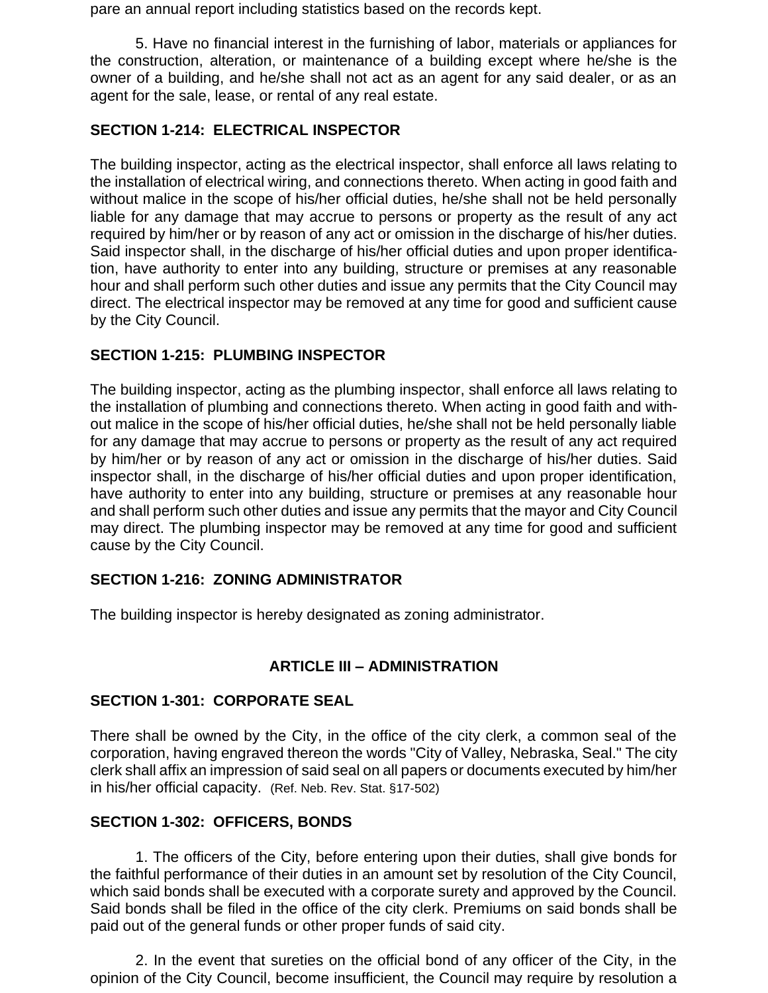pare an annual report including statistics based on the records kept.

5. Have no financial interest in the furnishing of labor, materials or appliances for the construction, alteration, or maintenance of a building except where he/she is the owner of a building, and he/she shall not act as an agent for any said dealer, or as an agent for the sale, lease, or rental of any real estate.

#### **SECTION 1-214: ELECTRICAL INSPECTOR**

The building inspector, acting as the electrical inspector, shall enforce all laws relating to the installation of electrical wiring, and connections thereto. When acting in good faith and without malice in the scope of his/her official duties, he/she shall not be held personally liable for any damage that may accrue to persons or property as the result of any act required by him/her or by reason of any act or omission in the discharge of his/her duties. Said inspector shall, in the discharge of his/her official duties and upon proper identification, have authority to enter into any building, structure or premises at any reasonable hour and shall perform such other duties and issue any permits that the City Council may direct. The electrical inspector may be removed at any time for good and sufficient cause by the City Council.

#### **SECTION 1-215: PLUMBING INSPECTOR**

The building inspector, acting as the plumbing inspector, shall enforce all laws relating to the installation of plumbing and connections thereto. When acting in good faith and without malice in the scope of his/her official duties, he/she shall not be held personally liable for any damage that may accrue to persons or property as the result of any act required by him/her or by reason of any act or omission in the discharge of his/her duties. Said inspector shall, in the discharge of his/her official duties and upon proper identification, have authority to enter into any building, structure or premises at any reasonable hour and shall perform such other duties and issue any permits that the mayor and City Council may direct. The plumbing inspector may be removed at any time for good and sufficient cause by the City Council.

#### **SECTION 1-216: ZONING ADMINISTRATOR**

The building inspector is hereby designated as zoning administrator.

#### **ARTICLE III – ADMINISTRATION**

#### **SECTION 1-301: CORPORATE SEAL**

There shall be owned by the City, in the office of the city clerk, a common seal of the corporation, having engraved thereon the words "City of Valley, Nebraska, Seal." The city clerk shall affix an impression of said seal on all papers or documents executed by him/her in his/her official capacity. (Ref. Neb. Rev. Stat. §17-502)

#### **SECTION 1-302: OFFICERS, BONDS**

1. The officers of the City, before entering upon their duties, shall give bonds for the faithful performance of their duties in an amount set by resolution of the City Council, which said bonds shall be executed with a corporate surety and approved by the Council. Said bonds shall be filed in the office of the city clerk. Premiums on said bonds shall be paid out of the general funds or other proper funds of said city.

2. In the event that sureties on the official bond of any officer of the City, in the opinion of the City Council, become insufficient, the Council may require by resolution a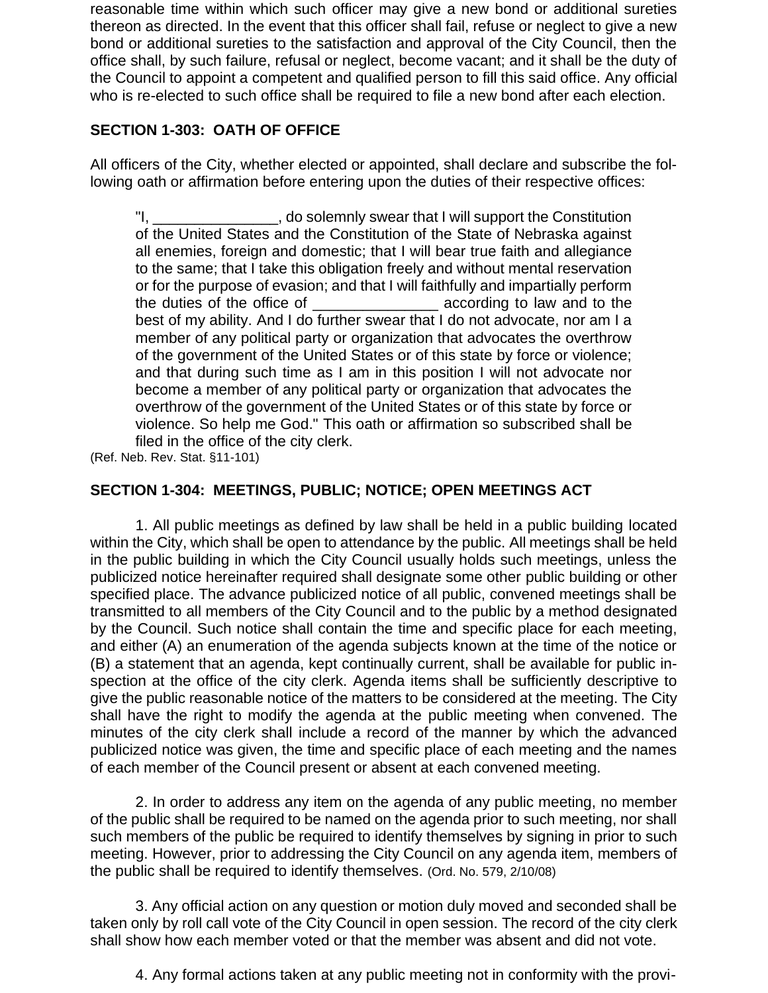reasonable time within which such officer may give a new bond or additional sureties thereon as directed. In the event that this officer shall fail, refuse or neglect to give a new bond or additional sureties to the satisfaction and approval of the City Council, then the office shall, by such failure, refusal or neglect, become vacant; and it shall be the duty of the Council to appoint a competent and qualified person to fill this said office. Any official who is re-elected to such office shall be required to file a new bond after each election.

### **SECTION 1-303: OATH OF OFFICE**

All officers of the City, whether elected or appointed, shall declare and subscribe the following oath or affirmation before entering upon the duties of their respective offices:

"I, \_\_\_\_\_\_\_\_\_\_\_\_\_\_\_, do solemnly swear that I will support the Constitution of the United States and the Constitution of the State of Nebraska against all enemies, foreign and domestic; that I will bear true faith and allegiance to the same; that I take this obligation freely and without mental reservation or for the purpose of evasion; and that I will faithfully and impartially perform the duties of the office of the seconding to law and to the best of my ability. And I do further swear that I do not advocate, nor am I a member of any political party or organization that advocates the overthrow of the government of the United States or of this state by force or violence; and that during such time as I am in this position I will not advocate nor become a member of any political party or organization that advocates the overthrow of the government of the United States or of this state by force or violence. So help me God." This oath or affirmation so subscribed shall be filed in the office of the city clerk.

(Ref. Neb. Rev. Stat. §11-101)

#### **SECTION 1-304: MEETINGS, PUBLIC; NOTICE; OPEN MEETINGS ACT**

1. All public meetings as defined by law shall be held in a public building located within the City, which shall be open to attendance by the public. All meetings shall be held in the public building in which the City Council usually holds such meetings, unless the publicized notice hereinafter required shall designate some other public building or other specified place. The advance publicized notice of all public, convened meetings shall be transmitted to all members of the City Council and to the public by a method designated by the Council. Such notice shall contain the time and specific place for each meeting, and either (A) an enumeration of the agenda subjects known at the time of the notice or (B) a statement that an agenda, kept continually current, shall be available for public inspection at the office of the city clerk. Agenda items shall be sufficiently descriptive to give the public reasonable notice of the matters to be considered at the meeting. The City shall have the right to modify the agenda at the public meeting when convened. The minutes of the city clerk shall include a record of the manner by which the advanced publicized notice was given, the time and specific place of each meeting and the names of each member of the Council present or absent at each convened meeting.

2. In order to address any item on the agenda of any public meeting, no member of the public shall be required to be named on the agenda prior to such meeting, nor shall such members of the public be required to identify themselves by signing in prior to such meeting. However, prior to addressing the City Council on any agenda item, members of the public shall be required to identify themselves. (Ord. No. 579, 2/10/08)

3. Any official action on any question or motion duly moved and seconded shall be taken only by roll call vote of the City Council in open session. The record of the city clerk shall show how each member voted or that the member was absent and did not vote.

4. Any formal actions taken at any public meeting not in conformity with the provi-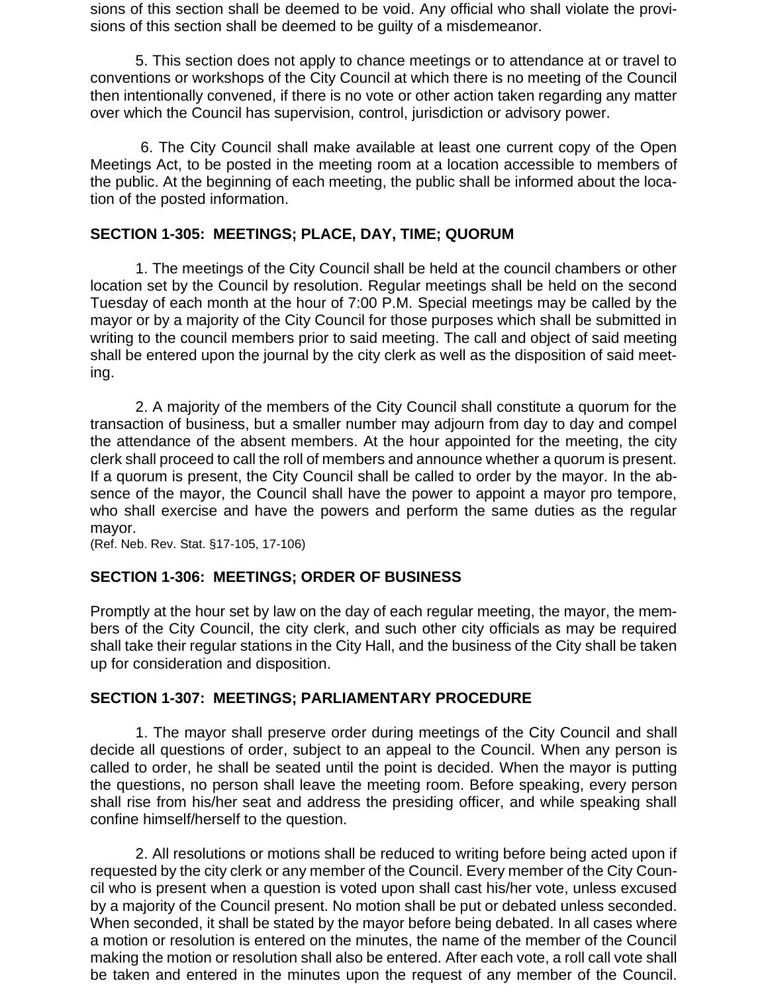sions of this section shall be deemed to be void. Any official who shall violate the provisions of this section shall be deemed to be guilty of a misdemeanor.

5. This section does not apply to chance meetings or to attendance at or travel to conventions or workshops of the City Council at which there is no meeting of the Council then intentionally convened, if there is no vote or other action taken regarding any matter over which the Council has supervision, control, jurisdiction or advisory power.

6. The City Council shall make available at least one current copy of the Open Meetings Act, to be posted in the meeting room at a location accessible to members of the public. At the beginning of each meeting, the public shall be informed about the location of the posted information.

#### **SECTION 1-305: MEETINGS; PLACE, DAY, TIME; QUORUM**

1. The meetings of the City Council shall be held at the council chambers or other location set by the Council by resolution. Regular meetings shall be held on the second Tuesday of each month at the hour of 7:00 P.M. Special meetings may be called by the mayor or by a majority of the City Council for those purposes which shall be submitted in writing to the council members prior to said meeting. The call and object of said meeting shall be entered upon the journal by the city clerk as well as the disposition of said meeting.

2. A majority of the members of the City Council shall constitute a quorum for the transaction of business, but a smaller number may adjourn from day to day and compel the attendance of the absent members. At the hour appointed for the meeting, the city clerk shall proceed to call the roll of members and announce whether a quorum is present. If a quorum is present, the City Council shall be called to order by the mayor. In the absence of the mayor, the Council shall have the power to appoint a mayor pro tempore, who shall exercise and have the powers and perform the same duties as the regular mayor.

(Ref. Neb. Rev. Stat. §17-105, 17-106)

#### **SECTION 1-306: MEETINGS; ORDER OF BUSINESS**

Promptly at the hour set by law on the day of each regular meeting, the mayor, the members of the City Council, the city clerk, and such other city officials as may be required shall take their regular stations in the City Hall, and the business of the City shall be taken up for consideration and disposition.

#### **SECTION 1-307: MEETINGS; PARLIAMENTARY PROCEDURE**

1. The mayor shall preserve order during meetings of the City Council and shall decide all questions of order, subject to an appeal to the Council. When any person is called to order, he shall be seated until the point is decided. When the mayor is putting the questions, no person shall leave the meeting room. Before speaking, every person shall rise from his/her seat and address the presiding officer, and while speaking shall confine himself/herself to the question.

2. All resolutions or motions shall be reduced to writing before being acted upon if requested by the city clerk or any member of the Council. Every member of the City Council who is present when a question is voted upon shall cast his/her vote, unless excused by a majority of the Council present. No motion shall be put or debated unless seconded. When seconded, it shall be stated by the mayor before being debated. In all cases where a motion or resolution is entered on the minutes, the name of the member of the Council making the motion or resolution shall also be entered. After each vote, a roll call vote shall be taken and entered in the minutes upon the request of any member of the Council.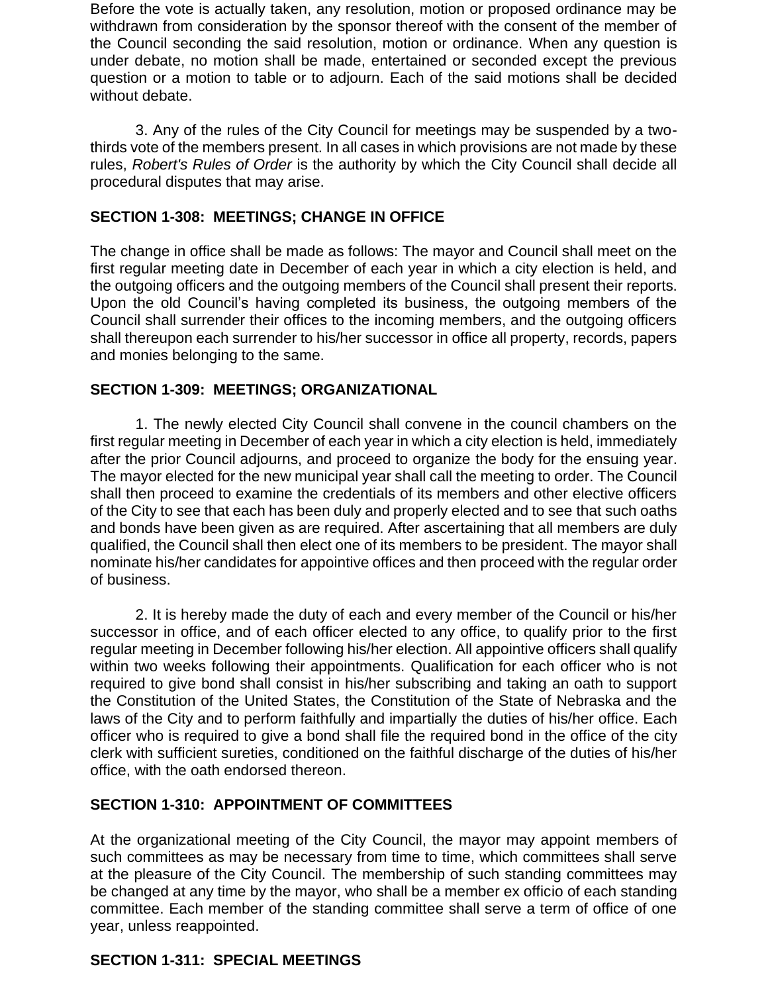Before the vote is actually taken, any resolution, motion or proposed ordinance may be withdrawn from consideration by the sponsor thereof with the consent of the member of the Council seconding the said resolution, motion or ordinance. When any question is under debate, no motion shall be made, entertained or seconded except the previous question or a motion to table or to adjourn. Each of the said motions shall be decided without debate.

3. Any of the rules of the City Council for meetings may be suspended by a twothirds vote of the members present. In all cases in which provisions are not made by these rules, *Robert's Rules of Order* is the authority by which the City Council shall decide all procedural disputes that may arise.

### **SECTION 1-308: MEETINGS; CHANGE IN OFFICE**

The change in office shall be made as follows: The mayor and Council shall meet on the first regular meeting date in December of each year in which a city election is held, and the outgoing officers and the outgoing members of the Council shall present their reports. Upon the old Council's having completed its business, the outgoing members of the Council shall surrender their offices to the incoming members, and the outgoing officers shall thereupon each surrender to his/her successor in office all property, records, papers and monies belonging to the same.

### **SECTION 1-309: MEETINGS; ORGANIZATIONAL**

1. The newly elected City Council shall convene in the council chambers on the first regular meeting in December of each year in which a city election is held, immediately after the prior Council adjourns, and proceed to organize the body for the ensuing year. The mayor elected for the new municipal year shall call the meeting to order. The Council shall then proceed to examine the credentials of its members and other elective officers of the City to see that each has been duly and properly elected and to see that such oaths and bonds have been given as are required. After ascertaining that all members are duly qualified, the Council shall then elect one of its members to be president. The mayor shall nominate his/her candidates for appointive offices and then proceed with the regular order of business.

2. It is hereby made the duty of each and every member of the Council or his/her successor in office, and of each officer elected to any office, to qualify prior to the first regular meeting in December following his/her election. All appointive officers shall qualify within two weeks following their appointments. Qualification for each officer who is not required to give bond shall consist in his/her subscribing and taking an oath to support the Constitution of the United States, the Constitution of the State of Nebraska and the laws of the City and to perform faithfully and impartially the duties of his/her office. Each officer who is required to give a bond shall file the required bond in the office of the city clerk with sufficient sureties, conditioned on the faithful discharge of the duties of his/her office, with the oath endorsed thereon.

#### **SECTION 1-310: APPOINTMENT OF COMMITTEES**

At the organizational meeting of the City Council, the mayor may appoint members of such committees as may be necessary from time to time, which committees shall serve at the pleasure of the City Council. The membership of such standing committees may be changed at any time by the mayor, who shall be a member ex officio of each standing committee. Each member of the standing committee shall serve a term of office of one year, unless reappointed.

#### **SECTION 1-311: SPECIAL MEETINGS**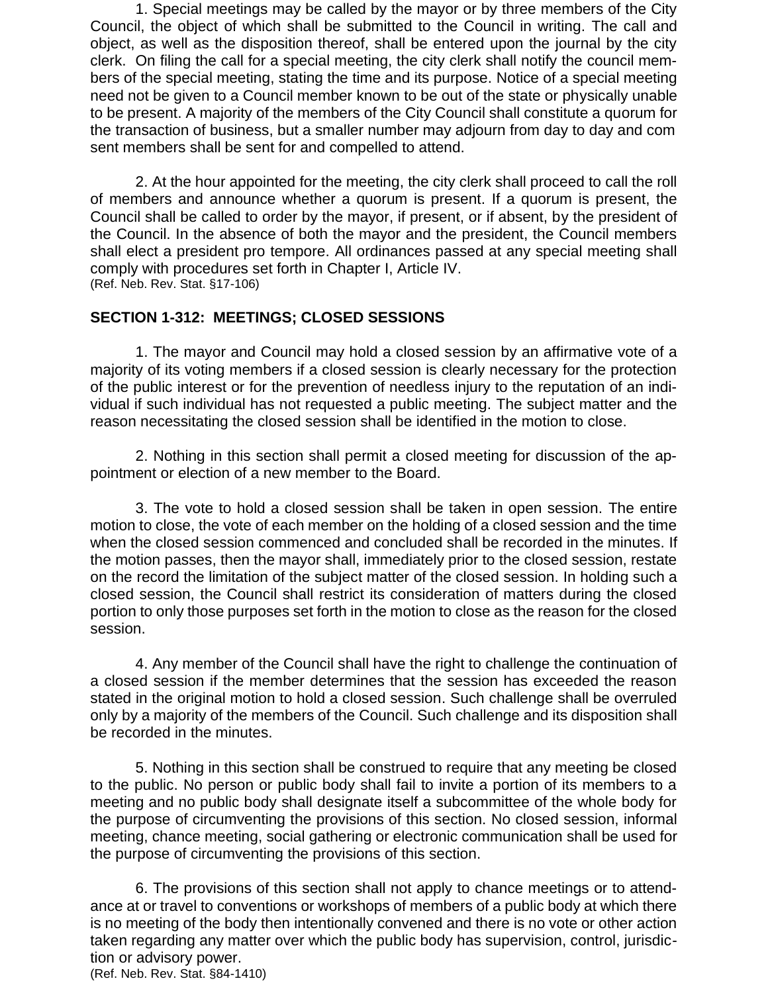1. Special meetings may be called by the mayor or by three members of the City Council, the object of which shall be submitted to the Council in writing. The call and object, as well as the disposition thereof, shall be entered upon the journal by the city clerk. On filing the call for a special meeting, the city clerk shall notify the council members of the special meeting, stating the time and its purpose. Notice of a special meeting need not be given to a Council member known to be out of the state or physically unable to be present. A majority of the members of the City Council shall constitute a quorum for the transaction of business, but a smaller number may adjourn from day to day and com sent members shall be sent for and compelled to attend.

2. At the hour appointed for the meeting, the city clerk shall proceed to call the roll of members and announce whether a quorum is present. If a quorum is present, the Council shall be called to order by the mayor, if present, or if absent, by the president of the Council. In the absence of both the mayor and the president, the Council members shall elect a president pro tempore. All ordinances passed at any special meeting shall comply with procedures set forth in Chapter I, Article IV. (Ref. Neb. Rev. Stat. §17-106)

#### **SECTION 1-312: MEETINGS; CLOSED SESSIONS**

1. The mayor and Council may hold a closed session by an affirmative vote of a majority of its voting members if a closed session is clearly necessary for the protection of the public interest or for the prevention of needless injury to the reputation of an individual if such individual has not requested a public meeting. The subject matter and the reason necessitating the closed session shall be identified in the motion to close.

2. Nothing in this section shall permit a closed meeting for discussion of the appointment or election of a new member to the Board.

3. The vote to hold a closed session shall be taken in open session. The entire motion to close, the vote of each member on the holding of a closed session and the time when the closed session commenced and concluded shall be recorded in the minutes. If the motion passes, then the mayor shall, immediately prior to the closed session, restate on the record the limitation of the subject matter of the closed session. In holding such a closed session, the Council shall restrict its consideration of matters during the closed portion to only those purposes set forth in the motion to close as the reason for the closed session.

4. Any member of the Council shall have the right to challenge the continuation of a closed session if the member determines that the session has exceeded the reason stated in the original motion to hold a closed session. Such challenge shall be overruled only by a majority of the members of the Council. Such challenge and its disposition shall be recorded in the minutes.

5. Nothing in this section shall be construed to require that any meeting be closed to the public. No person or public body shall fail to invite a portion of its members to a meeting and no public body shall designate itself a subcommittee of the whole body for the purpose of circumventing the provisions of this section. No closed session, informal meeting, chance meeting, social gathering or electronic communication shall be used for the purpose of circumventing the provisions of this section.

6. The provisions of this section shall not apply to chance meetings or to attendance at or travel to conventions or workshops of members of a public body at which there is no meeting of the body then intentionally convened and there is no vote or other action taken regarding any matter over which the public body has supervision, control, jurisdiction or advisory power. (Ref. Neb. Rev. Stat. §84-1410)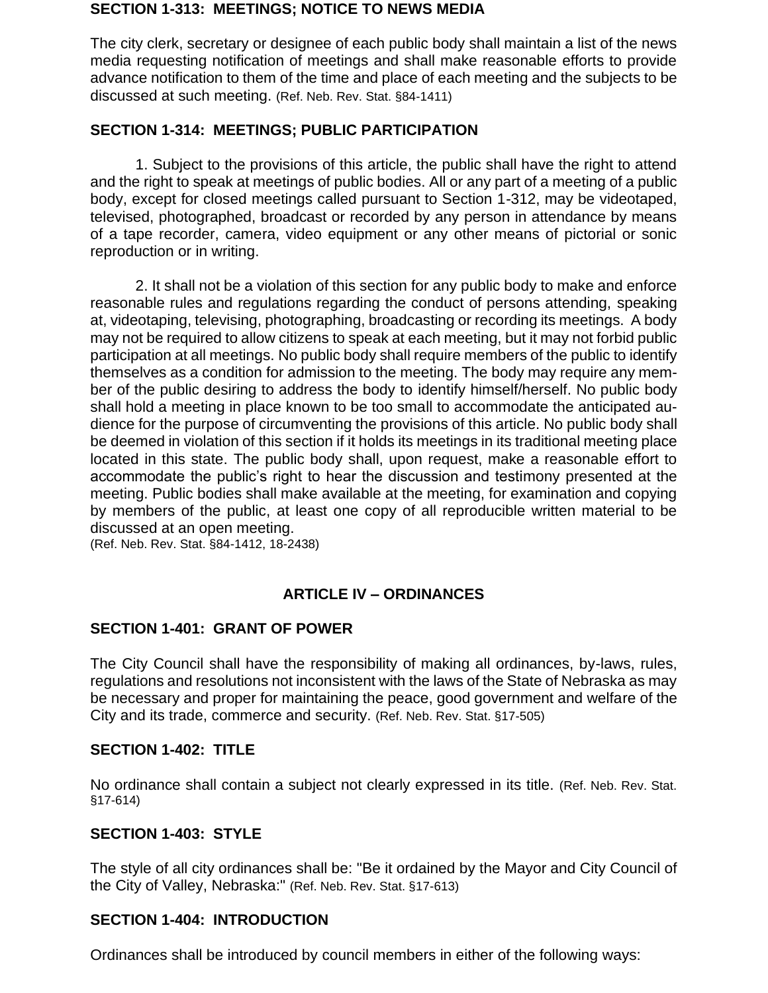#### **SECTION 1-313: MEETINGS; NOTICE TO NEWS MEDIA**

The city clerk, secretary or designee of each public body shall maintain a list of the news media requesting notification of meetings and shall make reasonable efforts to provide advance notification to them of the time and place of each meeting and the subjects to be discussed at such meeting. (Ref. Neb. Rev. Stat. §84-1411)

#### **SECTION 1-314: MEETINGS; PUBLIC PARTICIPATION**

1. Subject to the provisions of this article, the public shall have the right to attend and the right to speak at meetings of public bodies. All or any part of a meeting of a public body, except for closed meetings called pursuant to Section 1-312, may be videotaped, televised, photographed, broadcast or recorded by any person in attendance by means of a tape recorder, camera, video equipment or any other means of pictorial or sonic reproduction or in writing.

2. It shall not be a violation of this section for any public body to make and enforce reasonable rules and regulations regarding the conduct of persons attending, speaking at, videotaping, televising, photographing, broadcasting or recording its meetings. A body may not be required to allow citizens to speak at each meeting, but it may not forbid public participation at all meetings. No public body shall require members of the public to identify themselves as a condition for admission to the meeting. The body may require any member of the public desiring to address the body to identify himself/herself. No public body shall hold a meeting in place known to be too small to accommodate the anticipated audience for the purpose of circumventing the provisions of this article. No public body shall be deemed in violation of this section if it holds its meetings in its traditional meeting place located in this state. The public body shall, upon request, make a reasonable effort to accommodate the public's right to hear the discussion and testimony presented at the meeting. Public bodies shall make available at the meeting, for examination and copying by members of the public, at least one copy of all reproducible written material to be discussed at an open meeting.

(Ref. Neb. Rev. Stat. §84-1412, 18-2438)

# **ARTICLE IV – ORDINANCES**

# **SECTION 1-401: GRANT OF POWER**

The City Council shall have the responsibility of making all ordinances, by-laws, rules, regulations and resolutions not inconsistent with the laws of the State of Nebraska as may be necessary and proper for maintaining the peace, good government and welfare of the City and its trade, commerce and security. (Ref. Neb. Rev. Stat. §17-505)

#### **SECTION 1-402: TITLE**

No ordinance shall contain a subject not clearly expressed in its title. (Ref. Neb. Rev. Stat. §17-614)

#### **SECTION 1-403: STYLE**

The style of all city ordinances shall be: "Be it ordained by the Mayor and City Council of the City of Valley, Nebraska:" (Ref. Neb. Rev. Stat. §17-613)

# **SECTION 1-404: INTRODUCTION**

Ordinances shall be introduced by council members in either of the following ways: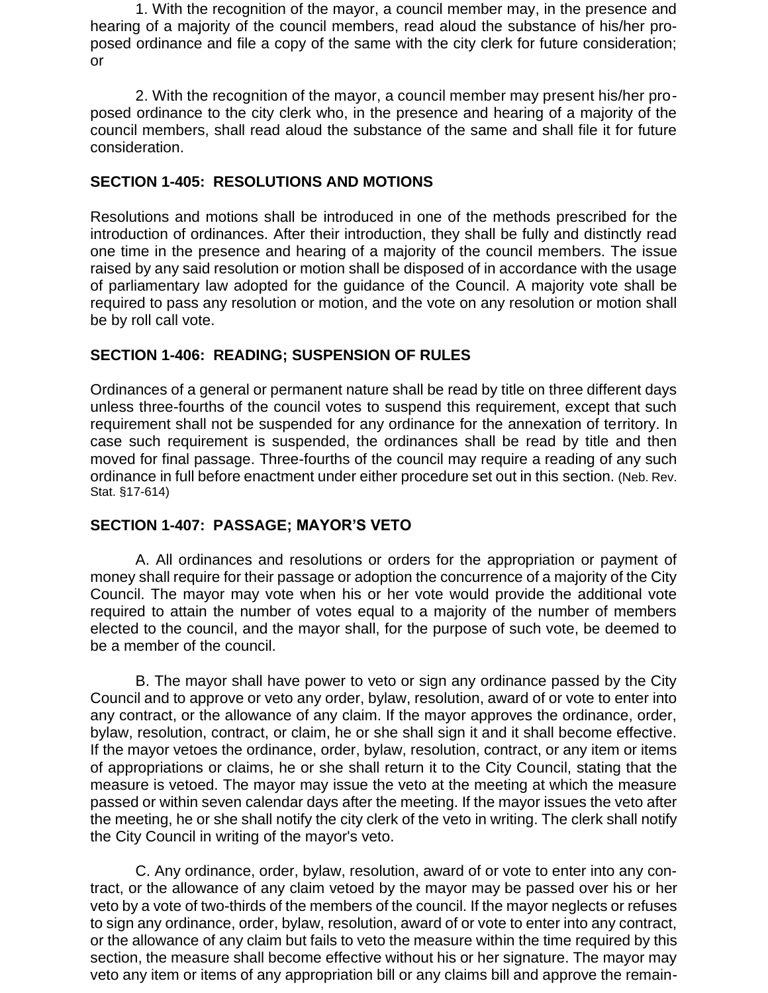1. With the recognition of the mayor, a council member may, in the presence and hearing of a majority of the council members, read aloud the substance of his/her proposed ordinance and file a copy of the same with the city clerk for future consideration; or

2. With the recognition of the mayor, a council member may present his/her proposed ordinance to the city clerk who, in the presence and hearing of a majority of the council members, shall read aloud the substance of the same and shall file it for future consideration.

#### **SECTION 1-405: RESOLUTIONS AND MOTIONS**

Resolutions and motions shall be introduced in one of the methods prescribed for the introduction of ordinances. After their introduction, they shall be fully and distinctly read one time in the presence and hearing of a majority of the council members. The issue raised by any said resolution or motion shall be disposed of in accordance with the usage of parliamentary law adopted for the guidance of the Council. A majority vote shall be required to pass any resolution or motion, and the vote on any resolution or motion shall be by roll call vote.

### **SECTION 1-406: READING; SUSPENSION OF RULES**

Ordinances of a general or permanent nature shall be read by title on three different days unless three-fourths of the council votes to suspend this requirement, except that such requirement shall not be suspended for any ordinance for the annexation of territory. In case such requirement is suspended, the ordinances shall be read by title and then moved for final passage. Three-fourths of the council may require a reading of any such ordinance in full before enactment under either procedure set out in this section. (Neb. Rev. Stat. §17-614)

# **SECTION 1-407: PASSAGE; MAYOR'S VETO**

A. All ordinances and resolutions or orders for the appropriation or payment of money shall require for their passage or adoption the concurrence of a majority of the City Council. The mayor may vote when his or her vote would provide the additional vote required to attain the number of votes equal to a majority of the number of members elected to the council, and the mayor shall, for the purpose of such vote, be deemed to be a member of the council.

B. The mayor shall have power to veto or sign any ordinance passed by the City Council and to approve or veto any order, bylaw, resolution, award of or vote to enter into any contract, or the allowance of any claim. If the mayor approves the ordinance, order, bylaw, resolution, contract, or claim, he or she shall sign it and it shall become effective. If the mayor vetoes the ordinance, order, bylaw, resolution, contract, or any item or items of appropriations or claims, he or she shall return it to the City Council, stating that the measure is vetoed. The mayor may issue the veto at the meeting at which the measure passed or within seven calendar days after the meeting. If the mayor issues the veto after the meeting, he or she shall notify the city clerk of the veto in writing. The clerk shall notify the City Council in writing of the mayor's veto.

C. Any ordinance, order, bylaw, resolution, award of or vote to enter into any contract, or the allowance of any claim vetoed by the mayor may be passed over his or her veto by a vote of two-thirds of the members of the council. If the mayor neglects or refuses to sign any ordinance, order, bylaw, resolution, award of or vote to enter into any contract, or the allowance of any claim but fails to veto the measure within the time required by this section, the measure shall become effective without his or her signature. The mayor may veto any item or items of any appropriation bill or any claims bill and approve the remain-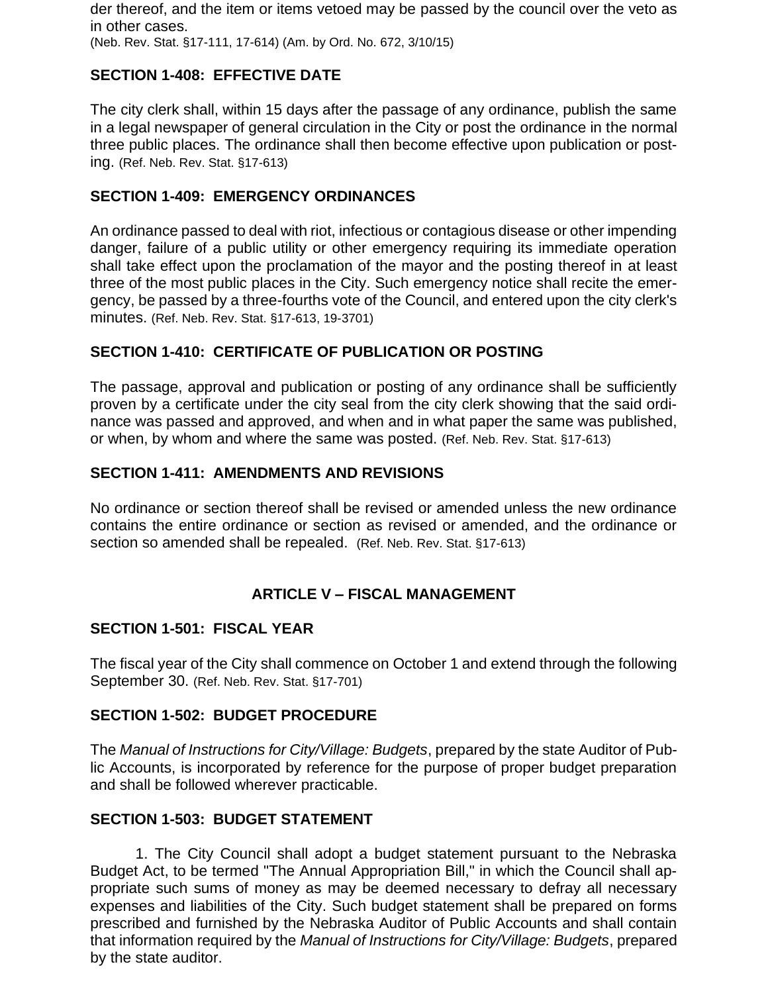der thereof, and the item or items vetoed may be passed by the council over the veto as in other cases. (Neb. Rev. Stat. §17-111, 17-614) (Am. by Ord. No. 672, 3/10/15)

# **SECTION 1-408: EFFECTIVE DATE**

The city clerk shall, within 15 days after the passage of any ordinance, publish the same in a legal newspaper of general circulation in the City or post the ordinance in the normal three public places. The ordinance shall then become effective upon publication or posting. (Ref. Neb. Rev. Stat. §17-613)

### **SECTION 1-409: EMERGENCY ORDINANCES**

An ordinance passed to deal with riot, infectious or contagious disease or other impending danger, failure of a public utility or other emergency requiring its immediate operation shall take effect upon the proclamation of the mayor and the posting thereof in at least three of the most public places in the City. Such emergency notice shall recite the emergency, be passed by a three-fourths vote of the Council, and entered upon the city clerk's minutes. (Ref. Neb. Rev. Stat. §17-613, 19-3701)

### **SECTION 1-410: CERTIFICATE OF PUBLICATION OR POSTING**

The passage, approval and publication or posting of any ordinance shall be sufficiently proven by a certificate under the city seal from the city clerk showing that the said ordinance was passed and approved, and when and in what paper the same was published, or when, by whom and where the same was posted. (Ref. Neb. Rev. Stat. §17-613)

#### **SECTION 1-411: AMENDMENTS AND REVISIONS**

No ordinance or section thereof shall be revised or amended unless the new ordinance contains the entire ordinance or section as revised or amended, and the ordinance or section so amended shall be repealed. (Ref. Neb. Rev. Stat. §17-613)

# **ARTICLE V – FISCAL MANAGEMENT**

#### **SECTION 1-501: FISCAL YEAR**

The fiscal year of the City shall commence on October 1 and extend through the following September 30. (Ref. Neb. Rev. Stat. §17-701)

#### **SECTION 1-502: BUDGET PROCEDURE**

The *Manual of Instructions for City/Village: Budgets*, prepared by the state Auditor of Public Accounts, is incorporated by reference for the purpose of proper budget preparation and shall be followed wherever practicable.

#### **SECTION 1-503: BUDGET STATEMENT**

1. The City Council shall adopt a budget statement pursuant to the Nebraska Budget Act, to be termed "The Annual Appropriation Bill," in which the Council shall appropriate such sums of money as may be deemed necessary to defray all necessary expenses and liabilities of the City. Such budget statement shall be prepared on forms prescribed and furnished by the Nebraska Auditor of Public Accounts and shall contain that information required by the *Manual of Instructions for City/Village: Budgets*, prepared by the state auditor.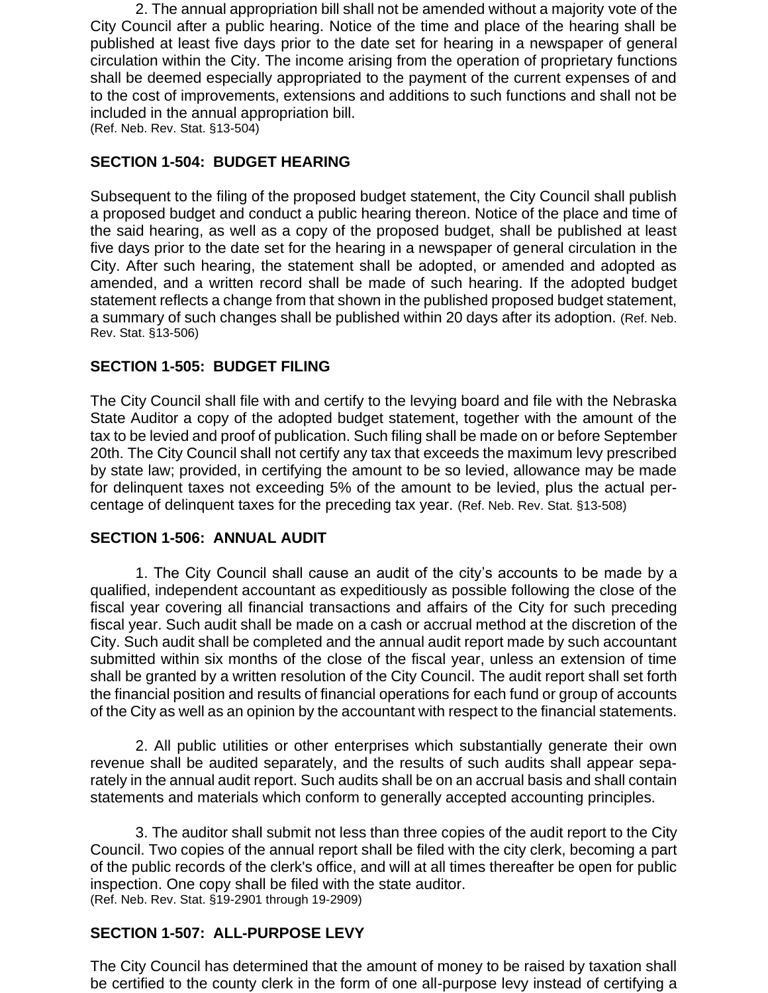2. The annual appropriation bill shall not be amended without a majority vote of the City Council after a public hearing. Notice of the time and place of the hearing shall be published at least five days prior to the date set for hearing in a newspaper of general circulation within the City. The income arising from the operation of proprietary functions shall be deemed especially appropriated to the payment of the current expenses of and to the cost of improvements, extensions and additions to such functions and shall not be included in the annual appropriation bill.

(Ref. Neb. Rev. Stat. §13-504)

# **SECTION 1-504: BUDGET HEARING**

Subsequent to the filing of the proposed budget statement, the City Council shall publish a proposed budget and conduct a public hearing thereon. Notice of the place and time of the said hearing, as well as a copy of the proposed budget, shall be published at least five days prior to the date set for the hearing in a newspaper of general circulation in the City. After such hearing, the statement shall be adopted, or amended and adopted as amended, and a written record shall be made of such hearing. If the adopted budget statement reflects a change from that shown in the published proposed budget statement, a summary of such changes shall be published within 20 days after its adoption. (Ref. Neb. Rev. Stat. §13-506)

# **SECTION 1-505: BUDGET FILING**

The City Council shall file with and certify to the levying board and file with the Nebraska State Auditor a copy of the adopted budget statement, together with the amount of the tax to be levied and proof of publication. Such filing shall be made on or before September 20th. The City Council shall not certify any tax that exceeds the maximum levy prescribed by state law; provided, in certifying the amount to be so levied, allowance may be made for delinquent taxes not exceeding 5% of the amount to be levied, plus the actual percentage of delinquent taxes for the preceding tax year. (Ref. Neb. Rev. Stat. §13-508)

# **SECTION 1-506: ANNUAL AUDIT**

1. The City Council shall cause an audit of the city's accounts to be made by a qualified, independent accountant as expeditiously as possible following the close of the fiscal year covering all financial transactions and affairs of the City for such preceding fiscal year. Such audit shall be made on a cash or accrual method at the discretion of the City. Such audit shall be completed and the annual audit report made by such accountant submitted within six months of the close of the fiscal year, unless an extension of time shall be granted by a written resolution of the City Council. The audit report shall set forth the financial position and results of financial operations for each fund or group of accounts of the City as well as an opinion by the accountant with respect to the financial statements.

2. All public utilities or other enterprises which substantially generate their own revenue shall be audited separately, and the results of such audits shall appear separately in the annual audit report. Such audits shall be on an accrual basis and shall contain statements and materials which conform to generally accepted accounting principles.

3. The auditor shall submit not less than three copies of the audit report to the City Council. Two copies of the annual report shall be filed with the city clerk, becoming a part of the public records of the clerk's office, and will at all times thereafter be open for public inspection. One copy shall be filed with the state auditor. (Ref. Neb. Rev. Stat. §19-2901 through 19-2909)

# **SECTION 1-507: ALL-PURPOSE LEVY**

The City Council has determined that the amount of money to be raised by taxation shall be certified to the county clerk in the form of one all-purpose levy instead of certifying a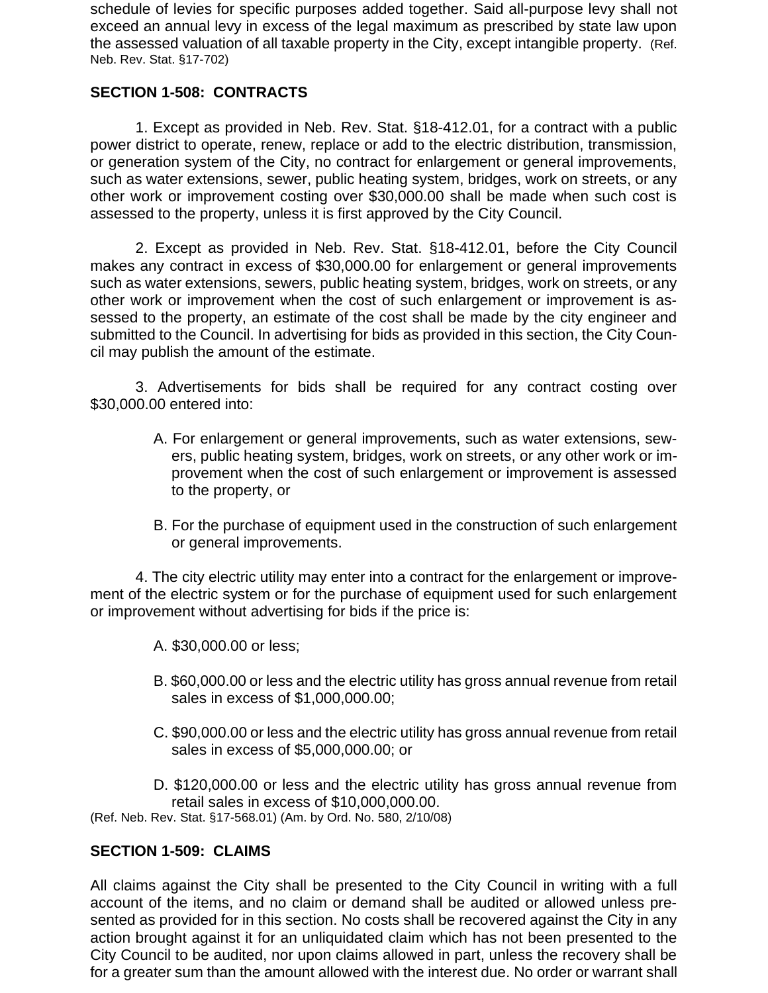schedule of levies for specific purposes added together. Said all-purpose levy shall not exceed an annual levy in excess of the legal maximum as prescribed by state law upon the assessed valuation of all taxable property in the City, except intangible property. (Ref. Neb. Rev. Stat. §17-702)

### **SECTION 1-508: CONTRACTS**

1. Except as provided in Neb. Rev. Stat. §18-412.01, for a contract with a public power district to operate, renew, replace or add to the electric distribution, transmission, or generation system of the City, no contract for enlargement or general improvements, such as water extensions, sewer, public heating system, bridges, work on streets, or any other work or improvement costing over \$30,000.00 shall be made when such cost is assessed to the property, unless it is first approved by the City Council.

2. Except as provided in Neb. Rev. Stat. §18-412.01, before the City Council makes any contract in excess of \$30,000.00 for enlargement or general improvements such as water extensions, sewers, public heating system, bridges, work on streets, or any other work or improvement when the cost of such enlargement or improvement is assessed to the property, an estimate of the cost shall be made by the city engineer and submitted to the Council. In advertising for bids as provided in this section, the City Council may publish the amount of the estimate.

3. Advertisements for bids shall be required for any contract costing over \$30,000.00 entered into:

- A. For enlargement or general improvements, such as water extensions, sewers, public heating system, bridges, work on streets, or any other work or improvement when the cost of such enlargement or improvement is assessed to the property, or
- B. For the purchase of equipment used in the construction of such enlargement or general improvements.

4. The city electric utility may enter into a contract for the enlargement or improvement of the electric system or for the purchase of equipment used for such enlargement or improvement without advertising for bids if the price is:

- A. \$30,000.00 or less;
- B. \$60,000.00 or less and the electric utility has gross annual revenue from retail sales in excess of \$1,000,000.00;
- C. \$90,000.00 or less and the electric utility has gross annual revenue from retail sales in excess of \$5,000,000.00; or
- D. \$120,000.00 or less and the electric utility has gross annual revenue from retail sales in excess of \$10,000,000.00.

(Ref. Neb. Rev. Stat. §17-568.01) (Am. by Ord. No. 580, 2/10/08)

#### **SECTION 1-509: CLAIMS**

All claims against the City shall be presented to the City Council in writing with a full account of the items, and no claim or demand shall be audited or allowed unless presented as provided for in this section. No costs shall be recovered against the City in any action brought against it for an unliquidated claim which has not been presented to the City Council to be audited, nor upon claims allowed in part, unless the recovery shall be for a greater sum than the amount allowed with the interest due. No order or warrant shall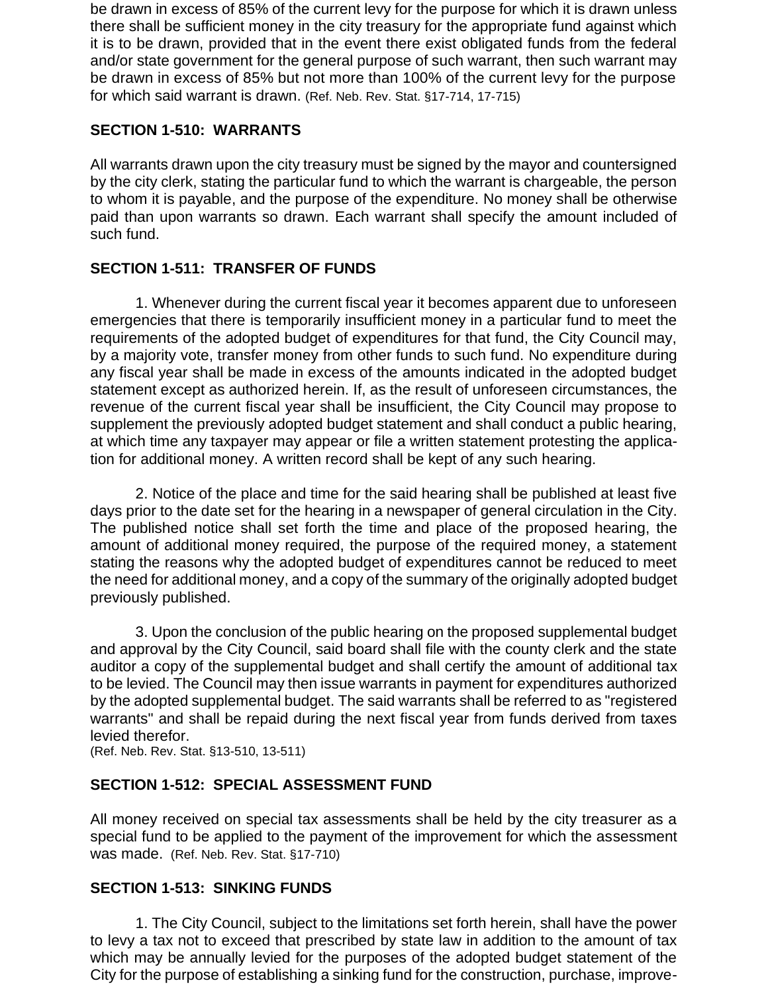be drawn in excess of 85% of the current levy for the purpose for which it is drawn unless there shall be sufficient money in the city treasury for the appropriate fund against which it is to be drawn, provided that in the event there exist obligated funds from the federal and/or state government for the general purpose of such warrant, then such warrant may be drawn in excess of 85% but not more than 100% of the current levy for the purpose for which said warrant is drawn. (Ref. Neb. Rev. Stat. §17-714, 17-715)

# **SECTION 1-510: WARRANTS**

All warrants drawn upon the city treasury must be signed by the mayor and countersigned by the city clerk, stating the particular fund to which the warrant is chargeable, the person to whom it is payable, and the purpose of the expenditure. No money shall be otherwise paid than upon warrants so drawn. Each warrant shall specify the amount included of such fund.

# **SECTION 1-511: TRANSFER OF FUNDS**

1. Whenever during the current fiscal year it becomes apparent due to unforeseen emergencies that there is temporarily insufficient money in a particular fund to meet the requirements of the adopted budget of expenditures for that fund, the City Council may, by a majority vote, transfer money from other funds to such fund. No expenditure during any fiscal year shall be made in excess of the amounts indicated in the adopted budget statement except as authorized herein. If, as the result of unforeseen circumstances, the revenue of the current fiscal year shall be insufficient, the City Council may propose to supplement the previously adopted budget statement and shall conduct a public hearing, at which time any taxpayer may appear or file a written statement protesting the application for additional money. A written record shall be kept of any such hearing.

2. Notice of the place and time for the said hearing shall be published at least five days prior to the date set for the hearing in a newspaper of general circulation in the City. The published notice shall set forth the time and place of the proposed hearing, the amount of additional money required, the purpose of the required money, a statement stating the reasons why the adopted budget of expenditures cannot be reduced to meet the need for additional money, and a copy of the summary of the originally adopted budget previously published.

3. Upon the conclusion of the public hearing on the proposed supplemental budget and approval by the City Council, said board shall file with the county clerk and the state auditor a copy of the supplemental budget and shall certify the amount of additional tax to be levied. The Council may then issue warrants in payment for expenditures authorized by the adopted supplemental budget. The said warrants shall be referred to as "registered warrants" and shall be repaid during the next fiscal year from funds derived from taxes levied therefor.

(Ref. Neb. Rev. Stat. §13-510, 13-511)

#### **SECTION 1-512: SPECIAL ASSESSMENT FUND**

All money received on special tax assessments shall be held by the city treasurer as a special fund to be applied to the payment of the improvement for which the assessment was made. (Ref. Neb. Rev. Stat. §17-710)

#### **SECTION 1-513: SINKING FUNDS**

1. The City Council, subject to the limitations set forth herein, shall have the power to levy a tax not to exceed that prescribed by state law in addition to the amount of tax which may be annually levied for the purposes of the adopted budget statement of the City for the purpose of establishing a sinking fund for the construction, purchase, improve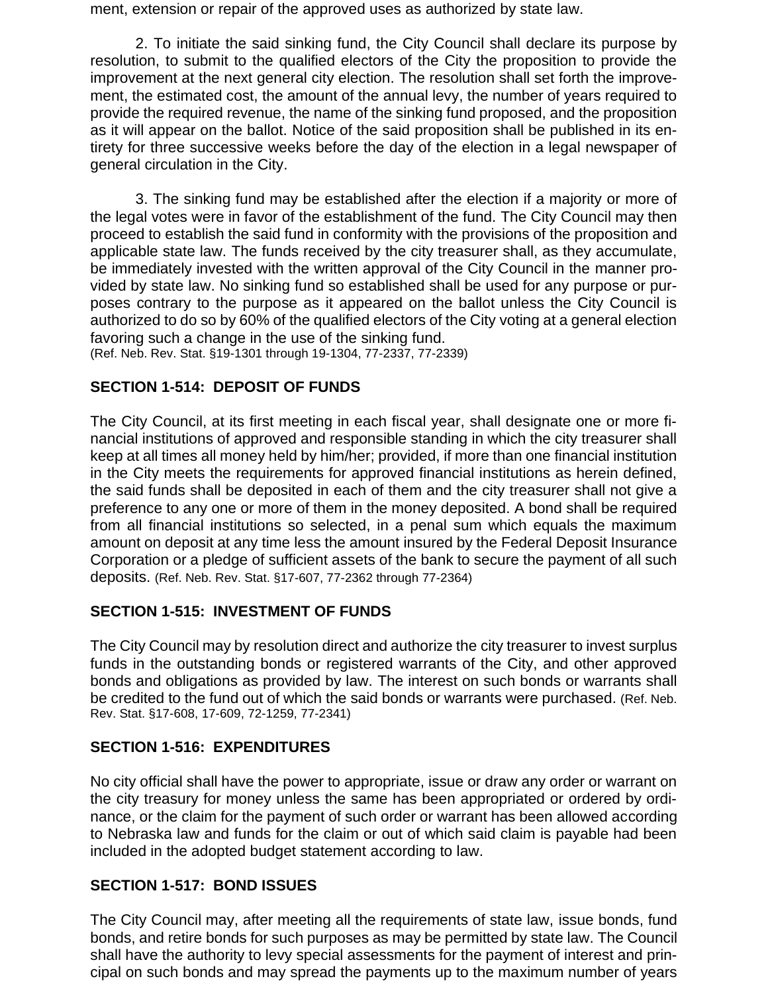ment, extension or repair of the approved uses as authorized by state law.

2. To initiate the said sinking fund, the City Council shall declare its purpose by resolution, to submit to the qualified electors of the City the proposition to provide the improvement at the next general city election. The resolution shall set forth the improvement, the estimated cost, the amount of the annual levy, the number of years required to provide the required revenue, the name of the sinking fund proposed, and the proposition as it will appear on the ballot. Notice of the said proposition shall be published in its entirety for three successive weeks before the day of the election in a legal newspaper of general circulation in the City.

3. The sinking fund may be established after the election if a majority or more of the legal votes were in favor of the establishment of the fund. The City Council may then proceed to establish the said fund in conformity with the provisions of the proposition and applicable state law. The funds received by the city treasurer shall, as they accumulate, be immediately invested with the written approval of the City Council in the manner provided by state law. No sinking fund so established shall be used for any purpose or purposes contrary to the purpose as it appeared on the ballot unless the City Council is authorized to do so by 60% of the qualified electors of the City voting at a general election favoring such a change in the use of the sinking fund.

# (Ref. Neb. Rev. Stat. §19-1301 through 19-1304, 77-2337, 77-2339)

# **SECTION 1-514: DEPOSIT OF FUNDS**

The City Council, at its first meeting in each fiscal year, shall designate one or more financial institutions of approved and responsible standing in which the city treasurer shall keep at all times all money held by him/her; provided, if more than one financial institution in the City meets the requirements for approved financial institutions as herein defined, the said funds shall be deposited in each of them and the city treasurer shall not give a preference to any one or more of them in the money deposited. A bond shall be required from all financial institutions so selected, in a penal sum which equals the maximum amount on deposit at any time less the amount insured by the Federal Deposit Insurance Corporation or a pledge of sufficient assets of the bank to secure the payment of all such deposits. (Ref. Neb. Rev. Stat. §17-607, 77-2362 through 77-2364)

#### **SECTION 1-515: INVESTMENT OF FUNDS**

The City Council may by resolution direct and authorize the city treasurer to invest surplus funds in the outstanding bonds or registered warrants of the City, and other approved bonds and obligations as provided by law. The interest on such bonds or warrants shall be credited to the fund out of which the said bonds or warrants were purchased. (Ref. Neb. Rev. Stat. §17-608, 17-609, 72-1259, 77-2341)

#### **SECTION 1-516: EXPENDITURES**

No city official shall have the power to appropriate, issue or draw any order or warrant on the city treasury for money unless the same has been appropriated or ordered by ordinance, or the claim for the payment of such order or warrant has been allowed according to Nebraska law and funds for the claim or out of which said claim is payable had been included in the adopted budget statement according to law.

# **SECTION 1-517: BOND ISSUES**

The City Council may, after meeting all the requirements of state law, issue bonds, fund bonds, and retire bonds for such purposes as may be permitted by state law. The Council shall have the authority to levy special assessments for the payment of interest and principal on such bonds and may spread the payments up to the maximum number of years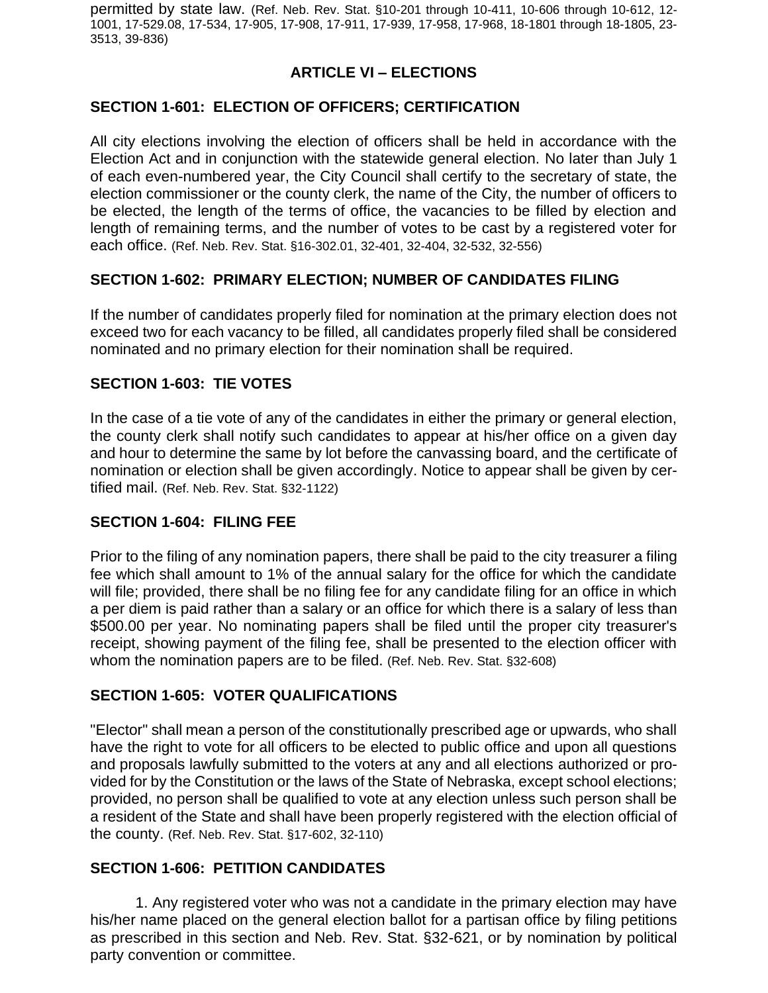permitted by state law. (Ref. Neb. Rev. Stat. §10-201 through 10-411, 10-606 through 10-612, 12- 1001, 17-529.08, 17-534, 17-905, 17-908, 17-911, 17-939, 17-958, 17-968, 18-1801 through 18-1805, 23- 3513, 39-836)

### **ARTICLE VI – ELECTIONS**

#### **SECTION 1-601: ELECTION OF OFFICERS; CERTIFICATION**

All city elections involving the election of officers shall be held in accordance with the Election Act and in conjunction with the statewide general election. No later than July 1 of each even-numbered year, the City Council shall certify to the secretary of state, the election commissioner or the county clerk, the name of the City, the number of officers to be elected, the length of the terms of office, the vacancies to be filled by election and length of remaining terms, and the number of votes to be cast by a registered voter for each office. (Ref. Neb. Rev. Stat. §16-302.01, 32-401, 32-404, 32-532, 32-556)

#### **SECTION 1-602: PRIMARY ELECTION; NUMBER OF CANDIDATES FILING**

If the number of candidates properly filed for nomination at the primary election does not exceed two for each vacancy to be filled, all candidates properly filed shall be considered nominated and no primary election for their nomination shall be required.

#### **SECTION 1-603: TIE VOTES**

In the case of a tie vote of any of the candidates in either the primary or general election, the county clerk shall notify such candidates to appear at his/her office on a given day and hour to determine the same by lot before the canvassing board, and the certificate of nomination or election shall be given accordingly. Notice to appear shall be given by certified mail. (Ref. Neb. Rev. Stat. §32-1122)

#### **SECTION 1-604: FILING FEE**

Prior to the filing of any nomination papers, there shall be paid to the city treasurer a filing fee which shall amount to 1% of the annual salary for the office for which the candidate will file; provided, there shall be no filing fee for any candidate filing for an office in which a per diem is paid rather than a salary or an office for which there is a salary of less than \$500.00 per year. No nominating papers shall be filed until the proper city treasurer's receipt, showing payment of the filing fee, shall be presented to the election officer with whom the nomination papers are to be filed. (Ref. Neb. Rev. Stat. §32-608)

#### **SECTION 1-605: VOTER QUALIFICATIONS**

"Elector" shall mean a person of the constitutionally prescribed age or upwards, who shall have the right to vote for all officers to be elected to public office and upon all questions and proposals lawfully submitted to the voters at any and all elections authorized or provided for by the Constitution or the laws of the State of Nebraska, except school elections; provided, no person shall be qualified to vote at any election unless such person shall be a resident of the State and shall have been properly registered with the election official of the county. (Ref. Neb. Rev. Stat. §17-602, 32-110)

#### **SECTION 1-606: PETITION CANDIDATES**

1. Any registered voter who was not a candidate in the primary election may have his/her name placed on the general election ballot for a partisan office by filing petitions as prescribed in this section and Neb. Rev. Stat. §32-621, or by nomination by political party convention or committee.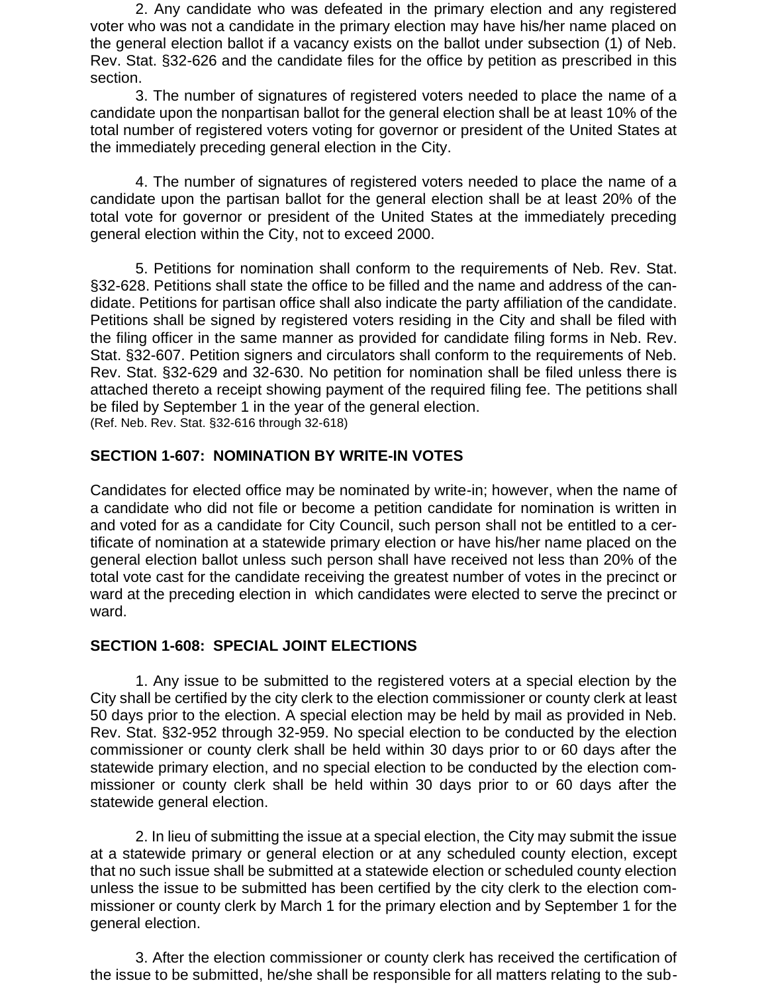2. Any candidate who was defeated in the primary election and any registered voter who was not a candidate in the primary election may have his/her name placed on the general election ballot if a vacancy exists on the ballot under subsection (1) of Neb. Rev. Stat. §32-626 and the candidate files for the office by petition as prescribed in this section.

3. The number of signatures of registered voters needed to place the name of a candidate upon the nonpartisan ballot for the general election shall be at least 10% of the total number of registered voters voting for governor or president of the United States at the immediately preceding general election in the City.

4. The number of signatures of registered voters needed to place the name of a candidate upon the partisan ballot for the general election shall be at least 20% of the total vote for governor or president of the United States at the immediately preceding general election within the City, not to exceed 2000.

5. Petitions for nomination shall conform to the requirements of Neb. Rev. Stat. §32-628. Petitions shall state the office to be filled and the name and address of the candidate. Petitions for partisan office shall also indicate the party affiliation of the candidate. Petitions shall be signed by registered voters residing in the City and shall be filed with the filing officer in the same manner as provided for candidate filing forms in Neb. Rev. Stat. §32-607. Petition signers and circulators shall conform to the requirements of Neb. Rev. Stat. §32-629 and 32-630. No petition for nomination shall be filed unless there is attached thereto a receipt showing payment of the required filing fee. The petitions shall be filed by September 1 in the year of the general election. (Ref. Neb. Rev. Stat. §32-616 through 32-618)

#### **SECTION 1-607: NOMINATION BY WRITE-IN VOTES**

Candidates for elected office may be nominated by write-in; however, when the name of a candidate who did not file or become a petition candidate for nomination is written in and voted for as a candidate for City Council, such person shall not be entitled to a certificate of nomination at a statewide primary election or have his/her name placed on the general election ballot unless such person shall have received not less than 20% of the total vote cast for the candidate receiving the greatest number of votes in the precinct or ward at the preceding election in which candidates were elected to serve the precinct or ward.

#### **SECTION 1-608: SPECIAL JOINT ELECTIONS**

1. Any issue to be submitted to the registered voters at a special election by the City shall be certified by the city clerk to the election commissioner or county clerk at least 50 days prior to the election. A special election may be held by mail as provided in Neb. Rev. Stat. §32-952 through 32-959. No special election to be conducted by the election commissioner or county clerk shall be held within 30 days prior to or 60 days after the statewide primary election, and no special election to be conducted by the election commissioner or county clerk shall be held within 30 days prior to or 60 days after the statewide general election.

2. In lieu of submitting the issue at a special election, the City may submit the issue at a statewide primary or general election or at any scheduled county election, except that no such issue shall be submitted at a statewide election or scheduled county election unless the issue to be submitted has been certified by the city clerk to the election commissioner or county clerk by March 1 for the primary election and by September 1 for the general election.

3. After the election commissioner or county clerk has received the certification of the issue to be submitted, he/she shall be responsible for all matters relating to the sub-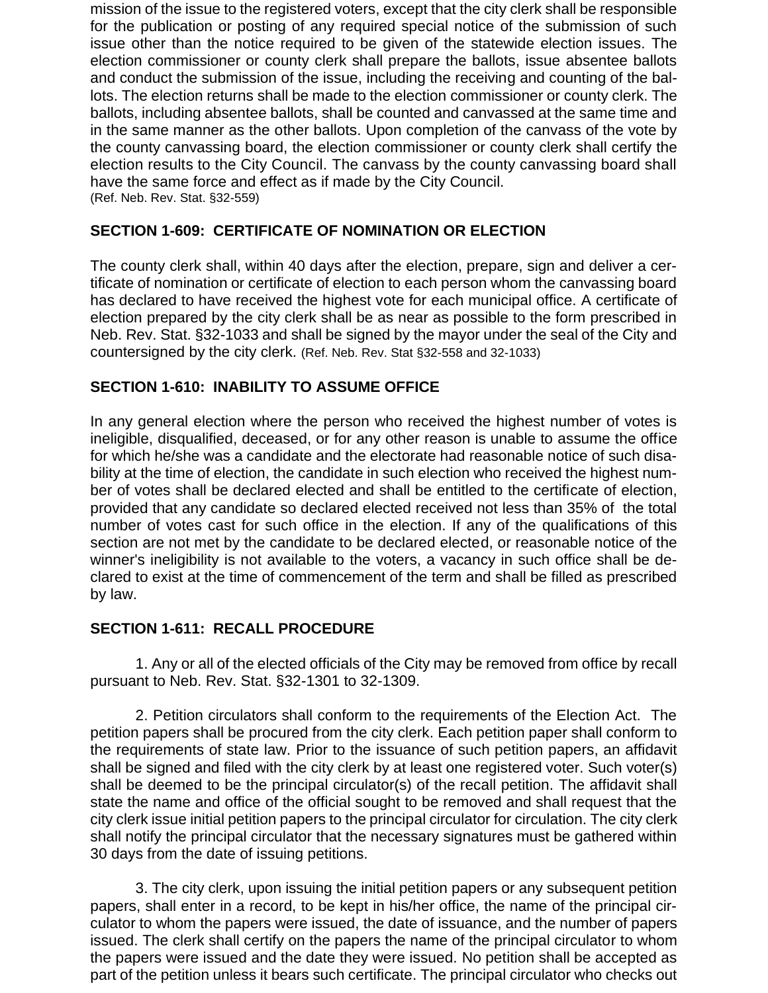mission of the issue to the registered voters, except that the city clerk shall be responsible for the publication or posting of any required special notice of the submission of such issue other than the notice required to be given of the statewide election issues. The election commissioner or county clerk shall prepare the ballots, issue absentee ballots and conduct the submission of the issue, including the receiving and counting of the ballots. The election returns shall be made to the election commissioner or county clerk. The ballots, including absentee ballots, shall be counted and canvassed at the same time and in the same manner as the other ballots. Upon completion of the canvass of the vote by the county canvassing board, the election commissioner or county clerk shall certify the election results to the City Council. The canvass by the county canvassing board shall have the same force and effect as if made by the City Council. (Ref. Neb. Rev. Stat. §32-559)

### **SECTION 1-609: CERTIFICATE OF NOMINATION OR ELECTION**

The county clerk shall, within 40 days after the election, prepare, sign and deliver a certificate of nomination or certificate of election to each person whom the canvassing board has declared to have received the highest vote for each municipal office. A certificate of election prepared by the city clerk shall be as near as possible to the form prescribed in Neb. Rev. Stat. §32-1033 and shall be signed by the mayor under the seal of the City and countersigned by the city clerk. (Ref. Neb. Rev. Stat §32-558 and 32-1033)

### **SECTION 1-610: INABILITY TO ASSUME OFFICE**

In any general election where the person who received the highest number of votes is ineligible, disqualified, deceased, or for any other reason is unable to assume the office for which he/she was a candidate and the electorate had reasonable notice of such disability at the time of election, the candidate in such election who received the highest number of votes shall be declared elected and shall be entitled to the certificate of election, provided that any candidate so declared elected received not less than 35% of the total number of votes cast for such office in the election. If any of the qualifications of this section are not met by the candidate to be declared elected, or reasonable notice of the winner's ineligibility is not available to the voters, a vacancy in such office shall be declared to exist at the time of commencement of the term and shall be filled as prescribed by law.

#### **SECTION 1-611: RECALL PROCEDURE**

1. Any or all of the elected officials of the City may be removed from office by recall pursuant to Neb. Rev. Stat. §32-1301 to 32-1309.

2. Petition circulators shall conform to the requirements of the Election Act. The petition papers shall be procured from the city clerk. Each petition paper shall conform to the requirements of state law. Prior to the issuance of such petition papers, an affidavit shall be signed and filed with the city clerk by at least one registered voter. Such voter(s) shall be deemed to be the principal circulator(s) of the recall petition. The affidavit shall state the name and office of the official sought to be removed and shall request that the city clerk issue initial petition papers to the principal circulator for circulation. The city clerk shall notify the principal circulator that the necessary signatures must be gathered within 30 days from the date of issuing petitions.

3. The city clerk, upon issuing the initial petition papers or any subsequent petition papers, shall enter in a record, to be kept in his/her office, the name of the principal circulator to whom the papers were issued, the date of issuance, and the number of papers issued. The clerk shall certify on the papers the name of the principal circulator to whom the papers were issued and the date they were issued. No petition shall be accepted as part of the petition unless it bears such certificate. The principal circulator who checks out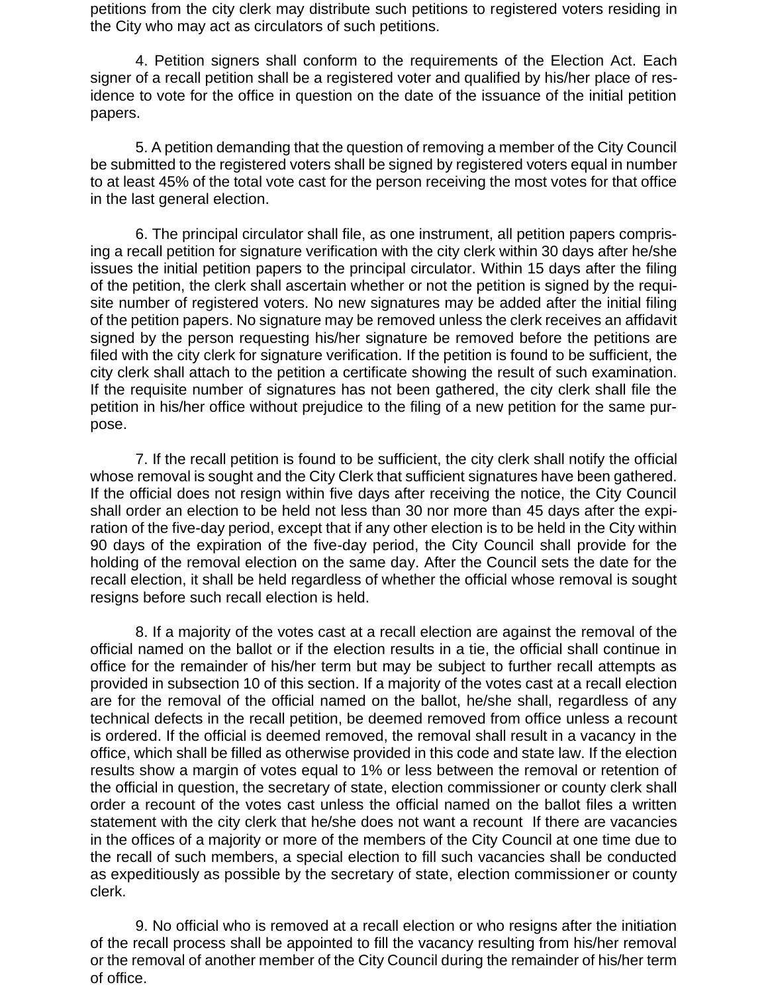petitions from the city clerk may distribute such petitions to registered voters residing in the City who may act as circulators of such petitions.

4. Petition signers shall conform to the requirements of the Election Act. Each signer of a recall petition shall be a registered voter and qualified by his/her place of residence to vote for the office in question on the date of the issuance of the initial petition papers.

5. A petition demanding that the question of removing a member of the City Council be submitted to the registered voters shall be signed by registered voters equal in number to at least 45% of the total vote cast for the person receiving the most votes for that office in the last general election.

6. The principal circulator shall file, as one instrument, all petition papers comprising a recall petition for signature verification with the city clerk within 30 days after he/she issues the initial petition papers to the principal circulator. Within 15 days after the filing of the petition, the clerk shall ascertain whether or not the petition is signed by the requisite number of registered voters. No new signatures may be added after the initial filing of the petition papers. No signature may be removed unless the clerk receives an affidavit signed by the person requesting his/her signature be removed before the petitions are filed with the city clerk for signature verification. If the petition is found to be sufficient, the city clerk shall attach to the petition a certificate showing the result of such examination. If the requisite number of signatures has not been gathered, the city clerk shall file the petition in his/her office without prejudice to the filing of a new petition for the same purpose.

7. If the recall petition is found to be sufficient, the city clerk shall notify the official whose removal is sought and the City Clerk that sufficient signatures have been gathered. If the official does not resign within five days after receiving the notice, the City Council shall order an election to be held not less than 30 nor more than 45 days after the expiration of the five-day period, except that if any other election is to be held in the City within 90 days of the expiration of the five-day period, the City Council shall provide for the holding of the removal election on the same day. After the Council sets the date for the recall election, it shall be held regardless of whether the official whose removal is sought resigns before such recall election is held.

8. If a majority of the votes cast at a recall election are against the removal of the official named on the ballot or if the election results in a tie, the official shall continue in office for the remainder of his/her term but may be subject to further recall attempts as provided in subsection 10 of this section. If a majority of the votes cast at a recall election are for the removal of the official named on the ballot, he/she shall, regardless of any technical defects in the recall petition, be deemed removed from office unless a recount is ordered. If the official is deemed removed, the removal shall result in a vacancy in the office, which shall be filled as otherwise provided in this code and state law. If the election results show a margin of votes equal to 1% or less between the removal or retention of the official in question, the secretary of state, election commissioner or county clerk shall order a recount of the votes cast unless the official named on the ballot files a written statement with the city clerk that he/she does not want a recount If there are vacancies in the offices of a majority or more of the members of the City Council at one time due to the recall of such members, a special election to fill such vacancies shall be conducted as expeditiously as possible by the secretary of state, election commissioner or county clerk.

9. No official who is removed at a recall election or who resigns after the initiation of the recall process shall be appointed to fill the vacancy resulting from his/her removal or the removal of another member of the City Council during the remainder of his/her term of office.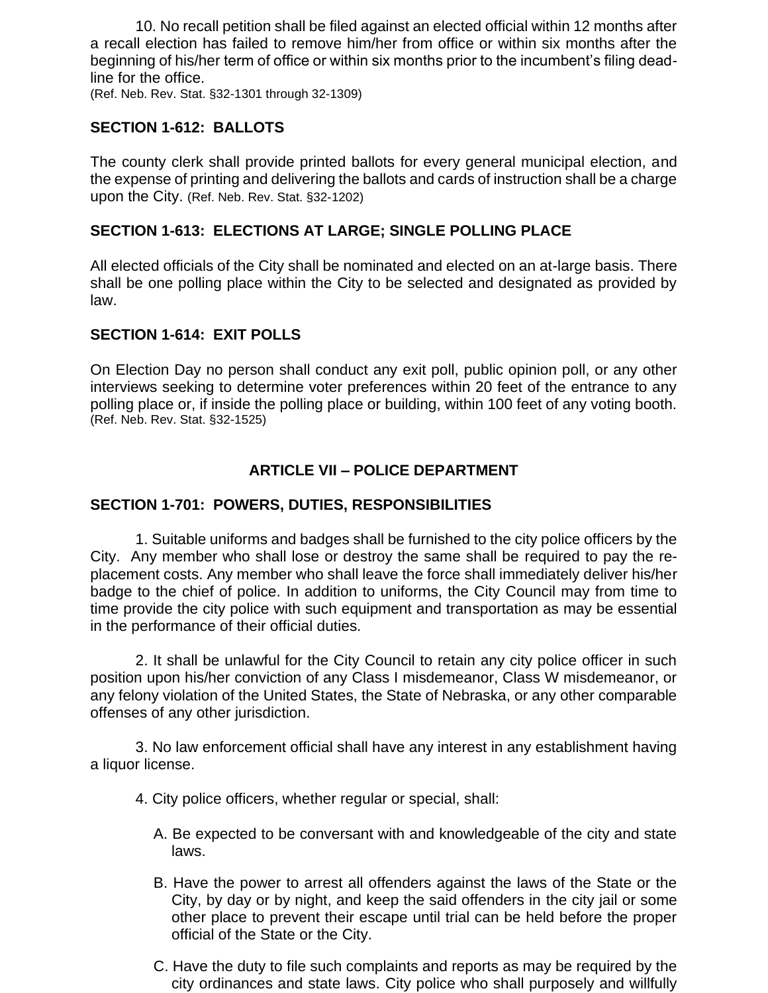10. No recall petition shall be filed against an elected official within 12 months after a recall election has failed to remove him/her from office or within six months after the beginning of his/her term of office or within six months prior to the incumbent's filing deadline for the office.

(Ref. Neb. Rev. Stat. §32-1301 through 32-1309)

#### **SECTION 1-612: BALLOTS**

The county clerk shall provide printed ballots for every general municipal election, and the expense of printing and delivering the ballots and cards of instruction shall be a charge upon the City. (Ref. Neb. Rev. Stat. §32-1202)

### **SECTION 1-613: ELECTIONS AT LARGE; SINGLE POLLING PLACE**

All elected officials of the City shall be nominated and elected on an at-large basis. There shall be one polling place within the City to be selected and designated as provided by law.

#### **SECTION 1-614: EXIT POLLS**

On Election Day no person shall conduct any exit poll, public opinion poll, or any other interviews seeking to determine voter preferences within 20 feet of the entrance to any polling place or, if inside the polling place or building, within 100 feet of any voting booth. (Ref. Neb. Rev. Stat. §32-1525)

# **ARTICLE VII – POLICE DEPARTMENT**

### **SECTION 1-701: POWERS, DUTIES, RESPONSIBILITIES**

1. Suitable uniforms and badges shall be furnished to the city police officers by the City. Any member who shall lose or destroy the same shall be required to pay the replacement costs. Any member who shall leave the force shall immediately deliver his/her badge to the chief of police. In addition to uniforms, the City Council may from time to time provide the city police with such equipment and transportation as may be essential in the performance of their official duties.

2. It shall be unlawful for the City Council to retain any city police officer in such position upon his/her conviction of any Class I misdemeanor, Class W misdemeanor, or any felony violation of the United States, the State of Nebraska, or any other comparable offenses of any other jurisdiction.

3. No law enforcement official shall have any interest in any establishment having a liquor license.

4. City police officers, whether regular or special, shall:

- A. Be expected to be conversant with and knowledgeable of the city and state laws.
- B. Have the power to arrest all offenders against the laws of the State or the City, by day or by night, and keep the said offenders in the city jail or some other place to prevent their escape until trial can be held before the proper official of the State or the City.
- C. Have the duty to file such complaints and reports as may be required by the city ordinances and state laws. City police who shall purposely and willfully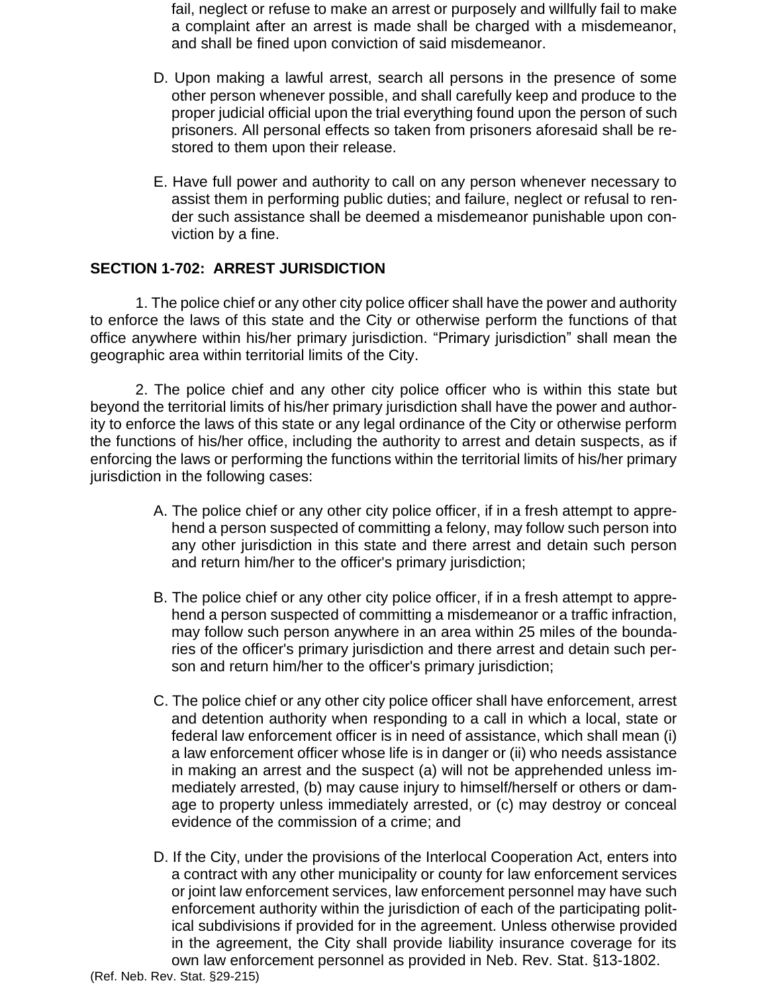fail, neglect or refuse to make an arrest or purposely and willfully fail to make a complaint after an arrest is made shall be charged with a misdemeanor, and shall be fined upon conviction of said misdemeanor.

- D. Upon making a lawful arrest, search all persons in the presence of some other person whenever possible, and shall carefully keep and produce to the proper judicial official upon the trial everything found upon the person of such prisoners. All personal effects so taken from prisoners aforesaid shall be restored to them upon their release.
- E. Have full power and authority to call on any person whenever necessary to assist them in performing public duties; and failure, neglect or refusal to render such assistance shall be deemed a misdemeanor punishable upon conviction by a fine.

#### **SECTION 1-702: ARREST JURISDICTION**

1. The police chief or any other city police officer shall have the power and authority to enforce the laws of this state and the City or otherwise perform the functions of that office anywhere within his/her primary jurisdiction. "Primary jurisdiction" shall mean the geographic area within territorial limits of the City.

2. The police chief and any other city police officer who is within this state but beyond the territorial limits of his/her primary jurisdiction shall have the power and authority to enforce the laws of this state or any legal ordinance of the City or otherwise perform the functions of his/her office, including the authority to arrest and detain suspects, as if enforcing the laws or performing the functions within the territorial limits of his/her primary jurisdiction in the following cases:

- A. The police chief or any other city police officer, if in a fresh attempt to apprehend a person suspected of committing a felony, may follow such person into any other jurisdiction in this state and there arrest and detain such person and return him/her to the officer's primary jurisdiction;
- B. The police chief or any other city police officer, if in a fresh attempt to apprehend a person suspected of committing a misdemeanor or a traffic infraction, may follow such person anywhere in an area within 25 miles of the boundaries of the officer's primary jurisdiction and there arrest and detain such person and return him/her to the officer's primary jurisdiction;
- C. The police chief or any other city police officer shall have enforcement, arrest and detention authority when responding to a call in which a local, state or federal law enforcement officer is in need of assistance, which shall mean (i) a law enforcement officer whose life is in danger or (ii) who needs assistance in making an arrest and the suspect (a) will not be apprehended unless immediately arrested, (b) may cause injury to himself/herself or others or damage to property unless immediately arrested, or (c) may destroy or conceal evidence of the commission of a crime; and
- D. If the City, under the provisions of the Interlocal Cooperation Act, enters into a contract with any other municipality or county for law enforcement services or joint law enforcement services, law enforcement personnel may have such enforcement authority within the jurisdiction of each of the participating political subdivisions if provided for in the agreement. Unless otherwise provided in the agreement, the City shall provide liability insurance coverage for its own law enforcement personnel as provided in Neb. Rev. Stat. §13-1802.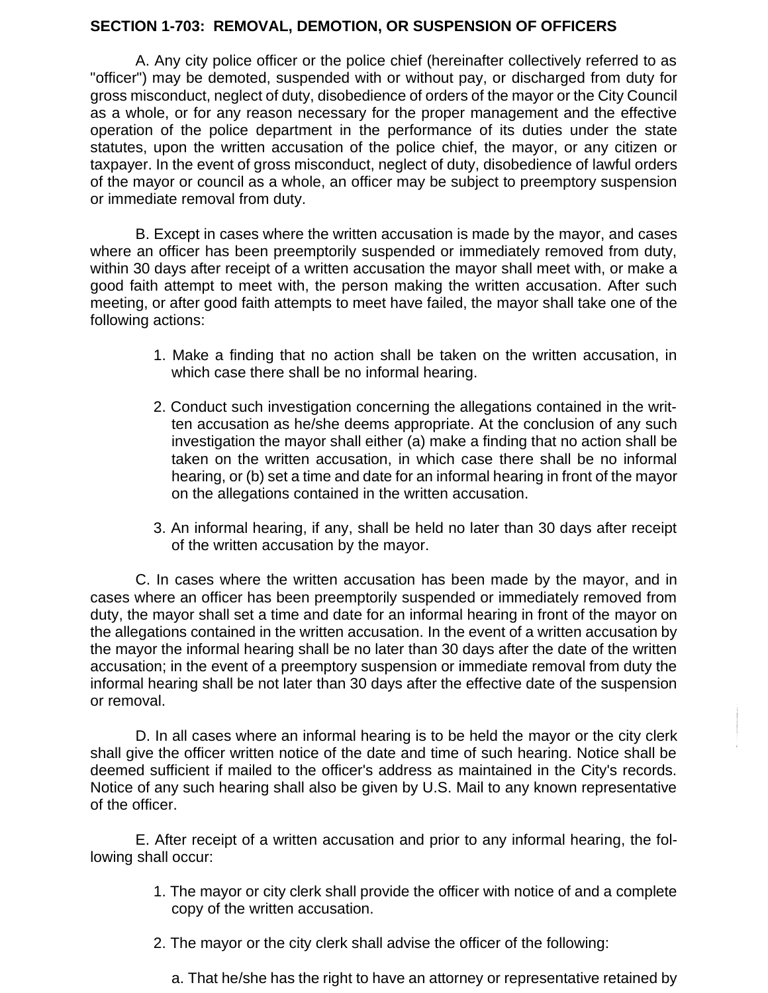#### **SECTION 1-703: REMOVAL, DEMOTION, OR SUSPENSION OF OFFICERS**

A. Any city police officer or the police chief (hereinafter collectively referred to as "officer") may be demoted, suspended with or without pay, or discharged from duty for gross misconduct, neglect of duty, disobedience of orders of the mayor or the City Council as a whole, or for any reason necessary for the proper management and the effective operation of the police department in the performance of its duties under the state statutes, upon the written accusation of the police chief, the mayor, or any citizen or taxpayer. In the event of gross misconduct, neglect of duty, disobedience of lawful orders of the mayor or council as a whole, an officer may be subject to preemptory suspension or immediate removal from duty.

B. Except in cases where the written accusation is made by the mayor, and cases where an officer has been preemptorily suspended or immediately removed from duty, within 30 days after receipt of a written accusation the mayor shall meet with, or make a good faith attempt to meet with, the person making the written accusation. After such meeting, or after good faith attempts to meet have failed, the mayor shall take one of the following actions:

- 1. Make a finding that no action shall be taken on the written accusation, in which case there shall be no informal hearing.
- 2. Conduct such investigation concerning the allegations contained in the written accusation as he/she deems appropriate. At the conclusion of any such investigation the mayor shall either (a) make a finding that no action shall be taken on the written accusation, in which case there shall be no informal hearing, or (b) set a time and date for an informal hearing in front of the mayor on the allegations contained in the written accusation.
- 3. An informal hearing, if any, shall be held no later than 30 days after receipt of the written accusation by the mayor.

C. In cases where the written accusation has been made by the mayor, and in cases where an officer has been preemptorily suspended or immediately removed from duty, the mayor shall set a time and date for an informal hearing in front of the mayor on the allegations contained in the written accusation. In the event of a written accusation by the mayor the informal hearing shall be no later than 30 days after the date of the written accusation; in the event of a preemptory suspension or immediate removal from duty the informal hearing shall be not later than 30 days after the effective date of the suspension or removal.

D. In all cases where an informal hearing is to be held the mayor or the city clerk shall give the officer written notice of the date and time of such hearing. Notice shall be deemed sufficient if mailed to the officer's address as maintained in the City's records. Notice of any such hearing shall also be given by U.S. Mail to any known representative of the officer.

E. After receipt of a written accusation and prior to any informal hearing, the following shall occur:

- 1. The mayor or city clerk shall provide the officer with notice of and a complete copy of the written accusation.
- 2. The mayor or the city clerk shall advise the officer of the following:
	- a. That he/she has the right to have an attorney or representative retained by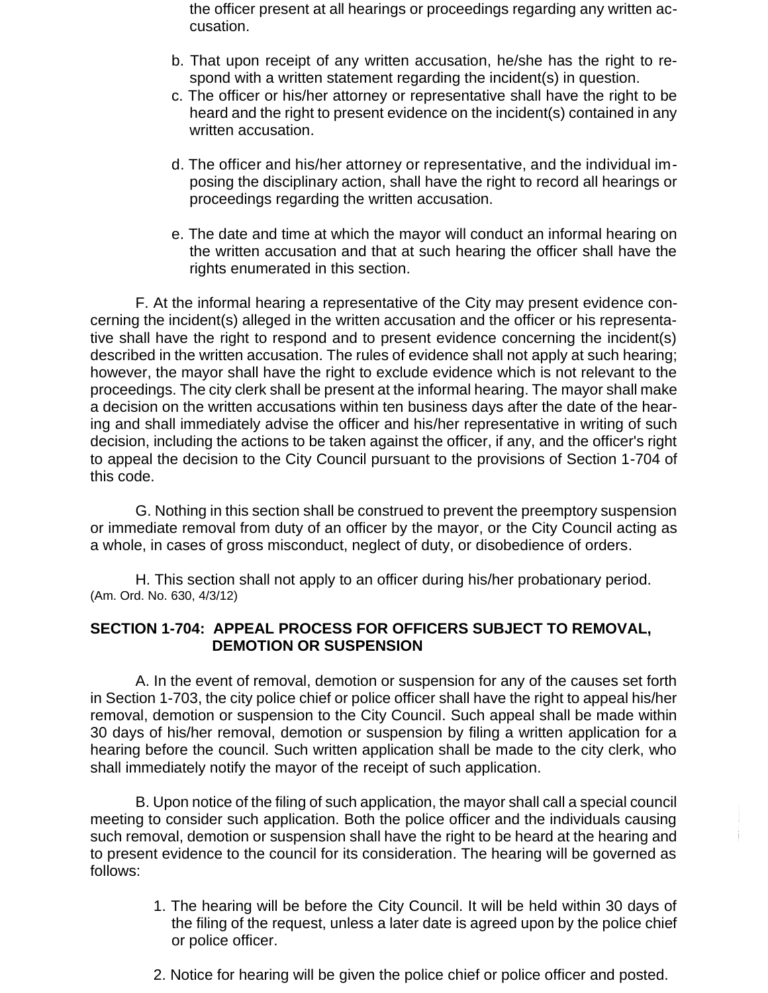the officer present at all hearings or proceedings regarding any written accusation.

- b. That upon receipt of any written accusation, he/she has the right to respond with a written statement regarding the incident(s) in question.
- c. The officer or his/her attorney or representative shall have the right to be heard and the right to present evidence on the incident(s) contained in any written accusation.
- d. The officer and his/her attorney or representative, and the individual imposing the disciplinary action, shall have the right to record all hearings or proceedings regarding the written accusation.
- e. The date and time at which the mayor will conduct an informal hearing on the written accusation and that at such hearing the officer shall have the rights enumerated in this section.

F. At the informal hearing a representative of the City may present evidence concerning the incident(s) alleged in the written accusation and the officer or his representative shall have the right to respond and to present evidence concerning the incident(s) described in the written accusation. The rules of evidence shall not apply at such hearing; however, the mayor shall have the right to exclude evidence which is not relevant to the proceedings. The city clerk shall be present at the informal hearing. The mayor shall make a decision on the written accusations within ten business days after the date of the hearing and shall immediately advise the officer and his/her representative in writing of such decision, including the actions to be taken against the officer, if any, and the officer's right to appeal the decision to the City Council pursuant to the provisions of Section 1-704 of this code.

G. Nothing in this section shall be construed to prevent the preemptory suspension or immediate removal from duty of an officer by the mayor, or the City Council acting as a whole, in cases of gross misconduct, neglect of duty, or disobedience of orders.

H. This section shall not apply to an officer during his/her probationary period. (Am. Ord. No. 630, 4/3/12)

#### **SECTION 1-704: APPEAL PROCESS FOR OFFICERS SUBJECT TO REMOVAL, DEMOTION OR SUSPENSION**

A. In the event of removal, demotion or suspension for any of the causes set forth in Section 1-703, the city police chief or police officer shall have the right to appeal his/her removal, demotion or suspension to the City Council. Such appeal shall be made within 30 days of his/her removal, demotion or suspension by filing a written application for a hearing before the council. Such written application shall be made to the city clerk, who shall immediately notify the mayor of the receipt of such application.

B. Upon notice of the filing of such application, the mayor shall call a special council meeting to consider such application. Both the police officer and the individuals causing such removal, demotion or suspension shall have the right to be heard at the hearing and to present evidence to the council for its consideration. The hearing will be governed as follows:

- 1. The hearing will be before the City Council. It will be held within 30 days of the filing of the request, unless a later date is agreed upon by the police chief or police officer.
- 2. Notice for hearing will be given the police chief or police officer and posted.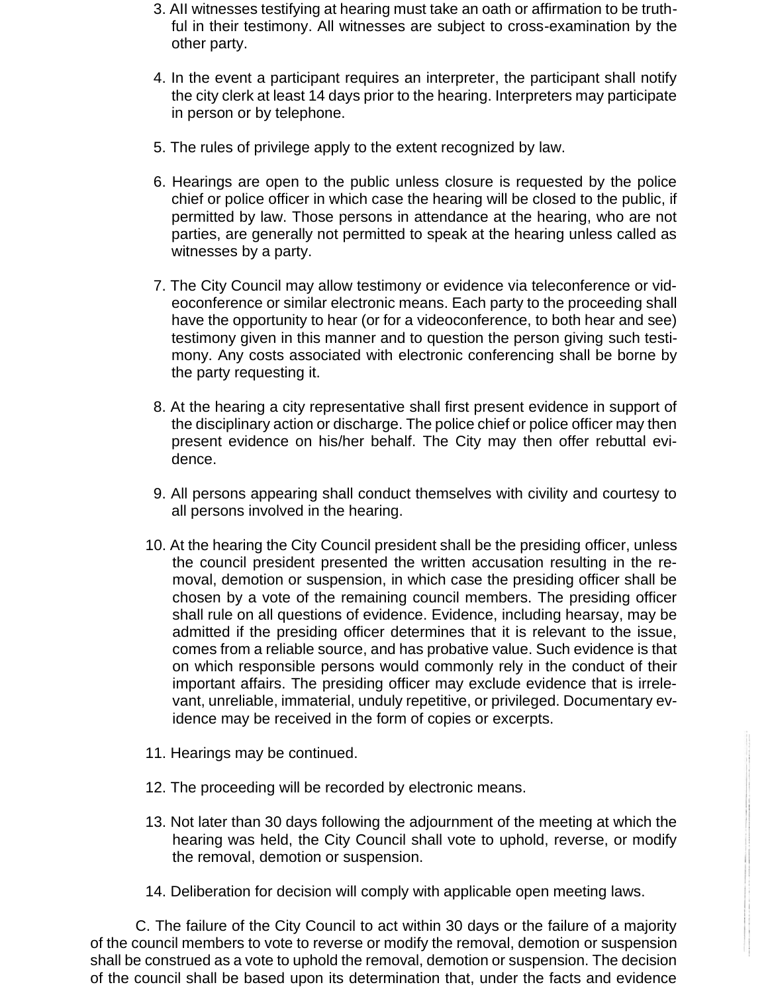- 3. AII witnesses testifying at hearing must take an oath or affirmation to be truthful in their testimony. All witnesses are subject to cross-examination by the other party.
- 4. In the event a participant requires an interpreter, the participant shall notify the city clerk at least 14 days prior to the hearing. Interpreters may participate in person or by telephone.
- 5. The rules of privilege apply to the extent recognized by law.
- 6. Hearings are open to the public unless closure is requested by the police chief or police officer in which case the hearing will be closed to the public, if permitted by law. Those persons in attendance at the hearing, who are not parties, are generally not permitted to speak at the hearing unless called as witnesses by a party.
- 7. The City Council may allow testimony or evidence via teleconference or videoconference or similar electronic means. Each party to the proceeding shall have the opportunity to hear (or for a videoconference, to both hear and see) testimony given in this manner and to question the person giving such testimony. Any costs associated with electronic conferencing shall be borne by the party requesting it.
- 8. At the hearing a city representative shall first present evidence in support of the disciplinary action or discharge. The police chief or police officer may then present evidence on his/her behalf. The City may then offer rebuttal evidence.
- 9. All persons appearing shall conduct themselves with civility and courtesy to all persons involved in the hearing.
- 10. At the hearing the City Council president shall be the presiding officer, unless the council president presented the written accusation resulting in the removal, demotion or suspension, in which case the presiding officer shall be chosen by a vote of the remaining council members. The presiding officer shall rule on all questions of evidence. Evidence, including hearsay, may be admitted if the presiding officer determines that it is relevant to the issue, comes from a reliable source, and has probative value. Such evidence is that on which responsible persons would commonly rely in the conduct of their important affairs. The presiding officer may exclude evidence that is irrelevant, unreliable, immaterial, unduly repetitive, or privileged. Documentary evidence may be received in the form of copies or excerpts.
- 11. Hearings may be continued.
- 12. The proceeding will be recorded by electronic means.
- 13. Not later than 30 days following the adjournment of the meeting at which the hearing was held, the City Council shall vote to uphold, reverse, or modify the removal, demotion or suspension.
- 14. Deliberation for decision will comply with applicable open meeting laws.

C. The failure of the City Council to act within 30 days or the failure of a majority of the council members to vote to reverse or modify the removal, demotion or suspension shall be construed as a vote to uphold the removal, demotion or suspension. The decision of the council shall be based upon its determination that, under the facts and evidence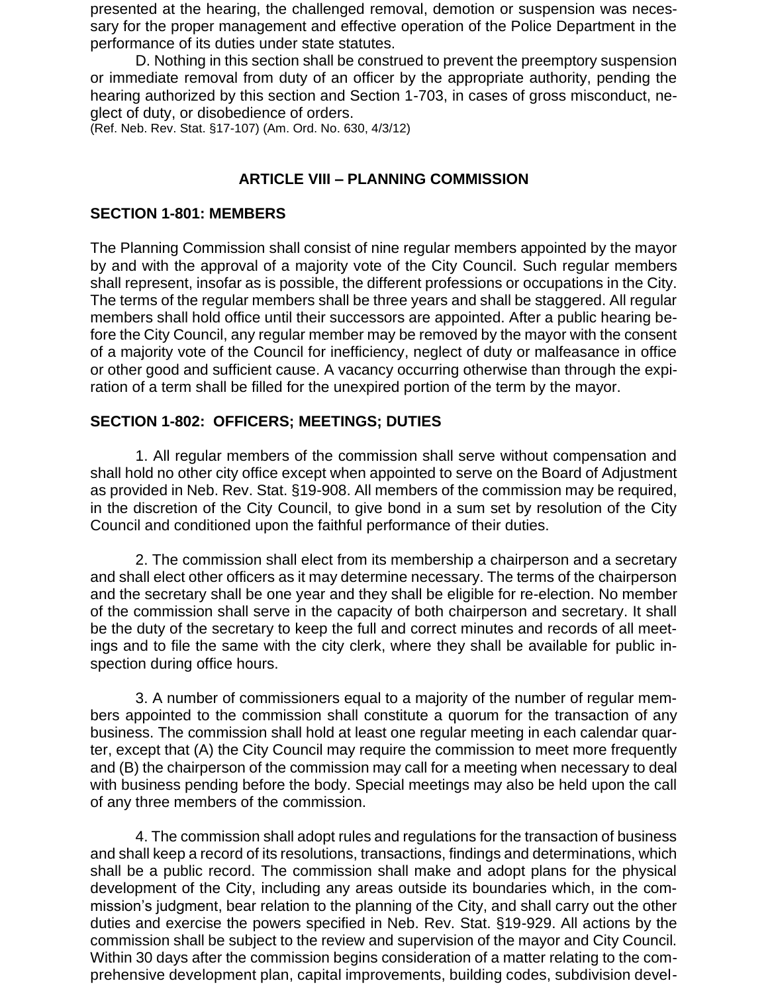presented at the hearing, the challenged removal, demotion or suspension was necessary for the proper management and effective operation of the Police Department in the performance of its duties under state statutes.

D. Nothing in this section shall be construed to prevent the preemptory suspension or immediate removal from duty of an officer by the appropriate authority, pending the hearing authorized by this section and Section 1-703, in cases of gross misconduct, neglect of duty, or disobedience of orders.

(Ref. Neb. Rev. Stat. §17-107) (Am. Ord. No. 630, 4/3/12)

### **ARTICLE VIII – PLANNING COMMISSION**

#### **SECTION 1-801: MEMBERS**

The Planning Commission shall consist of nine regular members appointed by the mayor by and with the approval of a majority vote of the City Council. Such regular members shall represent, insofar as is possible, the different professions or occupations in the City. The terms of the regular members shall be three years and shall be staggered. All regular members shall hold office until their successors are appointed. After a public hearing before the City Council, any regular member may be removed by the mayor with the consent of a majority vote of the Council for inefficiency, neglect of duty or malfeasance in office or other good and sufficient cause. A vacancy occurring otherwise than through the expiration of a term shall be filled for the unexpired portion of the term by the mayor.

### **SECTION 1-802: OFFICERS; MEETINGS; DUTIES**

1. All regular members of the commission shall serve without compensation and shall hold no other city office except when appointed to serve on the Board of Adjustment as provided in Neb. Rev. Stat. §19-908. All members of the commission may be required, in the discretion of the City Council, to give bond in a sum set by resolution of the City Council and conditioned upon the faithful performance of their duties.

2. The commission shall elect from its membership a chairperson and a secretary and shall elect other officers as it may determine necessary. The terms of the chairperson and the secretary shall be one year and they shall be eligible for re-election. No member of the commission shall serve in the capacity of both chairperson and secretary. It shall be the duty of the secretary to keep the full and correct minutes and records of all meetings and to file the same with the city clerk, where they shall be available for public inspection during office hours.

3. A number of commissioners equal to a majority of the number of regular members appointed to the commission shall constitute a quorum for the transaction of any business. The commission shall hold at least one regular meeting in each calendar quarter, except that (A) the City Council may require the commission to meet more frequently and (B) the chairperson of the commission may call for a meeting when necessary to deal with business pending before the body. Special meetings may also be held upon the call of any three members of the commission.

4. The commission shall adopt rules and regulations for the transaction of business and shall keep a record of its resolutions, transactions, findings and determinations, which shall be a public record. The commission shall make and adopt plans for the physical development of the City, including any areas outside its boundaries which, in the commission's judgment, bear relation to the planning of the City, and shall carry out the other duties and exercise the powers specified in Neb. Rev. Stat. §19-929. All actions by the commission shall be subject to the review and supervision of the mayor and City Council. Within 30 days after the commission begins consideration of a matter relating to the comprehensive development plan, capital improvements, building codes, subdivision devel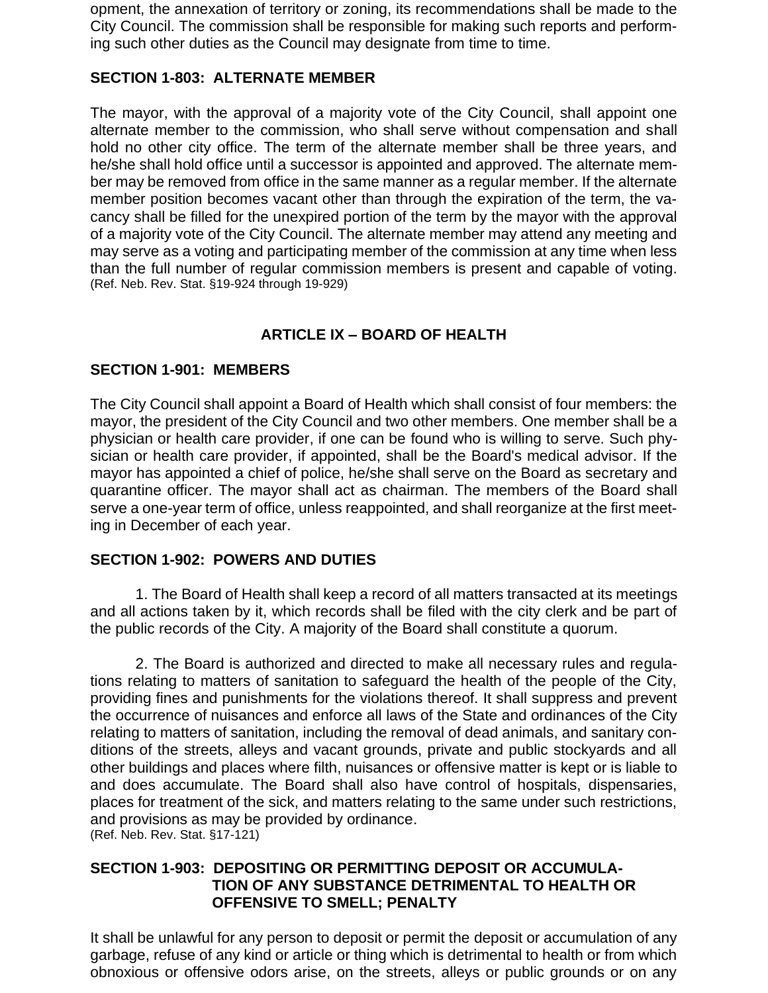opment, the annexation of territory or zoning, its recommendations shall be made to the City Council. The commission shall be responsible for making such reports and performing such other duties as the Council may designate from time to time.

#### **SECTION 1-803: ALTERNATE MEMBER**

The mayor, with the approval of a majority vote of the City Council, shall appoint one alternate member to the commission, who shall serve without compensation and shall hold no other city office. The term of the alternate member shall be three years, and he/she shall hold office until a successor is appointed and approved. The alternate member may be removed from office in the same manner as a regular member. If the alternate member position becomes vacant other than through the expiration of the term, the vacancy shall be filled for the unexpired portion of the term by the mayor with the approval of a majority vote of the City Council. The alternate member may attend any meeting and may serve as a voting and participating member of the commission at any time when less than the full number of regular commission members is present and capable of voting. (Ref. Neb. Rev. Stat. §19-924 through 19-929)

# **ARTICLE IX – BOARD OF HEALTH**

### **SECTION 1-901: MEMBERS**

The City Council shall appoint a Board of Health which shall consist of four members: the mayor, the president of the City Council and two other members. One member shall be a physician or health care provider, if one can be found who is willing to serve. Such physician or health care provider, if appointed, shall be the Board's medical advisor. If the mayor has appointed a chief of police, he/she shall serve on the Board as secretary and quarantine officer. The mayor shall act as chairman. The members of the Board shall serve a one-year term of office, unless reappointed, and shall reorganize at the first meeting in December of each year.

#### **SECTION 1-902: POWERS AND DUTIES**

1. The Board of Health shall keep a record of all matters transacted at its meetings and all actions taken by it, which records shall be filed with the city clerk and be part of the public records of the City. A majority of the Board shall constitute a quorum.

2. The Board is authorized and directed to make all necessary rules and regulations relating to matters of sanitation to safeguard the health of the people of the City, providing fines and punishments for the violations thereof. It shall suppress and prevent the occurrence of nuisances and enforce all laws of the State and ordinances of the City relating to matters of sanitation, including the removal of dead animals, and sanitary conditions of the streets, alleys and vacant grounds, private and public stockyards and all other buildings and places where filth, nuisances or offensive matter is kept or is liable to and does accumulate. The Board shall also have control of hospitals, dispensaries, places for treatment of the sick, and matters relating to the same under such restrictions, and provisions as may be provided by ordinance.

(Ref. Neb. Rev. Stat. §17-121)

### **SECTION 1-903: DEPOSITING OR PERMITTING DEPOSIT OR ACCUMULA-TION OF ANY SUBSTANCE DETRIMENTAL TO HEALTH OR OFFENSIVE TO SMELL; PENALTY**

It shall be unlawful for any person to deposit or permit the deposit or accumulation of any garbage, refuse of any kind or article or thing which is detrimental to health or from which obnoxious or offensive odors arise, on the streets, alleys or public grounds or on any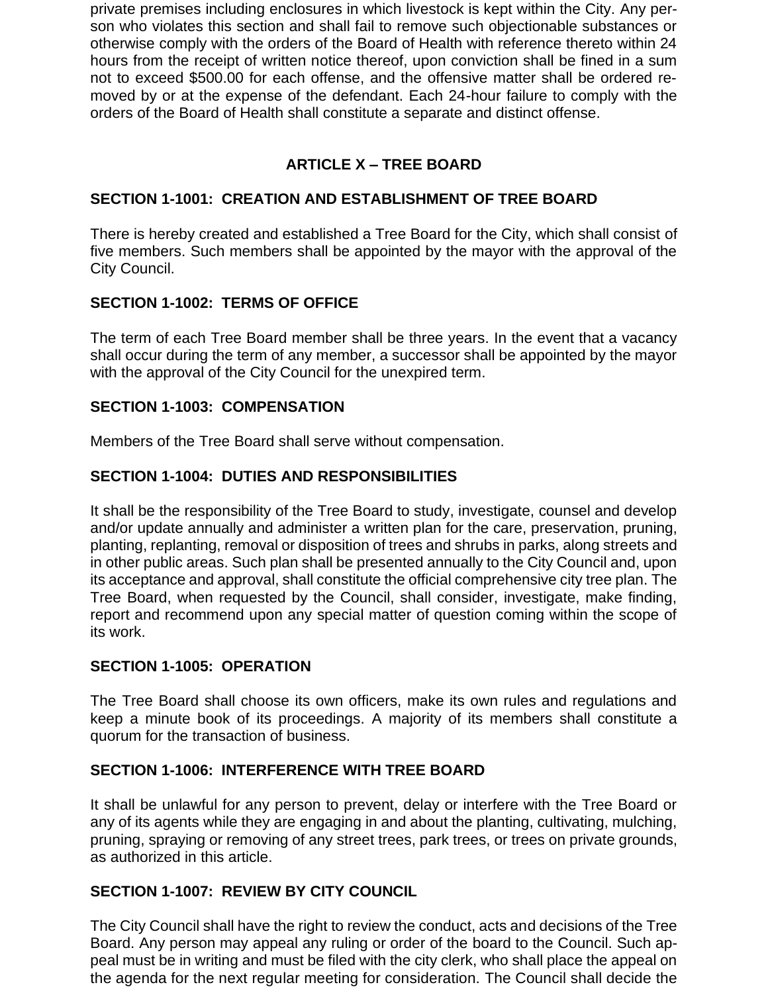private premises including enclosures in which livestock is kept within the City. Any person who violates this section and shall fail to remove such objectionable substances or otherwise comply with the orders of the Board of Health with reference thereto within 24 hours from the receipt of written notice thereof, upon conviction shall be fined in a sum not to exceed \$500.00 for each offense, and the offensive matter shall be ordered removed by or at the expense of the defendant. Each 24-hour failure to comply with the orders of the Board of Health shall constitute a separate and distinct offense.

# **ARTICLE X – TREE BOARD**

### **SECTION 1-1001: CREATION AND ESTABLISHMENT OF TREE BOARD**

There is hereby created and established a Tree Board for the City, which shall consist of five members. Such members shall be appointed by the mayor with the approval of the City Council.

# **SECTION 1-1002: TERMS OF OFFICE**

The term of each Tree Board member shall be three years. In the event that a vacancy shall occur during the term of any member, a successor shall be appointed by the mayor with the approval of the City Council for the unexpired term.

#### **SECTION 1-1003: COMPENSATION**

Members of the Tree Board shall serve without compensation.

### **SECTION 1-1004: DUTIES AND RESPONSIBILITIES**

It shall be the responsibility of the Tree Board to study, investigate, counsel and develop and/or update annually and administer a written plan for the care, preservation, pruning, planting, replanting, removal or disposition of trees and shrubs in parks, along streets and in other public areas. Such plan shall be presented annually to the City Council and, upon its acceptance and approval, shall constitute the official comprehensive city tree plan. The Tree Board, when requested by the Council, shall consider, investigate, make finding, report and recommend upon any special matter of question coming within the scope of its work.

#### **SECTION 1-1005: OPERATION**

The Tree Board shall choose its own officers, make its own rules and regulations and keep a minute book of its proceedings. A majority of its members shall constitute a quorum for the transaction of business.

#### **SECTION 1-1006: INTERFERENCE WITH TREE BOARD**

It shall be unlawful for any person to prevent, delay or interfere with the Tree Board or any of its agents while they are engaging in and about the planting, cultivating, mulching, pruning, spraying or removing of any street trees, park trees, or trees on private grounds, as authorized in this article.

#### **SECTION 1-1007: REVIEW BY CITY COUNCIL**

The City Council shall have the right to review the conduct, acts and decisions of the Tree Board. Any person may appeal any ruling or order of the board to the Council. Such appeal must be in writing and must be filed with the city clerk, who shall place the appeal on the agenda for the next regular meeting for consideration. The Council shall decide the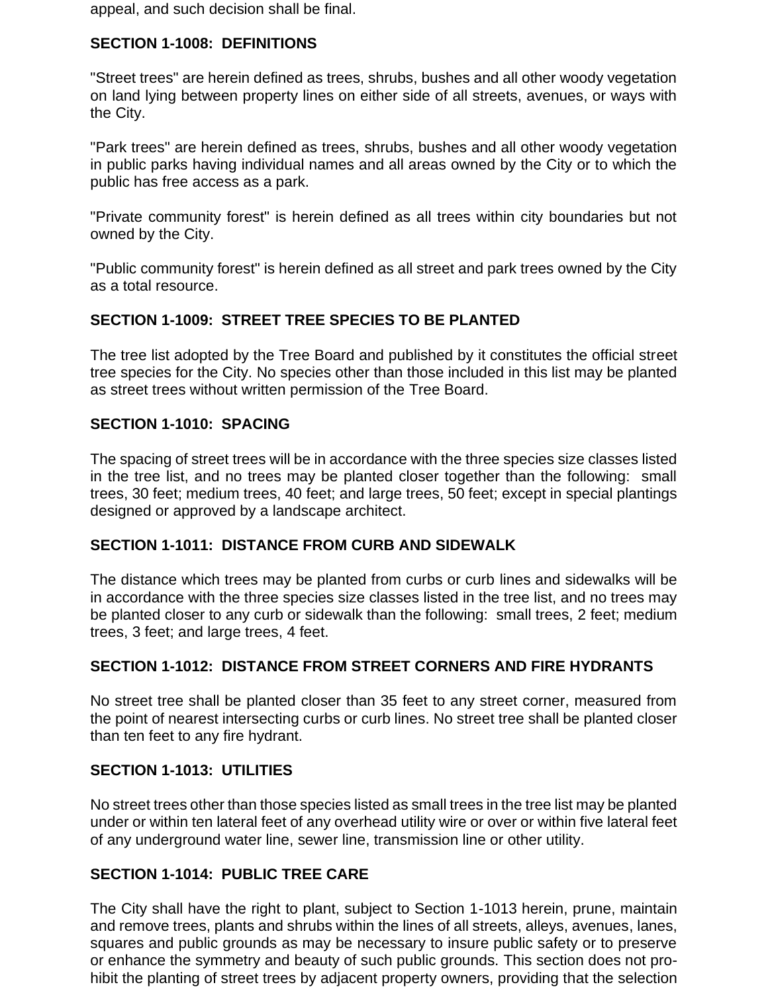appeal, and such decision shall be final.

### **SECTION 1-1008: DEFINITIONS**

"Street trees" are herein defined as trees, shrubs, bushes and all other woody vegetation on land lying between property lines on either side of all streets, avenues, or ways with the City.

"Park trees" are herein defined as trees, shrubs, bushes and all other woody vegetation in public parks having individual names and all areas owned by the City or to which the public has free access as a park.

"Private community forest" is herein defined as all trees within city boundaries but not owned by the City.

"Public community forest" is herein defined as all street and park trees owned by the City as a total resource.

#### **SECTION 1-1009: STREET TREE SPECIES TO BE PLANTED**

The tree list adopted by the Tree Board and published by it constitutes the official street tree species for the City. No species other than those included in this list may be planted as street trees without written permission of the Tree Board.

#### **SECTION 1-1010: SPACING**

The spacing of street trees will be in accordance with the three species size classes listed in the tree list, and no trees may be planted closer together than the following: small trees, 30 feet; medium trees, 40 feet; and large trees, 50 feet; except in special plantings designed or approved by a landscape architect.

#### **SECTION 1-1011: DISTANCE FROM CURB AND SIDEWALK**

The distance which trees may be planted from curbs or curb lines and sidewalks will be in accordance with the three species size classes listed in the tree list, and no trees may be planted closer to any curb or sidewalk than the following: small trees, 2 feet; medium trees, 3 feet; and large trees, 4 feet.

# **SECTION 1-1012: DISTANCE FROM STREET CORNERS AND FIRE HYDRANTS**

No street tree shall be planted closer than 35 feet to any street corner, measured from the point of nearest intersecting curbs or curb lines. No street tree shall be planted closer than ten feet to any fire hydrant.

#### **SECTION 1-1013: UTILITIES**

No street trees other than those species listed as small trees in the tree list may be planted under or within ten lateral feet of any overhead utility wire or over or within five lateral feet of any underground water line, sewer line, transmission line or other utility.

### **SECTION 1-1014: PUBLIC TREE CARE**

The City shall have the right to plant, subject to Section 1-1013 herein, prune, maintain and remove trees, plants and shrubs within the lines of all streets, alleys, avenues, lanes, squares and public grounds as may be necessary to insure public safety or to preserve or enhance the symmetry and beauty of such public grounds. This section does not prohibit the planting of street trees by adjacent property owners, providing that the selection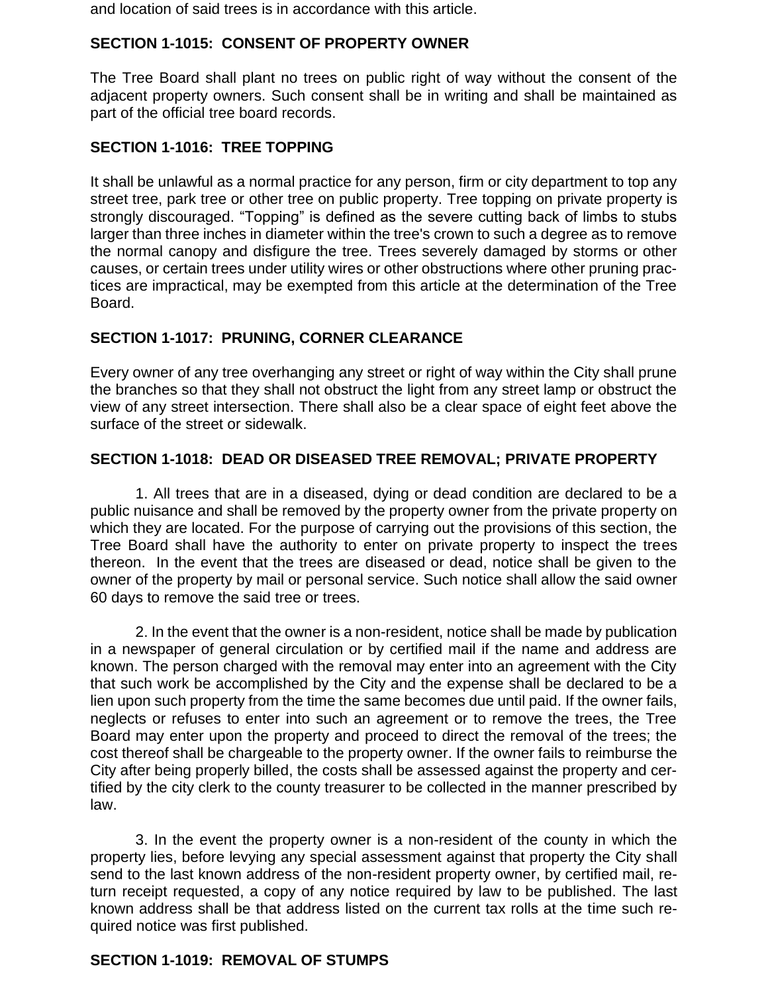and location of said trees is in accordance with this article.

# **SECTION 1-1015: CONSENT OF PROPERTY OWNER**

The Tree Board shall plant no trees on public right of way without the consent of the adjacent property owners. Such consent shall be in writing and shall be maintained as part of the official tree board records.

### **SECTION 1-1016: TREE TOPPING**

It shall be unlawful as a normal practice for any person, firm or city department to top any street tree, park tree or other tree on public property. Tree topping on private property is strongly discouraged. "Topping" is defined as the severe cutting back of limbs to stubs larger than three inches in diameter within the tree's crown to such a degree as to remove the normal canopy and disfigure the tree. Trees severely damaged by storms or other causes, or certain trees under utility wires or other obstructions where other pruning practices are impractical, may be exempted from this article at the determination of the Tree Board.

# **SECTION 1-1017: PRUNING, CORNER CLEARANCE**

Every owner of any tree overhanging any street or right of way within the City shall prune the branches so that they shall not obstruct the light from any street lamp or obstruct the view of any street intersection. There shall also be a clear space of eight feet above the surface of the street or sidewalk.

#### **SECTION 1-1018: DEAD OR DISEASED TREE REMOVAL; PRIVATE PROPERTY**

1. All trees that are in a diseased, dying or dead condition are declared to be a public nuisance and shall be removed by the property owner from the private property on which they are located. For the purpose of carrying out the provisions of this section, the Tree Board shall have the authority to enter on private property to inspect the trees thereon. In the event that the trees are diseased or dead, notice shall be given to the owner of the property by mail or personal service. Such notice shall allow the said owner 60 days to remove the said tree or trees.

2. In the event that the owner is a non-resident, notice shall be made by publication in a newspaper of general circulation or by certified mail if the name and address are known. The person charged with the removal may enter into an agreement with the City that such work be accomplished by the City and the expense shall be declared to be a lien upon such property from the time the same becomes due until paid. If the owner fails, neglects or refuses to enter into such an agreement or to remove the trees, the Tree Board may enter upon the property and proceed to direct the removal of the trees; the cost thereof shall be chargeable to the property owner. If the owner fails to reimburse the City after being properly billed, the costs shall be assessed against the property and certified by the city clerk to the county treasurer to be collected in the manner prescribed by law.

3. In the event the property owner is a non-resident of the county in which the property lies, before levying any special assessment against that property the City shall send to the last known address of the non-resident property owner, by certified mail, return receipt requested, a copy of any notice required by law to be published. The last known address shall be that address listed on the current tax rolls at the time such required notice was first published.

#### **SECTION 1-1019: REMOVAL OF STUMPS**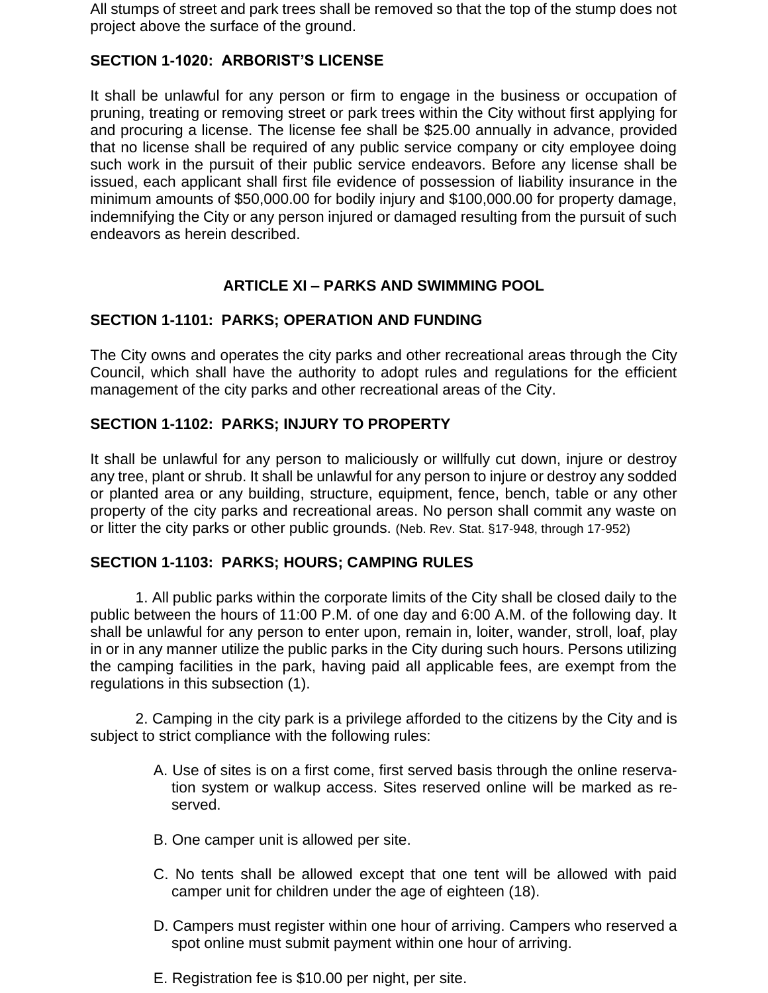All stumps of street and park trees shall be removed so that the top of the stump does not project above the surface of the ground.

# **SECTION 1-1020: ARBORIST'S LICENSE**

It shall be unlawful for any person or firm to engage in the business or occupation of pruning, treating or removing street or park trees within the City without first applying for and procuring a license. The license fee shall be \$25.00 annually in advance, provided that no license shall be required of any public service company or city employee doing such work in the pursuit of their public service endeavors. Before any license shall be issued, each applicant shall first file evidence of possession of liability insurance in the minimum amounts of \$50,000.00 for bodily injury and \$100,000.00 for property damage, indemnifying the City or any person injured or damaged resulting from the pursuit of such endeavors as herein described.

# **ARTICLE XI – PARKS AND SWIMMING POOL**

### **SECTION 1-1101: PARKS; OPERATION AND FUNDING**

The City owns and operates the city parks and other recreational areas through the City Council, which shall have the authority to adopt rules and regulations for the efficient management of the city parks and other recreational areas of the City.

### **SECTION 1-1102: PARKS; INJURY TO PROPERTY**

It shall be unlawful for any person to maliciously or willfully cut down, injure or destroy any tree, plant or shrub. It shall be unlawful for any person to injure or destroy any sodded or planted area or any building, structure, equipment, fence, bench, table or any other property of the city parks and recreational areas. No person shall commit any waste on or litter the city parks or other public grounds. (Neb. Rev. Stat. §17-948, through 17-952)

#### **SECTION 1-1103: PARKS; HOURS; CAMPING RULES**

1. All public parks within the corporate limits of the City shall be closed daily to the public between the hours of 11:00 P.M. of one day and 6:00 A.M. of the following day. It shall be unlawful for any person to enter upon, remain in, loiter, wander, stroll, loaf, play in or in any manner utilize the public parks in the City during such hours. Persons utilizing the camping facilities in the park, having paid all applicable fees, are exempt from the regulations in this subsection (1).

2. Camping in the city park is a privilege afforded to the citizens by the City and is subject to strict compliance with the following rules:

- A. Use of sites is on a first come, first served basis through the online reservation system or walkup access. Sites reserved online will be marked as reserved.
- B. One camper unit is allowed per site.
- C. No tents shall be allowed except that one tent will be allowed with paid camper unit for children under the age of eighteen (18).
- D. Campers must register within one hour of arriving. Campers who reserved a spot online must submit payment within one hour of arriving.
- E. Registration fee is \$10.00 per night, per site.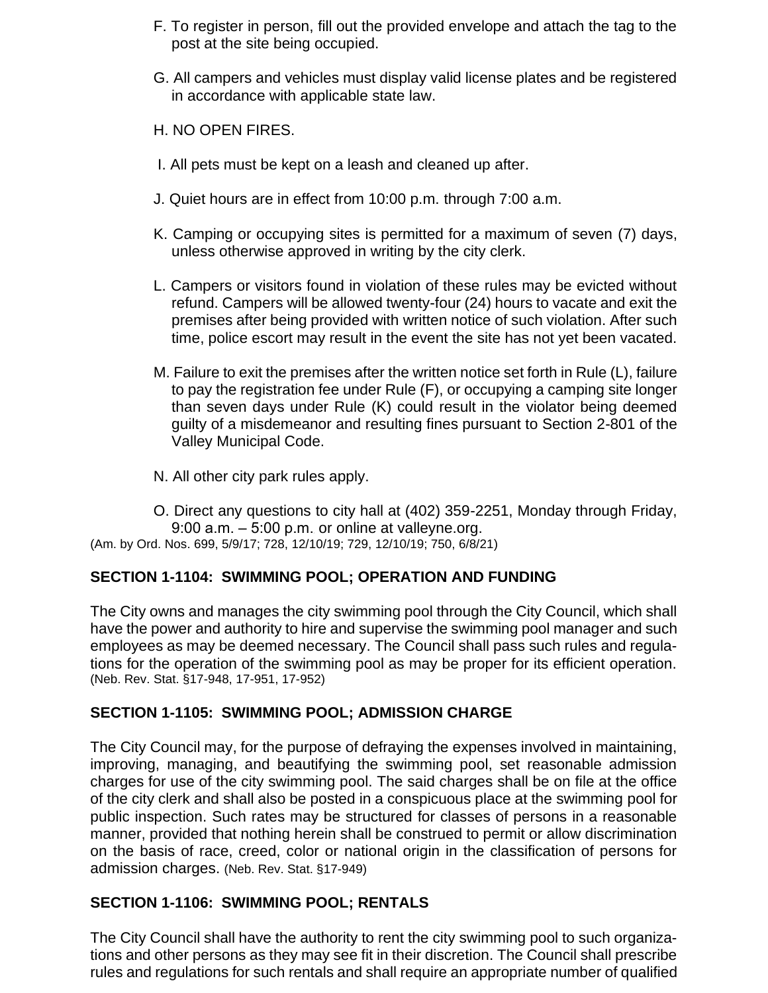- F. To register in person, fill out the provided envelope and attach the tag to the post at the site being occupied.
- G. All campers and vehicles must display valid license plates and be registered in accordance with applicable state law.
- H. NO OPEN FIRES.
- I. All pets must be kept on a leash and cleaned up after.
- J. Quiet hours are in effect from 10:00 p.m. through 7:00 a.m.
- K. Camping or occupying sites is permitted for a maximum of seven (7) days, unless otherwise approved in writing by the city clerk.
- L. Campers or visitors found in violation of these rules may be evicted without refund. Campers will be allowed twenty-four (24) hours to vacate and exit the premises after being provided with written notice of such violation. After such time, police escort may result in the event the site has not yet been vacated.
- M. Failure to exit the premises after the written notice set forth in Rule (L), failure to pay the registration fee under Rule (F), or occupying a camping site longer than seven days under Rule (K) could result in the violator being deemed guilty of a misdemeanor and resulting fines pursuant to Section 2-801 of the Valley Municipal Code.
- N. All other city park rules apply.
- O. Direct any questions to city hall at (402) 359-2251, Monday through Friday,  $9:00$  a.m.  $-5:00$  p.m. or online at valleyne.org.

(Am. by Ord. Nos. 699, 5/9/17; 728, 12/10/19; 729, 12/10/19; 750, 6/8/21)

#### **SECTION 1-1104: SWIMMING POOL; OPERATION AND FUNDING**

The City owns and manages the city swimming pool through the City Council, which shall have the power and authority to hire and supervise the swimming pool manager and such employees as may be deemed necessary. The Council shall pass such rules and regulations for the operation of the swimming pool as may be proper for its efficient operation. (Neb. Rev. Stat. §17-948, 17-951, 17-952)

#### **SECTION 1-1105: SWIMMING POOL; ADMISSION CHARGE**

The City Council may, for the purpose of defraying the expenses involved in maintaining, improving, managing, and beautifying the swimming pool, set reasonable admission charges for use of the city swimming pool. The said charges shall be on file at the office of the city clerk and shall also be posted in a conspicuous place at the swimming pool for public inspection. Such rates may be structured for classes of persons in a reasonable manner, provided that nothing herein shall be construed to permit or allow discrimination on the basis of race, creed, color or national origin in the classification of persons for admission charges. (Neb. Rev. Stat. §17-949)

# **SECTION 1-1106: SWIMMING POOL; RENTALS**

The City Council shall have the authority to rent the city swimming pool to such organizations and other persons as they may see fit in their discretion. The Council shall prescribe rules and regulations for such rentals and shall require an appropriate number of qualified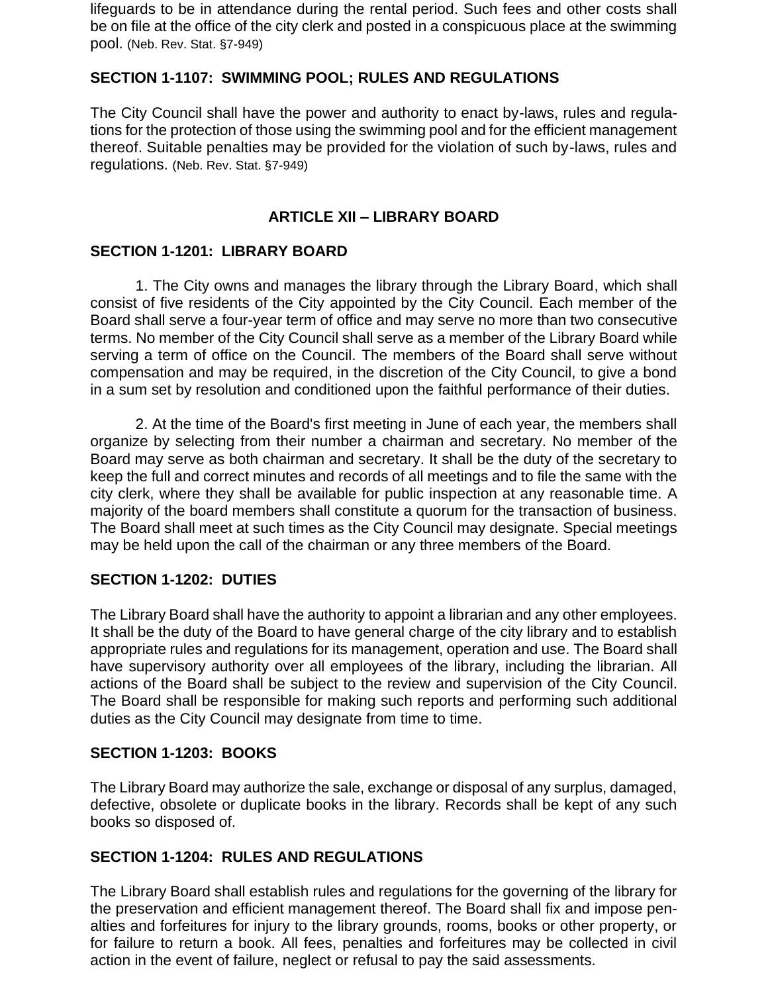lifeguards to be in attendance during the rental period. Such fees and other costs shall be on file at the office of the city clerk and posted in a conspicuous place at the swimming pool. (Neb. Rev. Stat. §7-949)

### **SECTION 1-1107: SWIMMING POOL; RULES AND REGULATIONS**

The City Council shall have the power and authority to enact by-laws, rules and regulations for the protection of those using the swimming pool and for the efficient management thereof. Suitable penalties may be provided for the violation of such by-laws, rules and regulations. (Neb. Rev. Stat. §7-949)

### **ARTICLE XII – LIBRARY BOARD**

#### **SECTION 1-1201: LIBRARY BOARD**

1. The City owns and manages the library through the Library Board, which shall consist of five residents of the City appointed by the City Council. Each member of the Board shall serve a four-year term of office and may serve no more than two consecutive terms. No member of the City Council shall serve as a member of the Library Board while serving a term of office on the Council. The members of the Board shall serve without compensation and may be required, in the discretion of the City Council, to give a bond in a sum set by resolution and conditioned upon the faithful performance of their duties.

2. At the time of the Board's first meeting in June of each year, the members shall organize by selecting from their number a chairman and secretary. No member of the Board may serve as both chairman and secretary. It shall be the duty of the secretary to keep the full and correct minutes and records of all meetings and to file the same with the city clerk, where they shall be available for public inspection at any reasonable time. A majority of the board members shall constitute a quorum for the transaction of business. The Board shall meet at such times as the City Council may designate. Special meetings may be held upon the call of the chairman or any three members of the Board.

#### **SECTION 1-1202: DUTIES**

The Library Board shall have the authority to appoint a librarian and any other employees. It shall be the duty of the Board to have general charge of the city library and to establish appropriate rules and regulations for its management, operation and use. The Board shall have supervisory authority over all employees of the library, including the librarian. All actions of the Board shall be subject to the review and supervision of the City Council. The Board shall be responsible for making such reports and performing such additional duties as the City Council may designate from time to time.

#### **SECTION 1-1203: BOOKS**

The Library Board may authorize the sale, exchange or disposal of any surplus, damaged, defective, obsolete or duplicate books in the library. Records shall be kept of any such books so disposed of.

### **SECTION 1-1204: RULES AND REGULATIONS**

The Library Board shall establish rules and regulations for the governing of the library for the preservation and efficient management thereof. The Board shall fix and impose penalties and forfeitures for injury to the library grounds, rooms, books or other property, or for failure to return a book. All fees, penalties and forfeitures may be collected in civil action in the event of failure, neglect or refusal to pay the said assessments.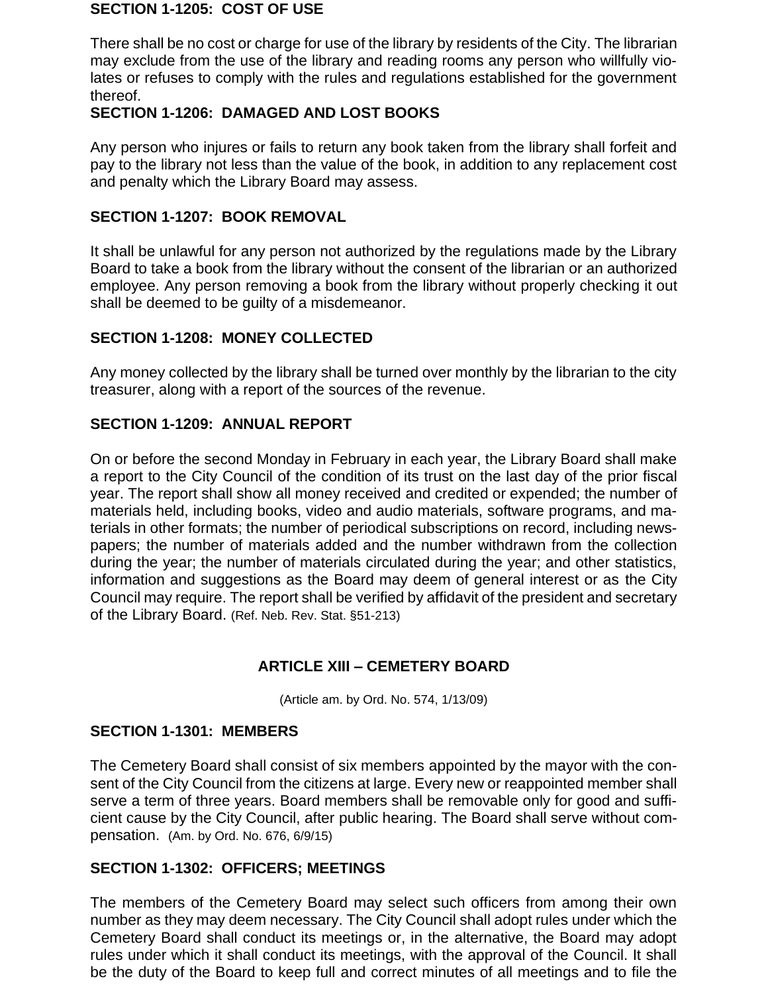#### **SECTION 1-1205: COST OF USE**

There shall be no cost or charge for use of the library by residents of the City. The librarian may exclude from the use of the library and reading rooms any person who willfully violates or refuses to comply with the rules and regulations established for the government thereof.

#### **SECTION 1-1206: DAMAGED AND LOST BOOKS**

Any person who injures or fails to return any book taken from the library shall forfeit and pay to the library not less than the value of the book, in addition to any replacement cost and penalty which the Library Board may assess.

#### **SECTION 1-1207: BOOK REMOVAL**

It shall be unlawful for any person not authorized by the regulations made by the Library Board to take a book from the library without the consent of the librarian or an authorized employee. Any person removing a book from the library without properly checking it out shall be deemed to be guilty of a misdemeanor.

#### **SECTION 1-1208: MONEY COLLECTED**

Any money collected by the library shall be turned over monthly by the librarian to the city treasurer, along with a report of the sources of the revenue.

#### **SECTION 1-1209: ANNUAL REPORT**

On or before the second Monday in February in each year, the Library Board shall make a report to the City Council of the condition of its trust on the last day of the prior fiscal year. The report shall show all money received and credited or expended; the number of materials held, including books, video and audio materials, software programs, and materials in other formats; the number of periodical subscriptions on record, including newspapers; the number of materials added and the number withdrawn from the collection during the year; the number of materials circulated during the year; and other statistics, information and suggestions as the Board may deem of general interest or as the City Council may require. The report shall be verified by affidavit of the president and secretary of the Library Board. (Ref. Neb. Rev. Stat. §51-213)

#### **ARTICLE XIII – CEMETERY BOARD**

(Article am. by Ord. No. 574, 1/13/09)

#### **SECTION 1-1301: MEMBERS**

The Cemetery Board shall consist of six members appointed by the mayor with the consent of the City Council from the citizens at large. Every new or reappointed member shall serve a term of three years. Board members shall be removable only for good and sufficient cause by the City Council, after public hearing. The Board shall serve without compensation. (Am. by Ord. No. 676, 6/9/15)

#### **SECTION 1-1302: OFFICERS; MEETINGS**

The members of the Cemetery Board may select such officers from among their own number as they may deem necessary. The City Council shall adopt rules under which the Cemetery Board shall conduct its meetings or, in the alternative, the Board may adopt rules under which it shall conduct its meetings, with the approval of the Council. It shall be the duty of the Board to keep full and correct minutes of all meetings and to file the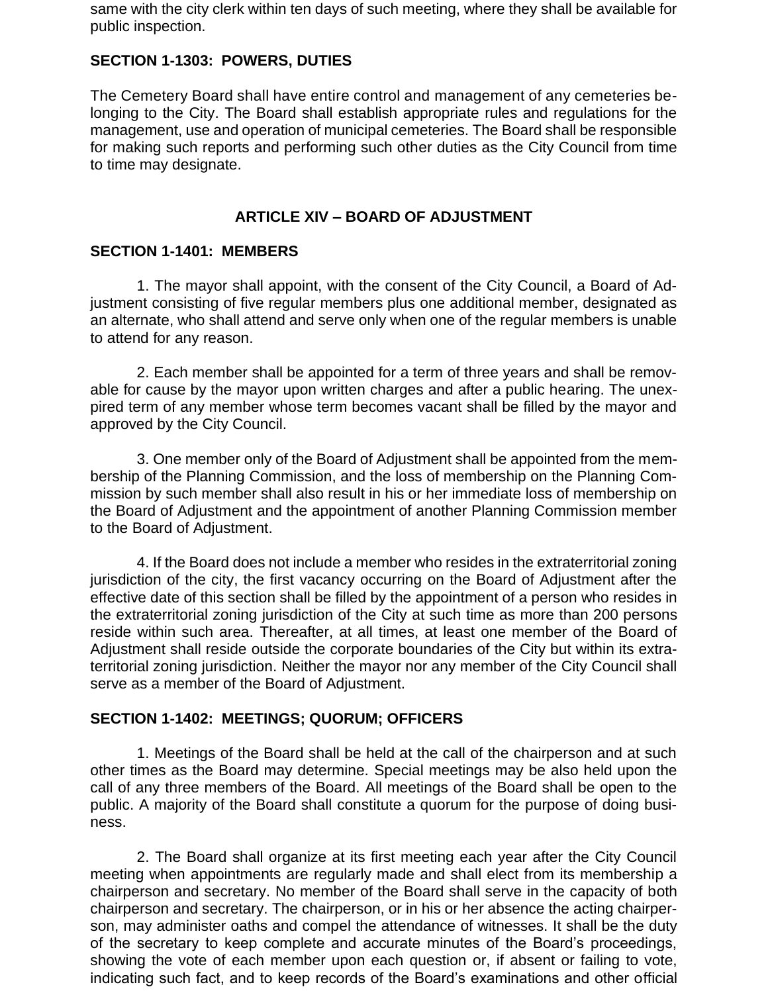same with the city clerk within ten days of such meeting, where they shall be available for public inspection.

### **SECTION 1-1303: POWERS, DUTIES**

The Cemetery Board shall have entire control and management of any cemeteries belonging to the City. The Board shall establish appropriate rules and regulations for the management, use and operation of municipal cemeteries. The Board shall be responsible for making such reports and performing such other duties as the City Council from time to time may designate.

### **ARTICLE XIV – BOARD OF ADJUSTMENT**

#### **SECTION 1-1401: MEMBERS**

1. The mayor shall appoint, with the consent of the City Council, a Board of Adjustment consisting of five regular members plus one additional member, designated as an alternate, who shall attend and serve only when one of the regular members is unable to attend for any reason.

2. Each member shall be appointed for a term of three years and shall be removable for cause by the mayor upon written charges and after a public hearing. The unexpired term of any member whose term becomes vacant shall be filled by the mayor and approved by the City Council.

3. One member only of the Board of Adjustment shall be appointed from the membership of the Planning Commission, and the loss of membership on the Planning Commission by such member shall also result in his or her immediate loss of membership on the Board of Adjustment and the appointment of another Planning Commission member to the Board of Adjustment.

4. If the Board does not include a member who resides in the extraterritorial zoning jurisdiction of the city, the first vacancy occurring on the Board of Adjustment after the effective date of this section shall be filled by the appointment of a person who resides in the extraterritorial zoning jurisdiction of the City at such time as more than 200 persons reside within such area. Thereafter, at all times, at least one member of the Board of Adjustment shall reside outside the corporate boundaries of the City but within its extraterritorial zoning jurisdiction. Neither the mayor nor any member of the City Council shall serve as a member of the Board of Adjustment.

#### **SECTION 1-1402: MEETINGS; QUORUM; OFFICERS**

1. Meetings of the Board shall be held at the call of the chairperson and at such other times as the Board may determine. Special meetings may be also held upon the call of any three members of the Board. All meetings of the Board shall be open to the public. A majority of the Board shall constitute a quorum for the purpose of doing business.

2. The Board shall organize at its first meeting each year after the City Council meeting when appointments are regularly made and shall elect from its membership a chairperson and secretary. No member of the Board shall serve in the capacity of both chairperson and secretary. The chairperson, or in his or her absence the acting chairperson, may administer oaths and compel the attendance of witnesses. It shall be the duty of the secretary to keep complete and accurate minutes of the Board's proceedings, showing the vote of each member upon each question or, if absent or failing to vote, indicating such fact, and to keep records of the Board's examinations and other official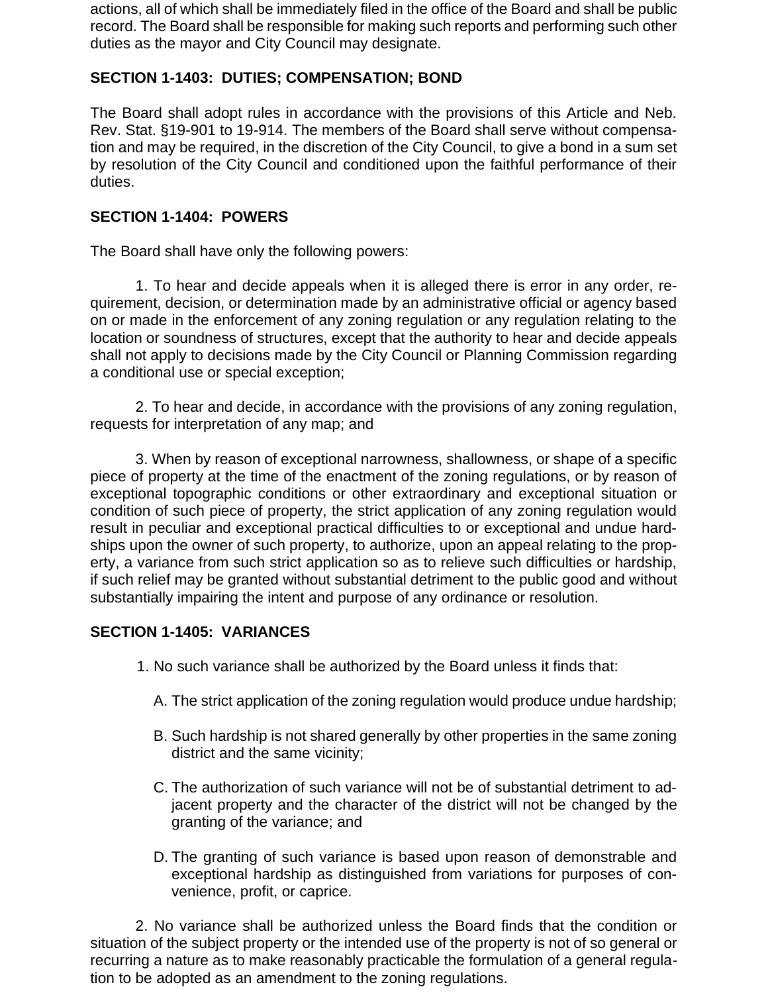actions, all of which shall be immediately filed in the office of the Board and shall be public record. The Board shall be responsible for making such reports and performing such other duties as the mayor and City Council may designate.

### **SECTION 1-1403: DUTIES; COMPENSATION; BOND**

The Board shall adopt rules in accordance with the provisions of this Article and Neb. Rev. Stat. §19-901 to 19-914. The members of the Board shall serve without compensation and may be required, in the discretion of the City Council, to give a bond in a sum set by resolution of the City Council and conditioned upon the faithful performance of their duties.

#### **SECTION 1-1404: POWERS**

The Board shall have only the following powers:

1. To hear and decide appeals when it is alleged there is error in any order, requirement, decision, or determination made by an administrative official or agency based on or made in the enforcement of any zoning regulation or any regulation relating to the location or soundness of structures, except that the authority to hear and decide appeals shall not apply to decisions made by the City Council or Planning Commission regarding a conditional use or special exception;

2. To hear and decide, in accordance with the provisions of any zoning regulation, requests for interpretation of any map; and

3. When by reason of exceptional narrowness, shallowness, or shape of a specific piece of property at the time of the enactment of the zoning regulations, or by reason of exceptional topographic conditions or other extraordinary and exceptional situation or condition of such piece of property, the strict application of any zoning regulation would result in peculiar and exceptional practical difficulties to or exceptional and undue hardships upon the owner of such property, to authorize, upon an appeal relating to the property, a variance from such strict application so as to relieve such difficulties or hardship, if such relief may be granted without substantial detriment to the public good and without substantially impairing the intent and purpose of any ordinance or resolution.

#### **SECTION 1-1405: VARIANCES**

- 1. No such variance shall be authorized by the Board unless it finds that:
	- A. The strict application of the zoning regulation would produce undue hardship;
	- B. Such hardship is not shared generally by other properties in the same zoning district and the same vicinity;
	- C. The authorization of such variance will not be of substantial detriment to adjacent property and the character of the district will not be changed by the granting of the variance; and
	- D. The granting of such variance is based upon reason of demonstrable and exceptional hardship as distinguished from variations for purposes of convenience, profit, or caprice.

2. No variance shall be authorized unless the Board finds that the condition or situation of the subject property or the intended use of the property is not of so general or recurring a nature as to make reasonably practicable the formulation of a general regulation to be adopted as an amendment to the zoning regulations.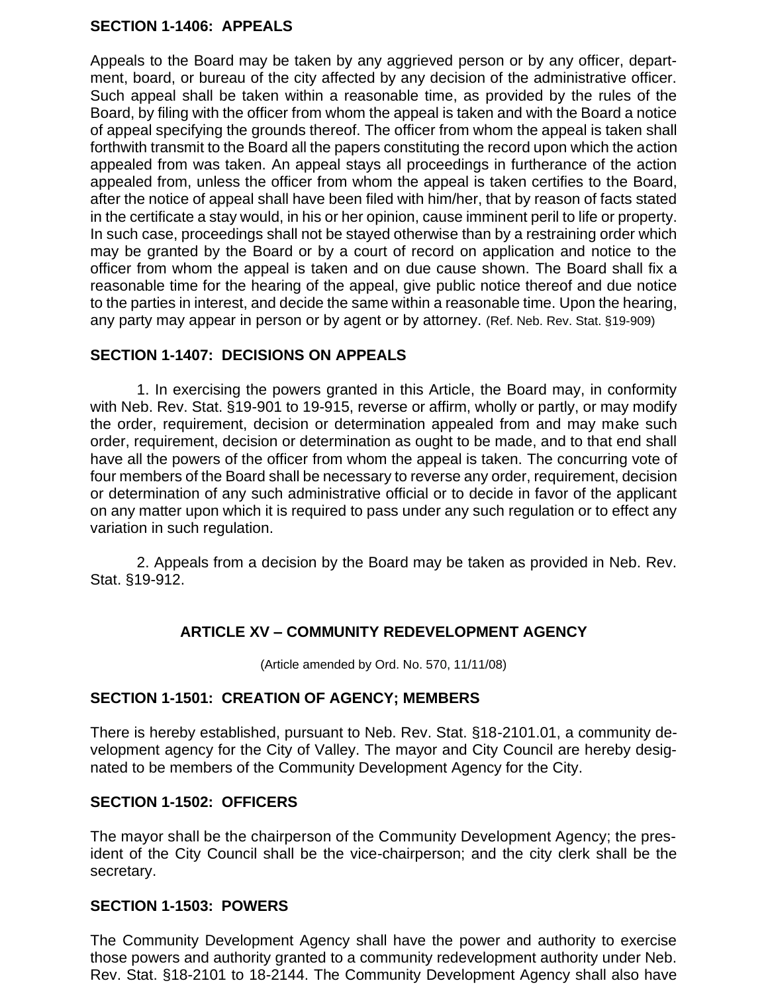### **SECTION 1-1406: APPEALS**

Appeals to the Board may be taken by any aggrieved person or by any officer, department, board, or bureau of the city affected by any decision of the administrative officer. Such appeal shall be taken within a reasonable time, as provided by the rules of the Board, by filing with the officer from whom the appeal is taken and with the Board a notice of appeal specifying the grounds thereof. The officer from whom the appeal is taken shall forthwith transmit to the Board all the papers constituting the record upon which the action appealed from was taken. An appeal stays all proceedings in furtherance of the action appealed from, unless the officer from whom the appeal is taken certifies to the Board, after the notice of appeal shall have been filed with him/her, that by reason of facts stated in the certificate a stay would, in his or her opinion, cause imminent peril to life or property. In such case, proceedings shall not be stayed otherwise than by a restraining order which may be granted by the Board or by a court of record on application and notice to the officer from whom the appeal is taken and on due cause shown. The Board shall fix a reasonable time for the hearing of the appeal, give public notice thereof and due notice to the parties in interest, and decide the same within a reasonable time. Upon the hearing, any party may appear in person or by agent or by attorney. (Ref. Neb. Rev. Stat. §19-909)

### **SECTION 1-1407: DECISIONS ON APPEALS**

1. In exercising the powers granted in this Article, the Board may, in conformity with Neb. Rev. Stat. §19-901 to 19-915, reverse or affirm, wholly or partly, or may modify the order, requirement, decision or determination appealed from and may make such order, requirement, decision or determination as ought to be made, and to that end shall have all the powers of the officer from whom the appeal is taken. The concurring vote of four members of the Board shall be necessary to reverse any order, requirement, decision or determination of any such administrative official or to decide in favor of the applicant on any matter upon which it is required to pass under any such regulation or to effect any variation in such regulation.

2. Appeals from a decision by the Board may be taken as provided in Neb. Rev. Stat. §19-912.

# **ARTICLE XV – COMMUNITY REDEVELOPMENT AGENCY**

(Article amended by Ord. No. 570, 11/11/08)

#### **SECTION 1-1501: CREATION OF AGENCY; MEMBERS**

There is hereby established, pursuant to Neb. Rev. Stat. §18-2101.01, a community development agency for the City of Valley. The mayor and City Council are hereby designated to be members of the Community Development Agency for the City.

#### **SECTION 1-1502: OFFICERS**

The mayor shall be the chairperson of the Community Development Agency; the president of the City Council shall be the vice-chairperson; and the city clerk shall be the secretary.

#### **SECTION 1-1503: POWERS**

The Community Development Agency shall have the power and authority to exercise those powers and authority granted to a community redevelopment authority under Neb. Rev. Stat. §18-2101 to 18-2144. The Community Development Agency shall also have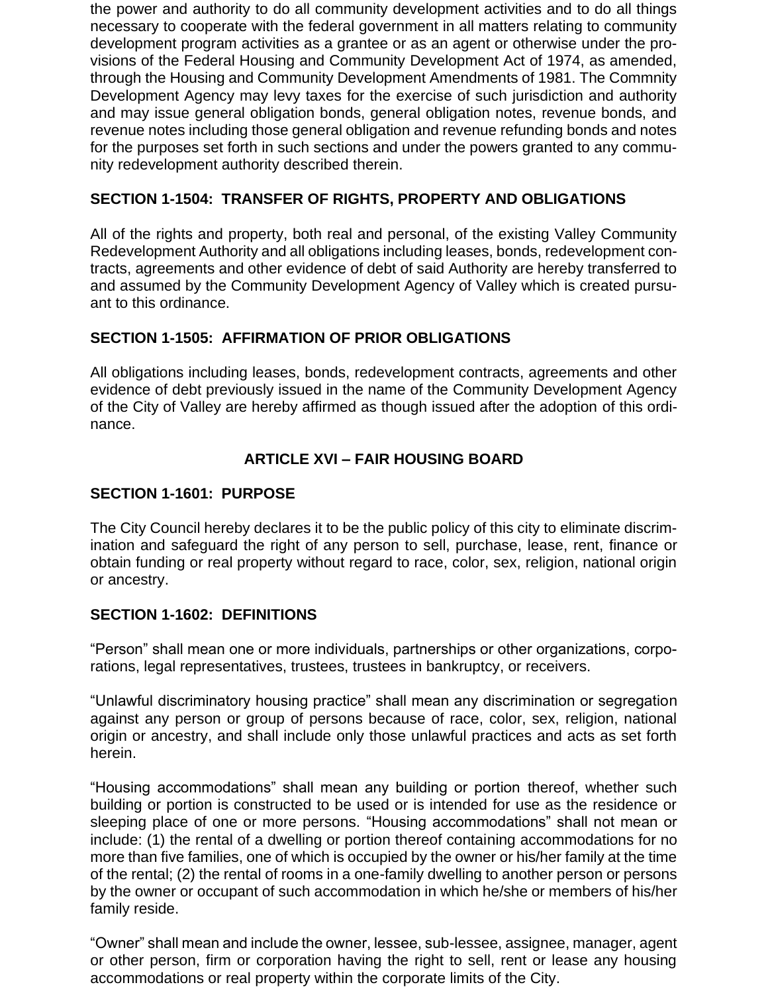the power and authority to do all community development activities and to do all things necessary to cooperate with the federal government in all matters relating to community development program activities as a grantee or as an agent or otherwise under the provisions of the Federal Housing and Community Development Act of 1974, as amended, through the Housing and Community Development Amendments of 1981. The Commnity Development Agency may levy taxes for the exercise of such jurisdiction and authority and may issue general obligation bonds, general obligation notes, revenue bonds, and revenue notes including those general obligation and revenue refunding bonds and notes for the purposes set forth in such sections and under the powers granted to any community redevelopment authority described therein.

# **SECTION 1-1504: TRANSFER OF RIGHTS, PROPERTY AND OBLIGATIONS**

All of the rights and property, both real and personal, of the existing Valley Community Redevelopment Authority and all obligations including leases, bonds, redevelopment contracts, agreements and other evidence of debt of said Authority are hereby transferred to and assumed by the Community Development Agency of Valley which is created pursuant to this ordinance.

# **SECTION 1-1505: AFFIRMATION OF PRIOR OBLIGATIONS**

All obligations including leases, bonds, redevelopment contracts, agreements and other evidence of debt previously issued in the name of the Community Development Agency of the City of Valley are hereby affirmed as though issued after the adoption of this ordinance.

### **ARTICLE XVI – FAIR HOUSING BOARD**

#### **SECTION 1-1601: PURPOSE**

The City Council hereby declares it to be the public policy of this city to eliminate discrimination and safeguard the right of any person to sell, purchase, lease, rent, finance or obtain funding or real property without regard to race, color, sex, religion, national origin or ancestry.

#### **SECTION 1-1602: DEFINITIONS**

"Person" shall mean one or more individuals, partnerships or other organizations, corporations, legal representatives, trustees, trustees in bankruptcy, or receivers.

"Unlawful discriminatory housing practice" shall mean any discrimination or segregation against any person or group of persons because of race, color, sex, religion, national origin or ancestry, and shall include only those unlawful practices and acts as set forth herein.

"Housing accommodations" shall mean any building or portion thereof, whether such building or portion is constructed to be used or is intended for use as the residence or sleeping place of one or more persons. "Housing accommodations" shall not mean or include: (1) the rental of a dwelling or portion thereof containing accommodations for no more than five families, one of which is occupied by the owner or his/her family at the time of the rental; (2) the rental of rooms in a one-family dwelling to another person or persons by the owner or occupant of such accommodation in which he/she or members of his/her family reside.

"Owner" shall mean and include the owner, lessee, sub-lessee, assignee, manager, agent or other person, firm or corporation having the right to sell, rent or lease any housing accommodations or real property within the corporate limits of the City.